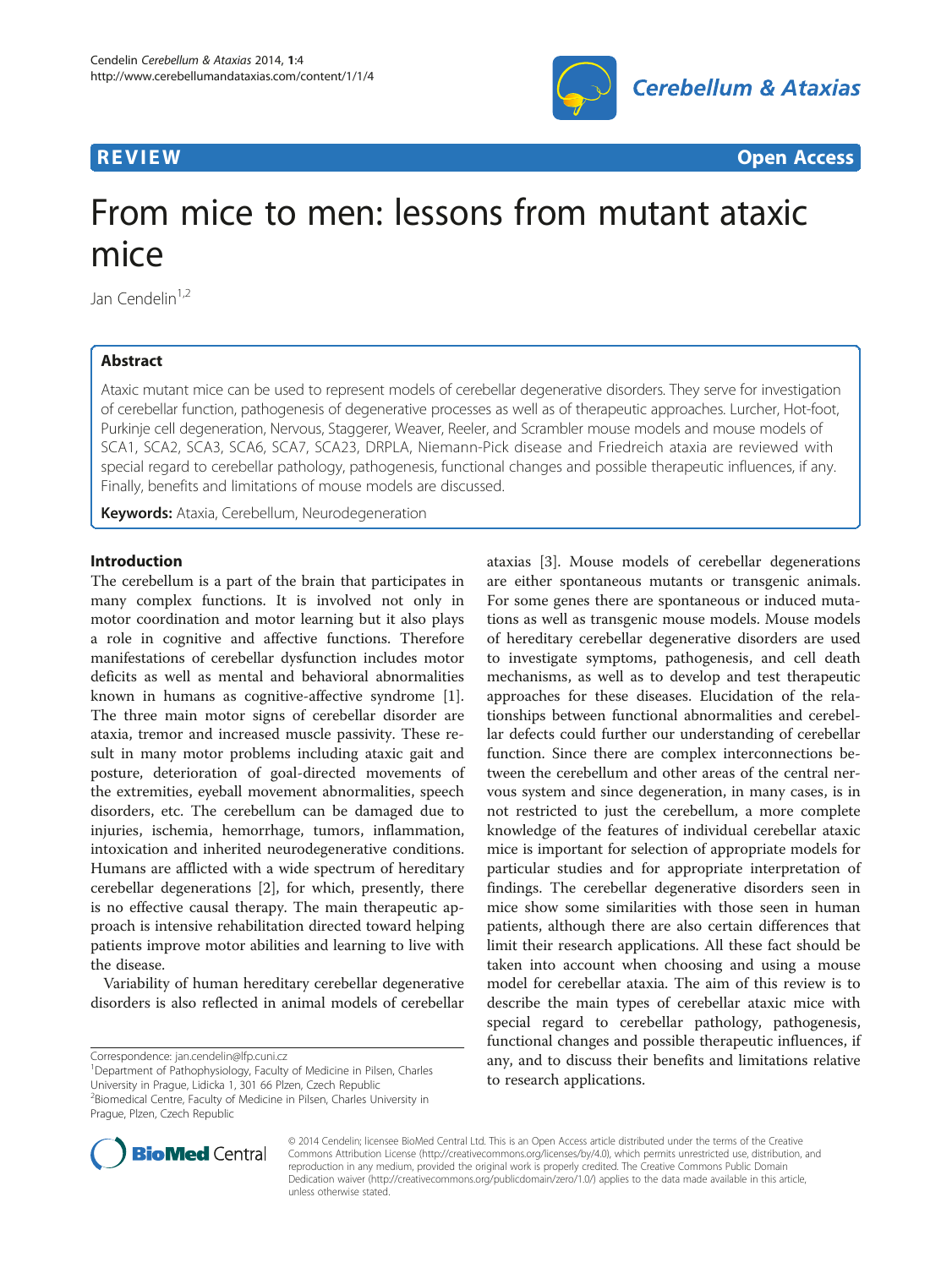**REVIEW CONSIDERING CONSIDERING CONSIDERING CONSIDERING CONSIDERING CONSIDERING CONSIDERING CONSIDERING CONSIDERING CONSIDERING CONSIDERING CONSIDERING CONSIDERING CONSIDERING CONSIDERING CONSIDERING CONSIDERING CONSIDER** 

**Cerebellum & Ataxias** 

# From mice to men: lessons from mutant ataxic mice

Jan Cendelin<sup>1,2</sup>

# Abstract

Ataxic mutant mice can be used to represent models of cerebellar degenerative disorders. They serve for investigation of cerebellar function, pathogenesis of degenerative processes as well as of therapeutic approaches. Lurcher, Hot-foot, Purkinje cell degeneration, Nervous, Staggerer, Weaver, Reeler, and Scrambler mouse models and mouse models of SCA1, SCA2, SCA3, SCA6, SCA7, SCA23, DRPLA, Niemann-Pick disease and Friedreich ataxia are reviewed with special regard to cerebellar pathology, pathogenesis, functional changes and possible therapeutic influences, if any. Finally, benefits and limitations of mouse models are discussed.

Keywords: Ataxia, Cerebellum, Neurodegeneration

#### Introduction

The cerebellum is a part of the brain that participates in many complex functions. It is involved not only in motor coordination and motor learning but it also plays a role in cognitive and affective functions. Therefore manifestations of cerebellar dysfunction includes motor deficits as well as mental and behavioral abnormalities known in humans as cognitive-affective syndrome [\[1](#page-13-0)]. The three main motor signs of cerebellar disorder are ataxia, tremor and increased muscle passivity. These result in many motor problems including ataxic gait and posture, deterioration of goal-directed movements of the extremities, eyeball movement abnormalities, speech disorders, etc. The cerebellum can be damaged due to injuries, ischemia, hemorrhage, tumors, inflammation, intoxication and inherited neurodegenerative conditions. Humans are afflicted with a wide spectrum of hereditary cerebellar degenerations [[2\]](#page-13-0), for which, presently, there is no effective causal therapy. The main therapeutic approach is intensive rehabilitation directed toward helping patients improve motor abilities and learning to live with the disease.

Variability of human hereditary cerebellar degenerative disorders is also reflected in animal models of cerebellar

Correspondence: [jan.cendelin@lfp.cuni.cz](mailto:jan.cendelin@lfp.cuni.cz) <sup>1</sup>

<sup>1</sup>Department of Pathophysiology, Faculty of Medicine in Pilsen, Charles University in Prague, Lidicka 1, 301 66 Plzen, Czech Republic 2 Biomedical Centre, Faculty of Medicine in Pilsen, Charles University in Prague, Plzen, Czech Republic

ataxias [[3\]](#page-13-0). Mouse models of cerebellar degenerations are either spontaneous mutants or transgenic animals. For some genes there are spontaneous or induced mutations as well as transgenic mouse models. Mouse models of hereditary cerebellar degenerative disorders are used to investigate symptoms, pathogenesis, and cell death mechanisms, as well as to develop and test therapeutic approaches for these diseases. Elucidation of the relationships between functional abnormalities and cerebellar defects could further our understanding of cerebellar function. Since there are complex interconnections between the cerebellum and other areas of the central nervous system and since degeneration, in many cases, is in not restricted to just the cerebellum, a more complete knowledge of the features of individual cerebellar ataxic mice is important for selection of appropriate models for particular studies and for appropriate interpretation of findings. The cerebellar degenerative disorders seen in mice show some similarities with those seen in human patients, although there are also certain differences that limit their research applications. All these fact should be taken into account when choosing and using a mouse model for cerebellar ataxia. The aim of this review is to describe the main types of cerebellar ataxic mice with special regard to cerebellar pathology, pathogenesis, functional changes and possible therapeutic influences, if any, and to discuss their benefits and limitations relative to research applications.



© 2014 Cendelin; licensee BioMed Central Ltd. This is an Open Access article distributed under the terms of the Creative Commons Attribution License [\(http://creativecommons.org/licenses/by/4.0\)](http://creativecommons.org/licenses/by/4.0), which permits unrestricted use, distribution, and reproduction in any medium, provided the original work is properly credited. The Creative Commons Public Domain Dedication waiver [\(http://creativecommons.org/publicdomain/zero/1.0/](http://creativecommons.org/publicdomain/zero/1.0/)) applies to the data made available in this article, unless otherwise stated.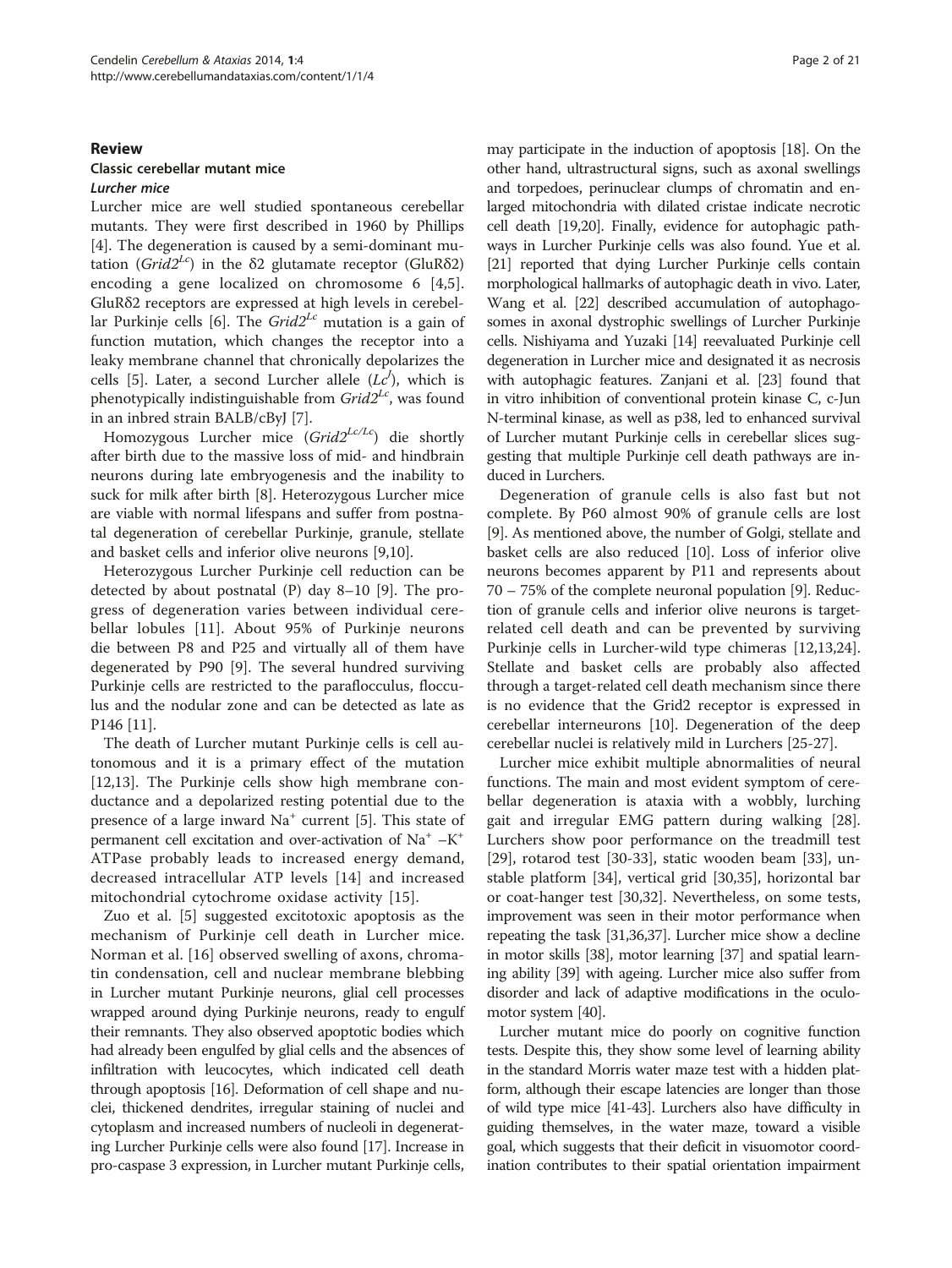#### Review

# Classic cerebellar mutant mice

# Lurcher mice

Lurcher mice are well studied spontaneous cerebellar mutants. They were first described in 1960 by Phillips [[4\]](#page-13-0). The degeneration is caused by a semi-dominant mutation (Grid2<sup>Lc</sup>) in the δ2 glutamate receptor (GluRδ2) encoding a gene localized on chromosome 6 [[4,5](#page-13-0)]. GluRδ2 receptors are expressed at high levels in cerebel-lar Purkinje cells [[6\]](#page-13-0). The  $Grid2^{Lc}$  mutation is a gain of function mutation, which changes the receptor into a leaky membrane channel that chronically depolarizes the cells [\[5](#page-13-0)]. Later, a second Lurcher allele  $(Lc<sup>J</sup>)$ , which is phenotypically indistinguishable from  $Grid2^{Lc}$ , was found in an inbred strain BALB/cByJ [\[7](#page-13-0)].

Homozygous Lurcher mice (Grid2Lc/Lc) die shortly after birth due to the massive loss of mid- and hindbrain neurons during late embryogenesis and the inability to suck for milk after birth [[8\]](#page-13-0). Heterozygous Lurcher mice are viable with normal lifespans and suffer from postnatal degeneration of cerebellar Purkinje, granule, stellate and basket cells and inferior olive neurons [[9,10](#page-13-0)].

Heterozygous Lurcher Purkinje cell reduction can be detected by about postnatal (P) day 8–10 [[9](#page-13-0)]. The progress of degeneration varies between individual cerebellar lobules [[11](#page-13-0)]. About 95% of Purkinje neurons die between P8 and P25 and virtually all of them have degenerated by P90 [\[9](#page-13-0)]. The several hundred surviving Purkinje cells are restricted to the paraflocculus, flocculus and the nodular zone and can be detected as late as P146 [[11\]](#page-13-0).

The death of Lurcher mutant Purkinje cells is cell autonomous and it is a primary effect of the mutation [[12,13\]](#page-13-0). The Purkinje cells show high membrane conductance and a depolarized resting potential due to the presence of a large inward  $Na<sup>+</sup>$  current [\[5](#page-13-0)]. This state of permanent cell excitation and over-activation of  $Na<sup>+</sup> - K<sup>+</sup>$ ATPase probably leads to increased energy demand, decreased intracellular ATP levels [[14](#page-13-0)] and increased mitochondrial cytochrome oxidase activity [[15\]](#page-13-0).

Zuo et al. [\[5](#page-13-0)] suggested excitotoxic apoptosis as the mechanism of Purkinje cell death in Lurcher mice. Norman et al. [[16](#page-13-0)] observed swelling of axons, chromatin condensation, cell and nuclear membrane blebbing in Lurcher mutant Purkinje neurons, glial cell processes wrapped around dying Purkinje neurons, ready to engulf their remnants. They also observed apoptotic bodies which had already been engulfed by glial cells and the absences of infiltration with leucocytes, which indicated cell death through apoptosis [[16](#page-13-0)]. Deformation of cell shape and nuclei, thickened dendrites, irregular staining of nuclei and cytoplasm and increased numbers of nucleoli in degenerating Lurcher Purkinje cells were also found [\[17](#page-13-0)]. Increase in pro-caspase 3 expression, in Lurcher mutant Purkinje cells,

may participate in the induction of apoptosis [\[18](#page-13-0)]. On the other hand, ultrastructural signs, such as axonal swellings and torpedoes, perinuclear clumps of chromatin and enlarged mitochondria with dilated cristae indicate necrotic cell death [\[19,20](#page-13-0)]. Finally, evidence for autophagic pathways in Lurcher Purkinje cells was also found. Yue et al. [[21](#page-13-0)] reported that dying Lurcher Purkinje cells contain morphological hallmarks of autophagic death in vivo. Later, Wang et al. [[22](#page-13-0)] described accumulation of autophagosomes in axonal dystrophic swellings of Lurcher Purkinje cells. Nishiyama and Yuzaki [\[14](#page-13-0)] reevaluated Purkinje cell degeneration in Lurcher mice and designated it as necrosis with autophagic features. Zanjani et al. [\[23\]](#page-13-0) found that in vitro inhibition of conventional protein kinase C, c-Jun N-terminal kinase, as well as p38, led to enhanced survival of Lurcher mutant Purkinje cells in cerebellar slices suggesting that multiple Purkinje cell death pathways are induced in Lurchers.

Degeneration of granule cells is also fast but not complete. By P60 almost 90% of granule cells are lost [[9\]](#page-13-0). As mentioned above, the number of Golgi, stellate and basket cells are also reduced [\[10\]](#page-13-0). Loss of inferior olive neurons becomes apparent by P11 and represents about 70 – 75% of the complete neuronal population [[9](#page-13-0)]. Reduction of granule cells and inferior olive neurons is targetrelated cell death and can be prevented by surviving Purkinje cells in Lurcher-wild type chimeras [[12](#page-13-0),[13](#page-13-0),[24](#page-13-0)]. Stellate and basket cells are probably also affected through a target-related cell death mechanism since there is no evidence that the Grid2 receptor is expressed in cerebellar interneurons [\[10](#page-13-0)]. Degeneration of the deep cerebellar nuclei is relatively mild in Lurchers [[25-27\]](#page-13-0).

Lurcher mice exhibit multiple abnormalities of neural functions. The main and most evident symptom of cerebellar degeneration is ataxia with a wobbly, lurching gait and irregular EMG pattern during walking [\[28](#page-13-0)]. Lurchers show poor performance on the treadmill test [[29\]](#page-13-0), rotarod test [[30-33\]](#page-13-0), static wooden beam [\[33](#page-13-0)], unstable platform [[34\]](#page-13-0), vertical grid [\[30,35\]](#page-13-0), horizontal bar or coat-hanger test [\[30,32\]](#page-13-0). Nevertheless, on some tests, improvement was seen in their motor performance when repeating the task [\[31,36,37\]](#page-13-0). Lurcher mice show a decline in motor skills [\[38\]](#page-13-0), motor learning [\[37\]](#page-13-0) and spatial learning ability [[39](#page-13-0)] with ageing. Lurcher mice also suffer from disorder and lack of adaptive modifications in the oculomotor system [\[40\]](#page-13-0).

Lurcher mutant mice do poorly on cognitive function tests. Despite this, they show some level of learning ability in the standard Morris water maze test with a hidden platform, although their escape latencies are longer than those of wild type mice [[41-43\]](#page-13-0). Lurchers also have difficulty in guiding themselves, in the water maze, toward a visible goal, which suggests that their deficit in visuomotor coordination contributes to their spatial orientation impairment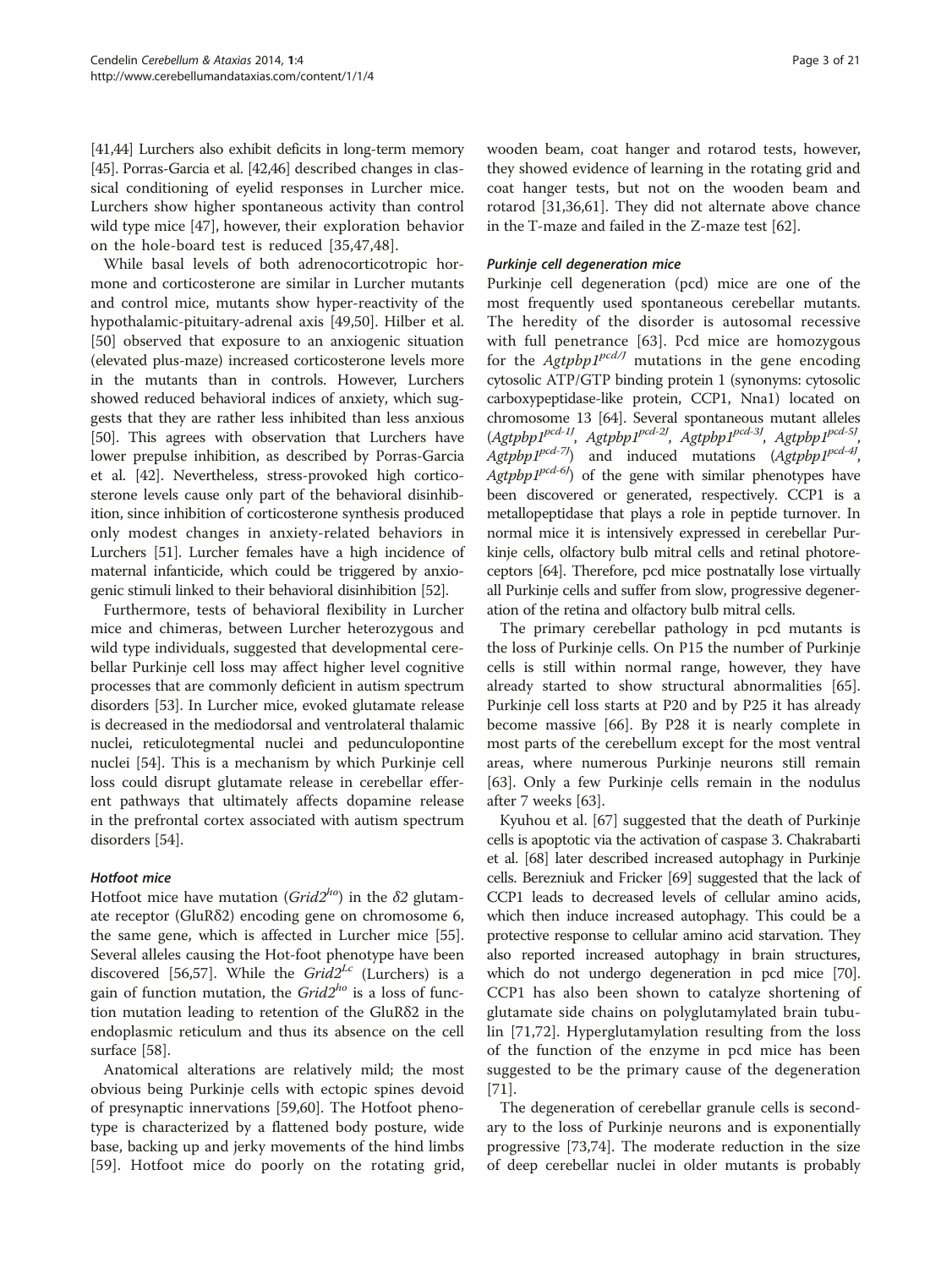[[41](#page-13-0)[,44\]](#page-14-0) Lurchers also exhibit deficits in long-term memory [[45](#page-14-0)]. Porras-Garcia et al. [\[42](#page-13-0)[,46\]](#page-14-0) described changes in classical conditioning of eyelid responses in Lurcher mice. Lurchers show higher spontaneous activity than control wild type mice [\[47\]](#page-14-0), however, their exploration behavior on the hole-board test is reduced [[35](#page-13-0)[,47,48](#page-14-0)].

While basal levels of both adrenocorticotropic hormone and corticosterone are similar in Lurcher mutants and control mice, mutants show hyper-reactivity of the hypothalamic-pituitary-adrenal axis [[49](#page-14-0),[50](#page-14-0)]. Hilber et al. [[50\]](#page-14-0) observed that exposure to an anxiogenic situation (elevated plus-maze) increased corticosterone levels more in the mutants than in controls. However, Lurchers showed reduced behavioral indices of anxiety, which suggests that they are rather less inhibited than less anxious [[50](#page-14-0)]. This agrees with observation that Lurchers have lower prepulse inhibition, as described by Porras-Garcia et al. [[42](#page-13-0)]. Nevertheless, stress-provoked high corticosterone levels cause only part of the behavioral disinhibition, since inhibition of corticosterone synthesis produced only modest changes in anxiety-related behaviors in Lurchers [\[51\]](#page-14-0). Lurcher females have a high incidence of maternal infanticide, which could be triggered by anxiogenic stimuli linked to their behavioral disinhibition [\[52\]](#page-14-0).

Furthermore, tests of behavioral flexibility in Lurcher mice and chimeras, between Lurcher heterozygous and wild type individuals, suggested that developmental cerebellar Purkinje cell loss may affect higher level cognitive processes that are commonly deficient in autism spectrum disorders [[53](#page-14-0)]. In Lurcher mice, evoked glutamate release is decreased in the mediodorsal and ventrolateral thalamic nuclei, reticulotegmental nuclei and pedunculopontine nuclei [\[54](#page-14-0)]. This is a mechanism by which Purkinje cell loss could disrupt glutamate release in cerebellar efferent pathways that ultimately affects dopamine release in the prefrontal cortex associated with autism spectrum disorders [[54\]](#page-14-0).

## Hotfoot mice

Hotfoot mice have mutation ( $Grid2^{ho}$ ) in the  $\delta$ 2 glutamate receptor (GluRδ2) encoding gene on chromosome 6, the same gene, which is affected in Lurcher mice [\[55](#page-14-0)]. Several alleles causing the Hot-foot phenotype have been discovered [[56](#page-14-0),[57](#page-14-0)]. While the  $Grid2^{Lc}$  (Lurchers) is a gain of function mutation, the  $Grid2^{ho}$  is a loss of function mutation leading to retention of the GluRδ2 in the endoplasmic reticulum and thus its absence on the cell surface [[58](#page-14-0)].

Anatomical alterations are relatively mild; the most obvious being Purkinje cells with ectopic spines devoid of presynaptic innervations [[59](#page-14-0),[60](#page-14-0)]. The Hotfoot phenotype is characterized by a flattened body posture, wide base, backing up and jerky movements of the hind limbs [[59](#page-14-0)]. Hotfoot mice do poorly on the rotating grid,

wooden beam, coat hanger and rotarod tests, however, they showed evidence of learning in the rotating grid and coat hanger tests, but not on the wooden beam and rotarod [\[31,36,](#page-13-0)[61\]](#page-14-0). They did not alternate above chance in the T-maze and failed in the Z-maze test [[62\]](#page-14-0).

#### Purkinje cell degeneration mice

Purkinje cell degeneration (pcd) mice are one of the most frequently used spontaneous cerebellar mutants. The heredity of the disorder is autosomal recessive with full penetrance [[63\]](#page-14-0). Pcd mice are homozygous for the  $Aq t p b p 1^{pc d/J}$  mutations in the gene encoding cytosolic ATP/GTP binding protein 1 (synonyms: cytosolic carboxypeptidase-like protein, CCP1, Nna1) located on chromosome 13 [\[64\]](#page-14-0). Several spontaneous mutant alleles  $(Ag t p b p 1^{pcd-1}, Ag t p b p 1^{pcd-2J}, Ag t p b p 1^{pcd-3J}, Ag t p b p 1^{pcd-5J}$  $A\alpha$ <sub>2</sub>*Agtpbp*1<sup>pcd-7*j*</sup>) and induced mutations  $(A\alpha P)P^{cd-4J}$ ,  $Aqtpbpl^{pcd-6}$ ) of the gene with similar phenotypes have been discovered or generated, respectively. CCP1 is a metallopeptidase that plays a role in peptide turnover. In normal mice it is intensively expressed in cerebellar Purkinje cells, olfactory bulb mitral cells and retinal photoreceptors [[64](#page-14-0)]. Therefore, pcd mice postnatally lose virtually all Purkinje cells and suffer from slow, progressive degeneration of the retina and olfactory bulb mitral cells.

The primary cerebellar pathology in pcd mutants is the loss of Purkinje cells. On P15 the number of Purkinje cells is still within normal range, however, they have already started to show structural abnormalities [\[65](#page-14-0)]. Purkinje cell loss starts at P20 and by P25 it has already become massive [\[66\]](#page-14-0). By P28 it is nearly complete in most parts of the cerebellum except for the most ventral areas, where numerous Purkinje neurons still remain [[63\]](#page-14-0). Only a few Purkinje cells remain in the nodulus after 7 weeks [[63](#page-14-0)].

Kyuhou et al. [[67\]](#page-14-0) suggested that the death of Purkinje cells is apoptotic via the activation of caspase 3. Chakrabarti et al. [\[68\]](#page-14-0) later described increased autophagy in Purkinje cells. Berezniuk and Fricker [[69](#page-14-0)] suggested that the lack of CCP1 leads to decreased levels of cellular amino acids, which then induce increased autophagy. This could be a protective response to cellular amino acid starvation. They also reported increased autophagy in brain structures, which do not undergo degeneration in pcd mice [\[70](#page-14-0)]. CCP1 has also been shown to catalyze shortening of glutamate side chains on polyglutamylated brain tubulin [[71,72](#page-14-0)]. Hyperglutamylation resulting from the loss of the function of the enzyme in pcd mice has been suggested to be the primary cause of the degeneration [[71\]](#page-14-0).

The degeneration of cerebellar granule cells is secondary to the loss of Purkinje neurons and is exponentially progressive [[73](#page-14-0),[74](#page-14-0)]. The moderate reduction in the size of deep cerebellar nuclei in older mutants is probably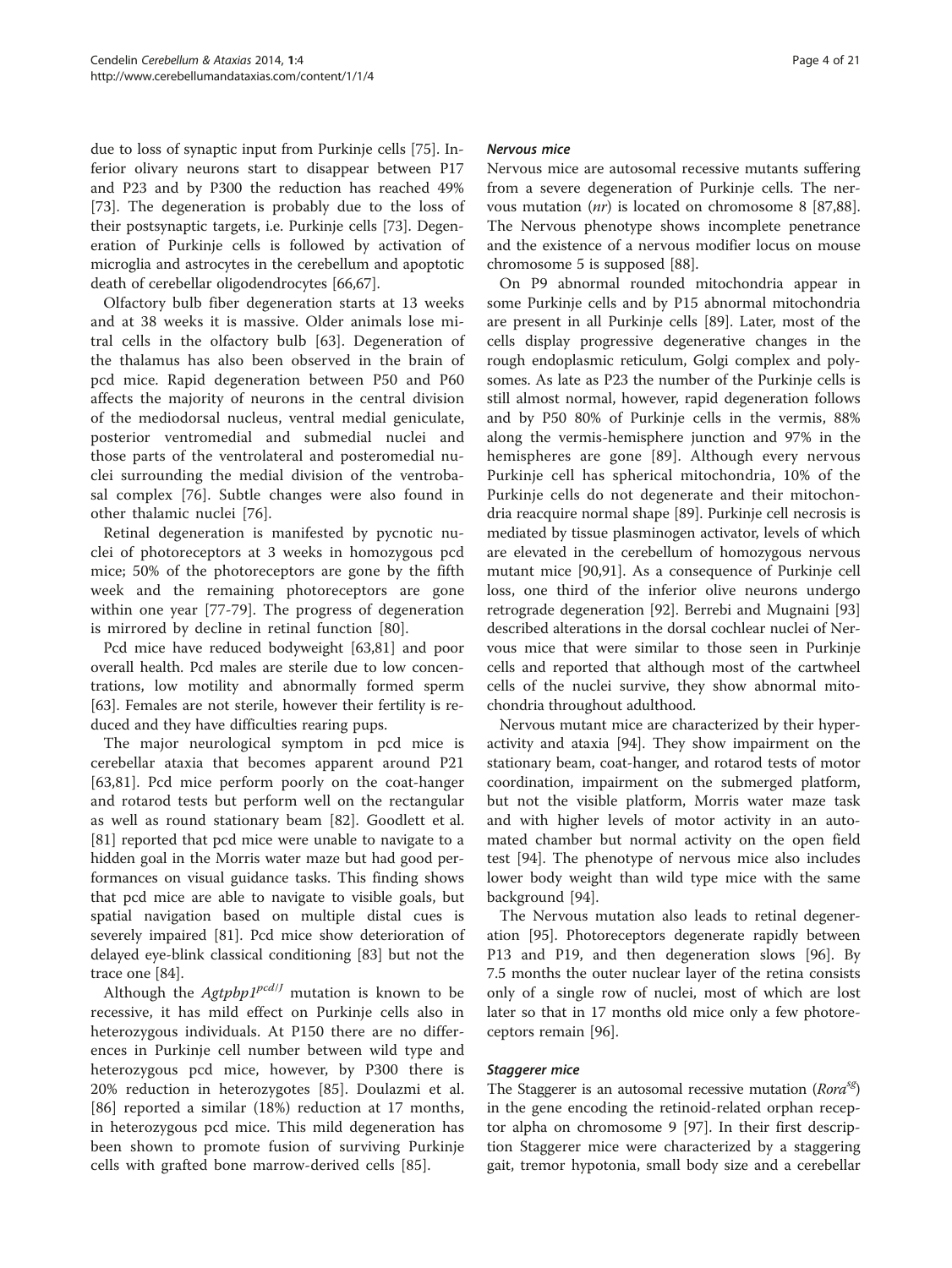due to loss of synaptic input from Purkinje cells [\[75\]](#page-14-0). Inferior olivary neurons start to disappear between P17 and P23 and by P300 the reduction has reached 49% [[73\]](#page-14-0). The degeneration is probably due to the loss of their postsynaptic targets, i.e. Purkinje cells [\[73](#page-14-0)]. Degeneration of Purkinje cells is followed by activation of microglia and astrocytes in the cerebellum and apoptotic death of cerebellar oligodendrocytes [[66,67\]](#page-14-0).

Olfactory bulb fiber degeneration starts at 13 weeks and at 38 weeks it is massive. Older animals lose mitral cells in the olfactory bulb [\[63](#page-14-0)]. Degeneration of the thalamus has also been observed in the brain of pcd mice. Rapid degeneration between P50 and P60 affects the majority of neurons in the central division of the mediodorsal nucleus, ventral medial geniculate, posterior ventromedial and submedial nuclei and those parts of the ventrolateral and posteromedial nuclei surrounding the medial division of the ventrobasal complex [[76\]](#page-14-0). Subtle changes were also found in other thalamic nuclei [[76\]](#page-14-0).

Retinal degeneration is manifested by pycnotic nuclei of photoreceptors at 3 weeks in homozygous pcd mice; 50% of the photoreceptors are gone by the fifth week and the remaining photoreceptors are gone within one year [\[77](#page-14-0)-[79\]](#page-14-0). The progress of degeneration is mirrored by decline in retinal function [\[80](#page-14-0)].

Pcd mice have reduced bodyweight [[63,81](#page-14-0)] and poor overall health. Pcd males are sterile due to low concentrations, low motility and abnormally formed sperm [[63\]](#page-14-0). Females are not sterile, however their fertility is reduced and they have difficulties rearing pups.

The major neurological symptom in pcd mice is cerebellar ataxia that becomes apparent around P21 [[63,81](#page-14-0)]. Pcd mice perform poorly on the coat-hanger and rotarod tests but perform well on the rectangular as well as round stationary beam [\[82](#page-14-0)]. Goodlett et al. [[81\]](#page-14-0) reported that pcd mice were unable to navigate to a hidden goal in the Morris water maze but had good performances on visual guidance tasks. This finding shows that pcd mice are able to navigate to visible goals, but spatial navigation based on multiple distal cues is severely impaired [\[81\]](#page-14-0). Pcd mice show deterioration of delayed eye-blink classical conditioning [[83](#page-14-0)] but not the trace one [\[84\]](#page-14-0).

Although the  $Agtpbp1^{pcd/J}$  mutation is known to be recessive, it has mild effect on Purkinje cells also in heterozygous individuals. At P150 there are no differences in Purkinje cell number between wild type and heterozygous pcd mice, however, by P300 there is 20% reduction in heterozygotes [[85](#page-14-0)]. Doulazmi et al. [[86\]](#page-14-0) reported a similar (18%) reduction at 17 months, in heterozygous pcd mice. This mild degeneration has been shown to promote fusion of surviving Purkinje cells with grafted bone marrow-derived cells [\[85](#page-14-0)].

### Nervous mice

Nervous mice are autosomal recessive mutants suffering from a severe degeneration of Purkinje cells. The nervous mutation (nr) is located on chromosome 8 [\[87,88](#page-14-0)]. The Nervous phenotype shows incomplete penetrance and the existence of a nervous modifier locus on mouse chromosome 5 is supposed [\[88](#page-14-0)].

On P9 abnormal rounded mitochondria appear in some Purkinje cells and by P15 abnormal mitochondria are present in all Purkinje cells [[89\]](#page-14-0). Later, most of the cells display progressive degenerative changes in the rough endoplasmic reticulum, Golgi complex and polysomes. As late as P23 the number of the Purkinje cells is still almost normal, however, rapid degeneration follows and by P50 80% of Purkinje cells in the vermis, 88% along the vermis-hemisphere junction and 97% in the hemispheres are gone [[89\]](#page-14-0). Although every nervous Purkinje cell has spherical mitochondria, 10% of the Purkinje cells do not degenerate and their mitochondria reacquire normal shape [[89\]](#page-14-0). Purkinje cell necrosis is mediated by tissue plasminogen activator, levels of which are elevated in the cerebellum of homozygous nervous mutant mice [[90,91](#page-15-0)]. As a consequence of Purkinje cell loss, one third of the inferior olive neurons undergo retrograde degeneration [[92\]](#page-15-0). Berrebi and Mugnaini [[93](#page-15-0)] described alterations in the dorsal cochlear nuclei of Nervous mice that were similar to those seen in Purkinje cells and reported that although most of the cartwheel cells of the nuclei survive, they show abnormal mitochondria throughout adulthood.

Nervous mutant mice are characterized by their hyperactivity and ataxia [[94\]](#page-15-0). They show impairment on the stationary beam, coat-hanger, and rotarod tests of motor coordination, impairment on the submerged platform, but not the visible platform, Morris water maze task and with higher levels of motor activity in an automated chamber but normal activity on the open field test [\[94](#page-15-0)]. The phenotype of nervous mice also includes lower body weight than wild type mice with the same background [[94\]](#page-15-0).

The Nervous mutation also leads to retinal degeneration [[95\]](#page-15-0). Photoreceptors degenerate rapidly between P13 and P19, and then degeneration slows [\[96\]](#page-15-0). By 7.5 months the outer nuclear layer of the retina consists only of a single row of nuclei, most of which are lost later so that in 17 months old mice only a few photoreceptors remain [\[96\]](#page-15-0).

## Staggerer mice

The Staggerer is an autosomal recessive mutation ( $Rora^{sg}$ ) in the gene encoding the retinoid-related orphan receptor alpha on chromosome 9 [[97](#page-15-0)]. In their first description Staggerer mice were characterized by a staggering gait, tremor hypotonia, small body size and a cerebellar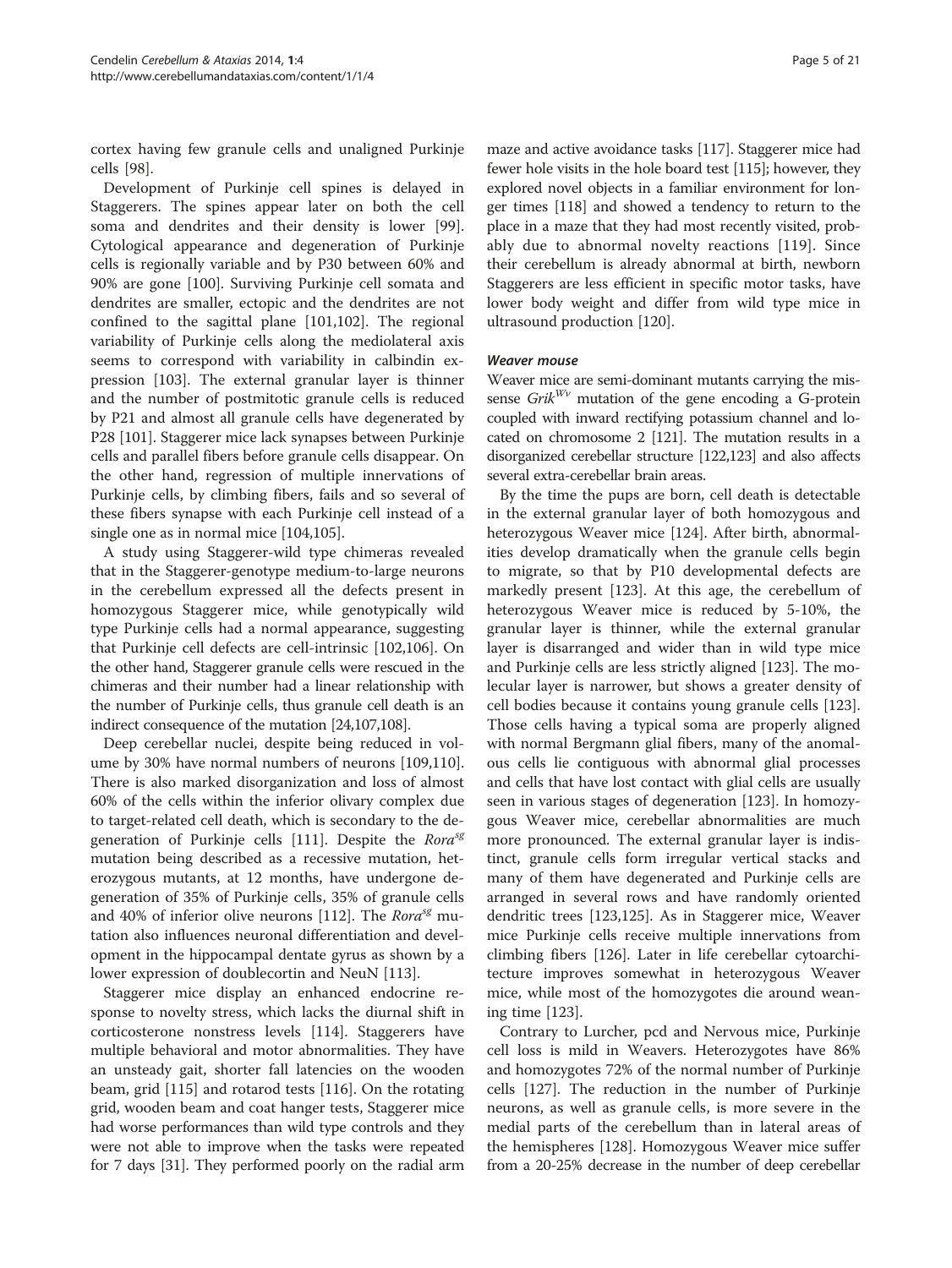cortex having few granule cells and unaligned Purkinje cells [[98\]](#page-15-0).

Development of Purkinje cell spines is delayed in Staggerers. The spines appear later on both the cell soma and dendrites and their density is lower [\[99](#page-15-0)]. Cytological appearance and degeneration of Purkinje cells is regionally variable and by P30 between 60% and 90% are gone [\[100\]](#page-15-0). Surviving Purkinje cell somata and dendrites are smaller, ectopic and the dendrites are not confined to the sagittal plane [[101,102\]](#page-15-0). The regional variability of Purkinje cells along the mediolateral axis seems to correspond with variability in calbindin expression [\[103\]](#page-15-0). The external granular layer is thinner and the number of postmitotic granule cells is reduced by P21 and almost all granule cells have degenerated by P28 [[101\]](#page-15-0). Staggerer mice lack synapses between Purkinje cells and parallel fibers before granule cells disappear. On the other hand, regression of multiple innervations of Purkinje cells, by climbing fibers, fails and so several of these fibers synapse with each Purkinje cell instead of a single one as in normal mice [[104,105\]](#page-15-0).

A study using Staggerer-wild type chimeras revealed that in the Staggerer-genotype medium-to-large neurons in the cerebellum expressed all the defects present in homozygous Staggerer mice, while genotypically wild type Purkinje cells had a normal appearance, suggesting that Purkinje cell defects are cell-intrinsic [\[102,106\]](#page-15-0). On the other hand, Staggerer granule cells were rescued in the chimeras and their number had a linear relationship with the number of Purkinje cells, thus granule cell death is an indirect consequence of the mutation [\[24,](#page-13-0)[107,108](#page-15-0)].

Deep cerebellar nuclei, despite being reduced in volume by 30% have normal numbers of neurons [[109,110](#page-15-0)]. There is also marked disorganization and loss of almost 60% of the cells within the inferior olivary complex due to target-related cell death, which is secondary to the de-generation of Purkinje cells [\[111](#page-15-0)]. Despite the Rora<sup>sg</sup> mutation being described as a recessive mutation, heterozygous mutants, at 12 months, have undergone degeneration of 35% of Purkinje cells, 35% of granule cells and 40% of inferior olive neurons [\[112\]](#page-15-0). The  $Rora^{sg}$  mutation also influences neuronal differentiation and development in the hippocampal dentate gyrus as shown by a lower expression of doublecortin and NeuN [\[113\]](#page-15-0).

Staggerer mice display an enhanced endocrine response to novelty stress, which lacks the diurnal shift in corticosterone nonstress levels [[114](#page-15-0)]. Staggerers have multiple behavioral and motor abnormalities. They have an unsteady gait, shorter fall latencies on the wooden beam, grid [\[115\]](#page-15-0) and rotarod tests [\[116\]](#page-15-0). On the rotating grid, wooden beam and coat hanger tests, Staggerer mice had worse performances than wild type controls and they were not able to improve when the tasks were repeated for 7 days [\[31](#page-13-0)]. They performed poorly on the radial arm

maze and active avoidance tasks [\[117\]](#page-15-0). Staggerer mice had fewer hole visits in the hole board test [[115](#page-15-0)]; however, they explored novel objects in a familiar environment for longer times [\[118](#page-15-0)] and showed a tendency to return to the place in a maze that they had most recently visited, probably due to abnormal novelty reactions [[119](#page-15-0)]. Since their cerebellum is already abnormal at birth, newborn Staggerers are less efficient in specific motor tasks, have lower body weight and differ from wild type mice in ultrasound production [\[120\]](#page-15-0).

#### Weaver mouse

Weaver mice are semi-dominant mutants carrying the missense  $Grik^{Wv}$  mutation of the gene encoding a G-protein coupled with inward rectifying potassium channel and located on chromosome 2 [[121\]](#page-15-0). The mutation results in a disorganized cerebellar structure [\[122,123](#page-15-0)] and also affects several extra-cerebellar brain areas.

By the time the pups are born, cell death is detectable in the external granular layer of both homozygous and heterozygous Weaver mice [[124](#page-15-0)]. After birth, abnormalities develop dramatically when the granule cells begin to migrate, so that by P10 developmental defects are markedly present [[123\]](#page-15-0). At this age, the cerebellum of heterozygous Weaver mice is reduced by 5-10%, the granular layer is thinner, while the external granular layer is disarranged and wider than in wild type mice and Purkinje cells are less strictly aligned [[123](#page-15-0)]. The molecular layer is narrower, but shows a greater density of cell bodies because it contains young granule cells [[123](#page-15-0)]. Those cells having a typical soma are properly aligned with normal Bergmann glial fibers, many of the anomalous cells lie contiguous with abnormal glial processes and cells that have lost contact with glial cells are usually seen in various stages of degeneration [\[123](#page-15-0)]. In homozygous Weaver mice, cerebellar abnormalities are much more pronounced. The external granular layer is indistinct, granule cells form irregular vertical stacks and many of them have degenerated and Purkinje cells are arranged in several rows and have randomly oriented dendritic trees [[123,125](#page-15-0)]. As in Staggerer mice, Weaver mice Purkinje cells receive multiple innervations from climbing fibers [[126](#page-15-0)]. Later in life cerebellar cytoarchitecture improves somewhat in heterozygous Weaver mice, while most of the homozygotes die around weaning time [[123](#page-15-0)].

Contrary to Lurcher, pcd and Nervous mice, Purkinje cell loss is mild in Weavers. Heterozygotes have 86% and homozygotes 72% of the normal number of Purkinje cells [[127\]](#page-15-0). The reduction in the number of Purkinje neurons, as well as granule cells, is more severe in the medial parts of the cerebellum than in lateral areas of the hemispheres [\[128](#page-15-0)]. Homozygous Weaver mice suffer from a 20-25% decrease in the number of deep cerebellar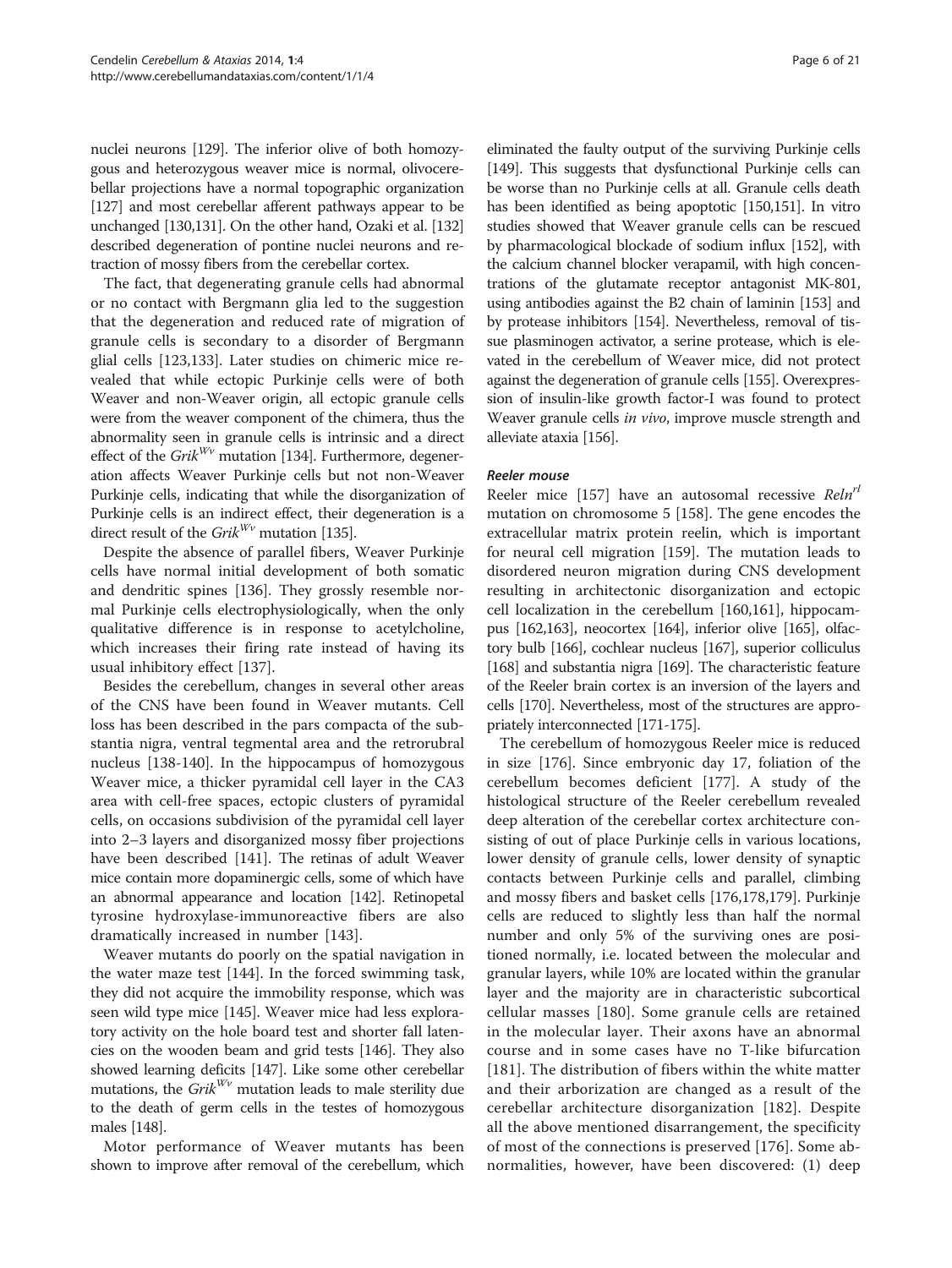nuclei neurons [\[129\]](#page-15-0). The inferior olive of both homozygous and heterozygous weaver mice is normal, olivocerebellar projections have a normal topographic organization [[127\]](#page-15-0) and most cerebellar afferent pathways appear to be unchanged [[130,131](#page-15-0)]. On the other hand, Ozaki et al. [\[132](#page-15-0)] described degeneration of pontine nuclei neurons and retraction of mossy fibers from the cerebellar cortex.

The fact, that degenerating granule cells had abnormal or no contact with Bergmann glia led to the suggestion that the degeneration and reduced rate of migration of granule cells is secondary to a disorder of Bergmann glial cells [\[123,133](#page-15-0)]. Later studies on chimeric mice revealed that while ectopic Purkinje cells were of both Weaver and non-Weaver origin, all ectopic granule cells were from the weaver component of the chimera, thus the abnormality seen in granule cells is intrinsic and a direct effect of the  $\textit{Grik}^{Wv}$  mutation [[134](#page-15-0)]. Furthermore, degeneration affects Weaver Purkinje cells but not non-Weaver Purkinje cells, indicating that while the disorganization of Purkinje cells is an indirect effect, their degeneration is a direct result of the  $Grik^{Wv}$  mutation [\[135](#page-15-0)].

Despite the absence of parallel fibers, Weaver Purkinje cells have normal initial development of both somatic and dendritic spines [[136\]](#page-15-0). They grossly resemble normal Purkinje cells electrophysiologically, when the only qualitative difference is in response to acetylcholine, which increases their firing rate instead of having its usual inhibitory effect [\[137\]](#page-15-0).

Besides the cerebellum, changes in several other areas of the CNS have been found in Weaver mutants. Cell loss has been described in the pars compacta of the substantia nigra, ventral tegmental area and the retrorubral nucleus [\[138-](#page-15-0)[140](#page-16-0)]. In the hippocampus of homozygous Weaver mice, a thicker pyramidal cell layer in the CA3 area with cell-free spaces, ectopic clusters of pyramidal cells, on occasions subdivision of the pyramidal cell layer into 2–3 layers and disorganized mossy fiber projections have been described [[141\]](#page-16-0). The retinas of adult Weaver mice contain more dopaminergic cells, some of which have an abnormal appearance and location [[142\]](#page-16-0). Retinopetal tyrosine hydroxylase-immunoreactive fibers are also dramatically increased in number [[143\]](#page-16-0).

Weaver mutants do poorly on the spatial navigation in the water maze test [[144\]](#page-16-0). In the forced swimming task, they did not acquire the immobility response, which was seen wild type mice [\[145\]](#page-16-0). Weaver mice had less exploratory activity on the hole board test and shorter fall latencies on the wooden beam and grid tests [\[146](#page-16-0)]. They also showed learning deficits [\[147](#page-16-0)]. Like some other cerebellar mutations, the  $\widetilde{Grik}^{Wv}$  mutation leads to male sterility due to the death of germ cells in the testes of homozygous males [\[148](#page-16-0)].

Motor performance of Weaver mutants has been shown to improve after removal of the cerebellum, which

eliminated the faulty output of the surviving Purkinje cells [[149](#page-16-0)]. This suggests that dysfunctional Purkinje cells can be worse than no Purkinje cells at all. Granule cells death has been identified as being apoptotic [[150,151](#page-16-0)]. In vitro studies showed that Weaver granule cells can be rescued by pharmacological blockade of sodium influx [\[152](#page-16-0)], with the calcium channel blocker verapamil, with high concentrations of the glutamate receptor antagonist MK-801, using antibodies against the B2 chain of laminin [\[153\]](#page-16-0) and by protease inhibitors [\[154\]](#page-16-0). Nevertheless, removal of tissue plasminogen activator, a serine protease, which is elevated in the cerebellum of Weaver mice, did not protect against the degeneration of granule cells [\[155](#page-16-0)]. Overexpression of insulin-like growth factor-I was found to protect Weaver granule cells in vivo, improve muscle strength and alleviate ataxia [[156\]](#page-16-0).

## Reeler mouse

Reeler mice [[157\]](#page-16-0) have an autosomal recessive  $Reln<sup>rl</sup>$ mutation on chromosome 5 [[158\]](#page-16-0). The gene encodes the extracellular matrix protein reelin, which is important for neural cell migration [[159](#page-16-0)]. The mutation leads to disordered neuron migration during CNS development resulting in architectonic disorganization and ectopic cell localization in the cerebellum [[160,161](#page-16-0)], hippocampus [[162,163](#page-16-0)], neocortex [\[164\]](#page-16-0), inferior olive [\[165](#page-16-0)], olfactory bulb [[166\]](#page-16-0), cochlear nucleus [\[167](#page-16-0)], superior colliculus [[168](#page-16-0)] and substantia nigra [[169\]](#page-16-0). The characteristic feature of the Reeler brain cortex is an inversion of the layers and cells [[170](#page-16-0)]. Nevertheless, most of the structures are appropriately interconnected [\[171-175](#page-16-0)].

The cerebellum of homozygous Reeler mice is reduced in size [\[176](#page-16-0)]. Since embryonic day 17, foliation of the cerebellum becomes deficient [[177\]](#page-16-0). A study of the histological structure of the Reeler cerebellum revealed deep alteration of the cerebellar cortex architecture consisting of out of place Purkinje cells in various locations, lower density of granule cells, lower density of synaptic contacts between Purkinje cells and parallel, climbing and mossy fibers and basket cells [\[176,178,179\]](#page-16-0). Purkinje cells are reduced to slightly less than half the normal number and only 5% of the surviving ones are positioned normally, i.e. located between the molecular and granular layers, while 10% are located within the granular layer and the majority are in characteristic subcortical cellular masses [[180\]](#page-16-0). Some granule cells are retained in the molecular layer. Their axons have an abnormal course and in some cases have no T-like bifurcation [[181](#page-16-0)]. The distribution of fibers within the white matter and their arborization are changed as a result of the cerebellar architecture disorganization [[182\]](#page-16-0). Despite all the above mentioned disarrangement, the specificity of most of the connections is preserved [[176](#page-16-0)]. Some abnormalities, however, have been discovered: (1) deep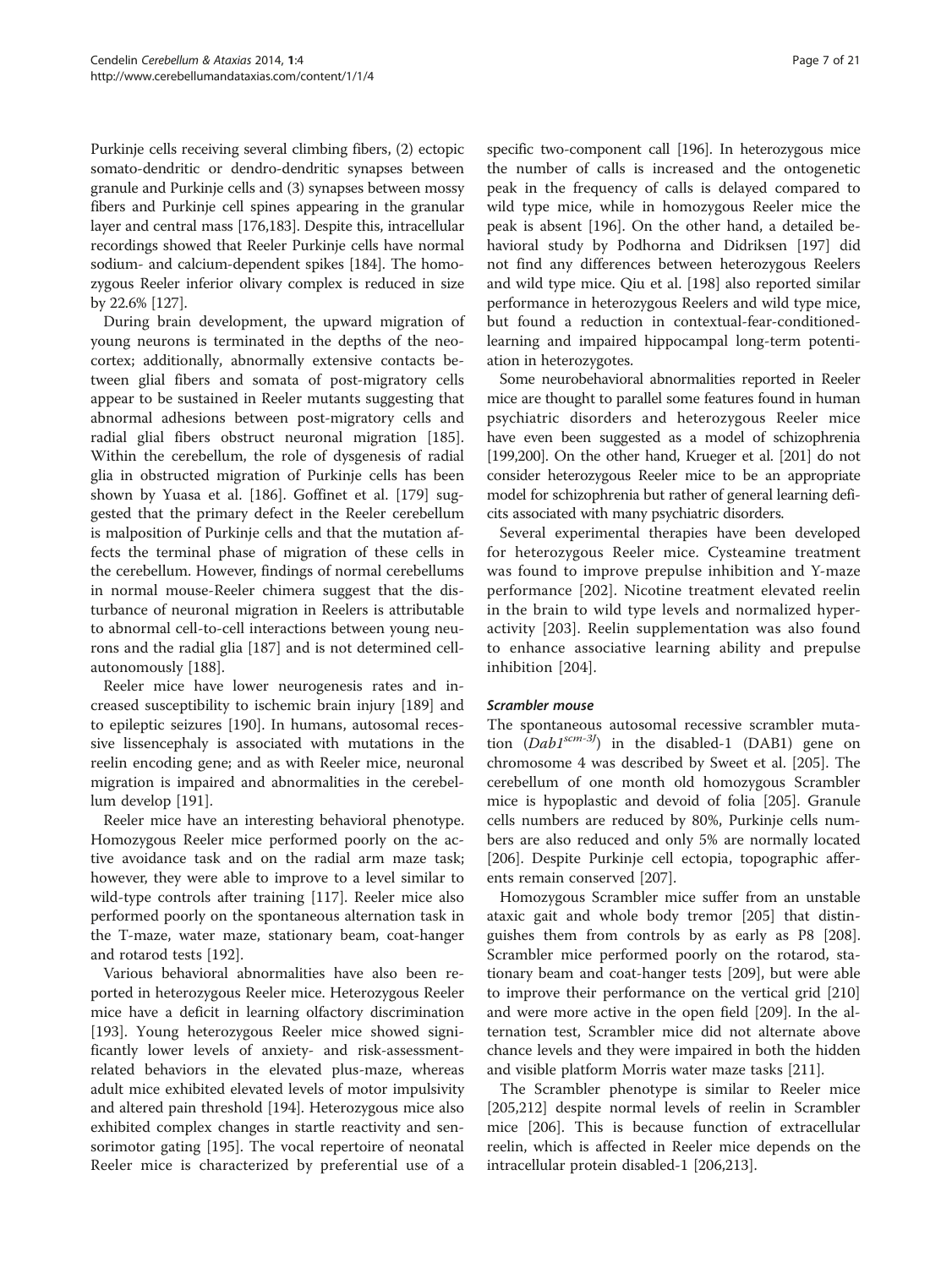Purkinje cells receiving several climbing fibers, (2) ectopic somato-dendritic or dendro-dendritic synapses between granule and Purkinje cells and (3) synapses between mossy fibers and Purkinje cell spines appearing in the granular layer and central mass [[176,183\]](#page-16-0). Despite this, intracellular recordings showed that Reeler Purkinje cells have normal sodium- and calcium-dependent spikes [[184](#page-16-0)]. The homozygous Reeler inferior olivary complex is reduced in size by 22.6% [[127](#page-15-0)].

During brain development, the upward migration of young neurons is terminated in the depths of the neocortex; additionally, abnormally extensive contacts between glial fibers and somata of post-migratory cells appear to be sustained in Reeler mutants suggesting that abnormal adhesions between post-migratory cells and radial glial fibers obstruct neuronal migration [\[185](#page-16-0)]. Within the cerebellum, the role of dysgenesis of radial glia in obstructed migration of Purkinje cells has been shown by Yuasa et al. [\[186\]](#page-16-0). Goffinet et al. [[179](#page-16-0)] suggested that the primary defect in the Reeler cerebellum is malposition of Purkinje cells and that the mutation affects the terminal phase of migration of these cells in the cerebellum. However, findings of normal cerebellums in normal mouse-Reeler chimera suggest that the disturbance of neuronal migration in Reelers is attributable to abnormal cell-to-cell interactions between young neurons and the radial glia [\[187\]](#page-17-0) and is not determined cellautonomously [[188](#page-17-0)].

Reeler mice have lower neurogenesis rates and increased susceptibility to ischemic brain injury [[189\]](#page-17-0) and to epileptic seizures [[190\]](#page-17-0). In humans, autosomal recessive lissencephaly is associated with mutations in the reelin encoding gene; and as with Reeler mice, neuronal migration is impaired and abnormalities in the cerebellum develop [\[191](#page-17-0)].

Reeler mice have an interesting behavioral phenotype. Homozygous Reeler mice performed poorly on the active avoidance task and on the radial arm maze task; however, they were able to improve to a level similar to wild-type controls after training [[117](#page-15-0)]. Reeler mice also performed poorly on the spontaneous alternation task in the T-maze, water maze, stationary beam, coat-hanger and rotarod tests [\[192](#page-17-0)].

Various behavioral abnormalities have also been reported in heterozygous Reeler mice. Heterozygous Reeler mice have a deficit in learning olfactory discrimination [[193\]](#page-17-0). Young heterozygous Reeler mice showed significantly lower levels of anxiety- and risk-assessmentrelated behaviors in the elevated plus-maze, whereas adult mice exhibited elevated levels of motor impulsivity and altered pain threshold [[194](#page-17-0)]. Heterozygous mice also exhibited complex changes in startle reactivity and sensorimotor gating [\[195](#page-17-0)]. The vocal repertoire of neonatal Reeler mice is characterized by preferential use of a

specific two-component call [[196\]](#page-17-0). In heterozygous mice the number of calls is increased and the ontogenetic peak in the frequency of calls is delayed compared to wild type mice, while in homozygous Reeler mice the peak is absent [\[196](#page-17-0)]. On the other hand, a detailed behavioral study by Podhorna and Didriksen [[197\]](#page-17-0) did not find any differences between heterozygous Reelers and wild type mice. Qiu et al. [\[198\]](#page-17-0) also reported similar performance in heterozygous Reelers and wild type mice, but found a reduction in contextual-fear-conditionedlearning and impaired hippocampal long-term potentiation in heterozygotes.

Some neurobehavioral abnormalities reported in Reeler mice are thought to parallel some features found in human psychiatric disorders and heterozygous Reeler mice have even been suggested as a model of schizophrenia [[199,200](#page-17-0)]. On the other hand, Krueger et al. [[201\]](#page-17-0) do not consider heterozygous Reeler mice to be an appropriate model for schizophrenia but rather of general learning deficits associated with many psychiatric disorders.

Several experimental therapies have been developed for heterozygous Reeler mice. Cysteamine treatment was found to improve prepulse inhibition and Y-maze performance [[202\]](#page-17-0). Nicotine treatment elevated reelin in the brain to wild type levels and normalized hyperactivity [[203\]](#page-17-0). Reelin supplementation was also found to enhance associative learning ability and prepulse inhibition [[204\]](#page-17-0).

#### Scrambler mouse

The spontaneous autosomal recessive scrambler mutation  $(Dab1^{sem-3)}$  in the disabled-1 (DAB1) gene on chromosome 4 was described by Sweet et al. [[205\]](#page-17-0). The cerebellum of one month old homozygous Scrambler mice is hypoplastic and devoid of folia [[205](#page-17-0)]. Granule cells numbers are reduced by 80%, Purkinje cells numbers are also reduced and only 5% are normally located [[206\]](#page-17-0). Despite Purkinje cell ectopia, topographic afferents remain conserved [\[207](#page-17-0)].

Homozygous Scrambler mice suffer from an unstable ataxic gait and whole body tremor [\[205\]](#page-17-0) that distinguishes them from controls by as early as P8 [[208](#page-17-0)]. Scrambler mice performed poorly on the rotarod, stationary beam and coat-hanger tests [\[209](#page-17-0)], but were able to improve their performance on the vertical grid [[210](#page-17-0)] and were more active in the open field [\[209\]](#page-17-0). In the alternation test, Scrambler mice did not alternate above chance levels and they were impaired in both the hidden and visible platform Morris water maze tasks [\[211\]](#page-17-0).

The Scrambler phenotype is similar to Reeler mice [[205,212](#page-17-0)] despite normal levels of reelin in Scrambler mice [\[206](#page-17-0)]. This is because function of extracellular reelin, which is affected in Reeler mice depends on the intracellular protein disabled-1 [\[206,213\]](#page-17-0).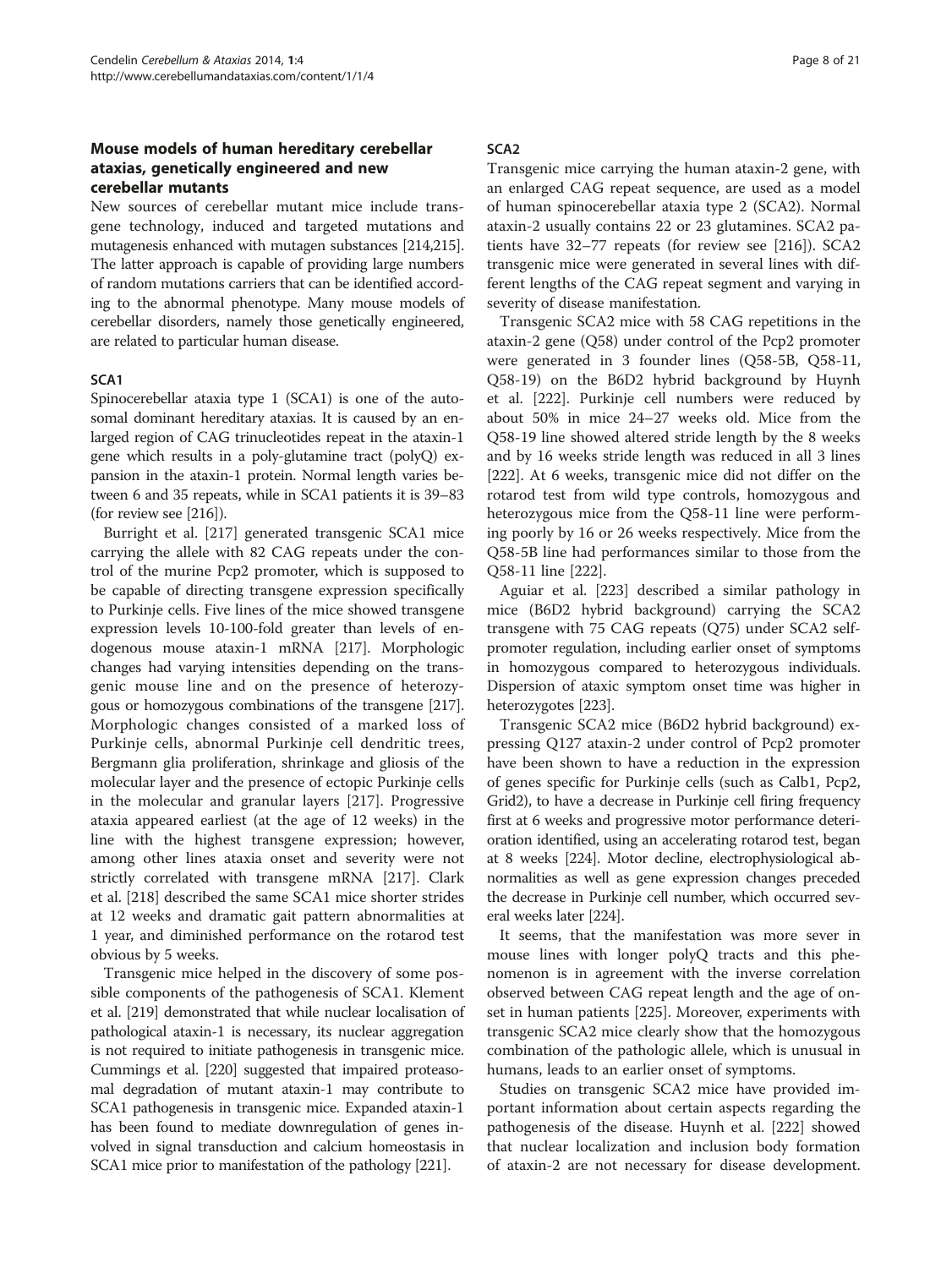# Mouse models of human hereditary cerebellar ataxias, genetically engineered and new cerebellar mutants

New sources of cerebellar mutant mice include transgene technology, induced and targeted mutations and mutagenesis enhanced with mutagen substances [[214,215](#page-17-0)]. The latter approach is capable of providing large numbers of random mutations carriers that can be identified according to the abnormal phenotype. Many mouse models of cerebellar disorders, namely those genetically engineered, are related to particular human disease.

## SCA1

Spinocerebellar ataxia type 1 (SCA1) is one of the autosomal dominant hereditary ataxias. It is caused by an enlarged region of CAG trinucleotides repeat in the ataxin-1 gene which results in a poly-glutamine tract (polyQ) expansion in the ataxin-1 protein. Normal length varies between 6 and 35 repeats, while in SCA1 patients it is 39–83 (for review see [[216\]](#page-17-0)).

Burright et al. [\[217\]](#page-17-0) generated transgenic SCA1 mice carrying the allele with 82 CAG repeats under the control of the murine Pcp2 promoter, which is supposed to be capable of directing transgene expression specifically to Purkinje cells. Five lines of the mice showed transgene expression levels 10-100-fold greater than levels of endogenous mouse ataxin-1 mRNA [\[217\]](#page-17-0). Morphologic changes had varying intensities depending on the transgenic mouse line and on the presence of heterozygous or homozygous combinations of the transgene [\[217](#page-17-0)]. Morphologic changes consisted of a marked loss of Purkinje cells, abnormal Purkinje cell dendritic trees, Bergmann glia proliferation, shrinkage and gliosis of the molecular layer and the presence of ectopic Purkinje cells in the molecular and granular layers [\[217\]](#page-17-0). Progressive ataxia appeared earliest (at the age of 12 weeks) in the line with the highest transgene expression; however, among other lines ataxia onset and severity were not strictly correlated with transgene mRNA [[217](#page-17-0)]. Clark et al. [\[218\]](#page-17-0) described the same SCA1 mice shorter strides at 12 weeks and dramatic gait pattern abnormalities at 1 year, and diminished performance on the rotarod test obvious by 5 weeks.

Transgenic mice helped in the discovery of some possible components of the pathogenesis of SCA1. Klement et al. [\[219](#page-17-0)] demonstrated that while nuclear localisation of pathological ataxin-1 is necessary, its nuclear aggregation is not required to initiate pathogenesis in transgenic mice. Cummings et al. [\[220\]](#page-17-0) suggested that impaired proteasomal degradation of mutant ataxin-1 may contribute to SCA1 pathogenesis in transgenic mice. Expanded ataxin-1 has been found to mediate downregulation of genes involved in signal transduction and calcium homeostasis in SCA1 mice prior to manifestation of the pathology [[221\]](#page-17-0).

## SCA2

Transgenic mice carrying the human ataxin-2 gene, with an enlarged CAG repeat sequence, are used as a model of human spinocerebellar ataxia type 2 (SCA2). Normal ataxin-2 usually contains 22 or 23 glutamines. SCA2 patients have 32–77 repeats (for review see [\[216](#page-17-0)]). SCA2 transgenic mice were generated in several lines with different lengths of the CAG repeat segment and varying in severity of disease manifestation.

Transgenic SCA2 mice with 58 CAG repetitions in the ataxin-2 gene (Q58) under control of the Pcp2 promoter were generated in 3 founder lines (Q58-5B, Q58-11, Q58-19) on the B6D2 hybrid background by Huynh et al. [[222](#page-17-0)]. Purkinje cell numbers were reduced by about 50% in mice 24–27 weeks old. Mice from the Q58-19 line showed altered stride length by the 8 weeks and by 16 weeks stride length was reduced in all 3 lines [[222\]](#page-17-0). At 6 weeks, transgenic mice did not differ on the rotarod test from wild type controls, homozygous and heterozygous mice from the Q58-11 line were performing poorly by 16 or 26 weeks respectively. Mice from the Q58-5B line had performances similar to those from the Q58-11 line [[222](#page-17-0)].

Aguiar et al. [[223\]](#page-17-0) described a similar pathology in mice (B6D2 hybrid background) carrying the SCA2 transgene with 75 CAG repeats (Q75) under SCA2 selfpromoter regulation, including earlier onset of symptoms in homozygous compared to heterozygous individuals. Dispersion of ataxic symptom onset time was higher in heterozygotes [\[223\]](#page-17-0).

Transgenic SCA2 mice (B6D2 hybrid background) expressing Q127 ataxin-2 under control of Pcp2 promoter have been shown to have a reduction in the expression of genes specific for Purkinje cells (such as Calb1, Pcp2, Grid2), to have a decrease in Purkinje cell firing frequency first at 6 weeks and progressive motor performance deterioration identified, using an accelerating rotarod test, began at 8 weeks [\[224\]](#page-17-0). Motor decline, electrophysiological abnormalities as well as gene expression changes preceded the decrease in Purkinje cell number, which occurred several weeks later [\[224\]](#page-17-0).

It seems, that the manifestation was more sever in mouse lines with longer polyQ tracts and this phenomenon is in agreement with the inverse correlation observed between CAG repeat length and the age of onset in human patients [\[225\]](#page-17-0). Moreover, experiments with transgenic SCA2 mice clearly show that the homozygous combination of the pathologic allele, which is unusual in humans, leads to an earlier onset of symptoms.

Studies on transgenic SCA2 mice have provided important information about certain aspects regarding the pathogenesis of the disease. Huynh et al. [[222\]](#page-17-0) showed that nuclear localization and inclusion body formation of ataxin-2 are not necessary for disease development.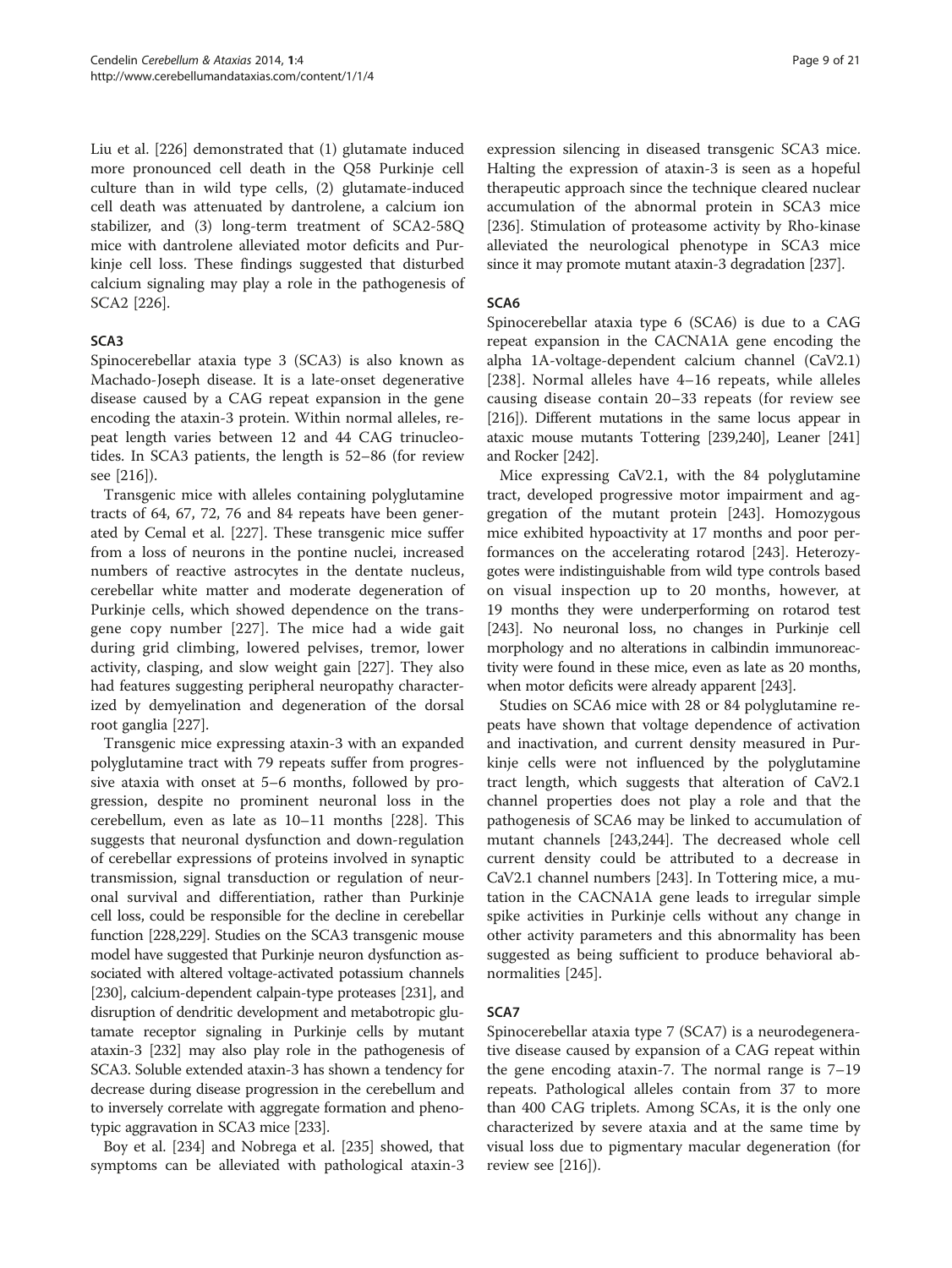Liu et al. [[226\]](#page-17-0) demonstrated that (1) glutamate induced more pronounced cell death in the Q58 Purkinje cell culture than in wild type cells, (2) glutamate-induced cell death was attenuated by dantrolene, a calcium ion stabilizer, and (3) long-term treatment of SCA2-58Q mice with dantrolene alleviated motor deficits and Purkinje cell loss. These findings suggested that disturbed calcium signaling may play a role in the pathogenesis of SCA2 [[226](#page-17-0)].

## SCA3

Spinocerebellar ataxia type 3 (SCA3) is also known as Machado-Joseph disease. It is a late-onset degenerative disease caused by a CAG repeat expansion in the gene encoding the ataxin-3 protein. Within normal alleles, repeat length varies between 12 and 44 CAG trinucleotides. In SCA3 patients, the length is 52–86 (for review see [\[216](#page-17-0)]).

Transgenic mice with alleles containing polyglutamine tracts of 64, 67, 72, 76 and 84 repeats have been generated by Cemal et al. [\[227](#page-17-0)]. These transgenic mice suffer from a loss of neurons in the pontine nuclei, increased numbers of reactive astrocytes in the dentate nucleus, cerebellar white matter and moderate degeneration of Purkinje cells, which showed dependence on the transgene copy number [[227\]](#page-17-0). The mice had a wide gait during grid climbing, lowered pelvises, tremor, lower activity, clasping, and slow weight gain [[227](#page-17-0)]. They also had features suggesting peripheral neuropathy characterized by demyelination and degeneration of the dorsal root ganglia [[227\]](#page-17-0).

Transgenic mice expressing ataxin-3 with an expanded polyglutamine tract with 79 repeats suffer from progressive ataxia with onset at 5–6 months, followed by progression, despite no prominent neuronal loss in the cerebellum, even as late as 10–11 months [[228](#page-17-0)]. This suggests that neuronal dysfunction and down-regulation of cerebellar expressions of proteins involved in synaptic transmission, signal transduction or regulation of neuronal survival and differentiation, rather than Purkinje cell loss, could be responsible for the decline in cerebellar function [[228](#page-17-0)[,229](#page-18-0)]. Studies on the SCA3 transgenic mouse model have suggested that Purkinje neuron dysfunction associated with altered voltage-activated potassium channels [[230\]](#page-18-0), calcium-dependent calpain-type proteases [[231\]](#page-18-0), and disruption of dendritic development and metabotropic glutamate receptor signaling in Purkinje cells by mutant ataxin-3 [\[232\]](#page-18-0) may also play role in the pathogenesis of SCA3. Soluble extended ataxin-3 has shown a tendency for decrease during disease progression in the cerebellum and to inversely correlate with aggregate formation and phenotypic aggravation in SCA3 mice [\[233](#page-18-0)].

Boy et al. [[234](#page-18-0)] and Nobrega et al. [[235](#page-18-0)] showed, that symptoms can be alleviated with pathological ataxin-3 expression silencing in diseased transgenic SCA3 mice. Halting the expression of ataxin-3 is seen as a hopeful therapeutic approach since the technique cleared nuclear accumulation of the abnormal protein in SCA3 mice [[236\]](#page-18-0). Stimulation of proteasome activity by Rho-kinase alleviated the neurological phenotype in SCA3 mice since it may promote mutant ataxin-3 degradation [\[237\]](#page-18-0).

#### SCA6

Spinocerebellar ataxia type 6 (SCA6) is due to a CAG repeat expansion in the CACNA1A gene encoding the alpha 1A-voltage-dependent calcium channel (CaV2.1) [[238](#page-18-0)]. Normal alleles have 4–16 repeats, while alleles causing disease contain 20–33 repeats (for review see [[216](#page-17-0)]). Different mutations in the same locus appear in ataxic mouse mutants Tottering [[239,240](#page-18-0)], Leaner [\[241](#page-18-0)] and Rocker [\[242\]](#page-18-0).

Mice expressing CaV2.1, with the 84 polyglutamine tract, developed progressive motor impairment and aggregation of the mutant protein [\[243](#page-18-0)]. Homozygous mice exhibited hypoactivity at 17 months and poor performances on the accelerating rotarod [[243](#page-18-0)]. Heterozygotes were indistinguishable from wild type controls based on visual inspection up to 20 months, however, at 19 months they were underperforming on rotarod test [[243](#page-18-0)]. No neuronal loss, no changes in Purkinje cell morphology and no alterations in calbindin immunoreactivity were found in these mice, even as late as 20 months, when motor deficits were already apparent [[243](#page-18-0)].

Studies on SCA6 mice with 28 or 84 polyglutamine repeats have shown that voltage dependence of activation and inactivation, and current density measured in Purkinje cells were not influenced by the polyglutamine tract length, which suggests that alteration of CaV2.1 channel properties does not play a role and that the pathogenesis of SCA6 may be linked to accumulation of mutant channels [[243,244](#page-18-0)]. The decreased whole cell current density could be attributed to a decrease in CaV2.1 channel numbers [\[243](#page-18-0)]. In Tottering mice, a mutation in the CACNA1A gene leads to irregular simple spike activities in Purkinje cells without any change in other activity parameters and this abnormality has been suggested as being sufficient to produce behavioral abnormalities [[245](#page-18-0)].

## SCA7

Spinocerebellar ataxia type 7 (SCA7) is a neurodegenerative disease caused by expansion of a CAG repeat within the gene encoding ataxin-7. The normal range is 7–19 repeats. Pathological alleles contain from 37 to more than 400 CAG triplets. Among SCAs, it is the only one characterized by severe ataxia and at the same time by visual loss due to pigmentary macular degeneration (for review see [[216\]](#page-17-0)).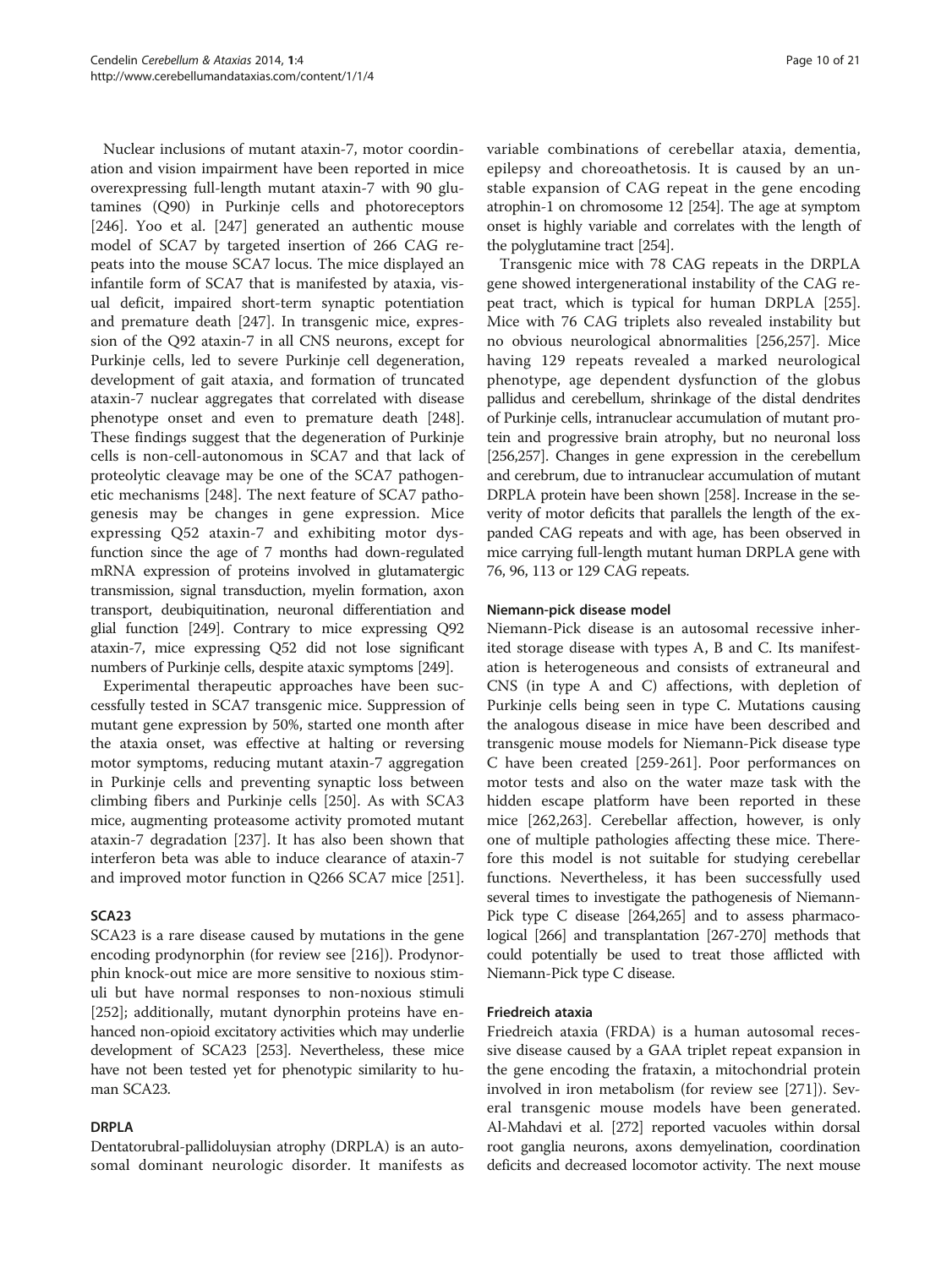Nuclear inclusions of mutant ataxin-7, motor coordination and vision impairment have been reported in mice overexpressing full-length mutant ataxin-7 with 90 glutamines (Q90) in Purkinje cells and photoreceptors [[246\]](#page-18-0). Yoo et al. [\[247\]](#page-18-0) generated an authentic mouse model of SCA7 by targeted insertion of 266 CAG repeats into the mouse SCA7 locus. The mice displayed an infantile form of SCA7 that is manifested by ataxia, visual deficit, impaired short-term synaptic potentiation and premature death [[247\]](#page-18-0). In transgenic mice, expression of the Q92 ataxin-7 in all CNS neurons, except for Purkinje cells, led to severe Purkinje cell degeneration, development of gait ataxia, and formation of truncated ataxin-7 nuclear aggregates that correlated with disease phenotype onset and even to premature death [\[248](#page-18-0)]. These findings suggest that the degeneration of Purkinje cells is non-cell-autonomous in SCA7 and that lack of proteolytic cleavage may be one of the SCA7 pathogenetic mechanisms [\[248\]](#page-18-0). The next feature of SCA7 pathogenesis may be changes in gene expression. Mice expressing Q52 ataxin-7 and exhibiting motor dysfunction since the age of 7 months had down-regulated mRNA expression of proteins involved in glutamatergic transmission, signal transduction, myelin formation, axon transport, deubiquitination, neuronal differentiation and glial function [[249\]](#page-18-0). Contrary to mice expressing Q92 ataxin-7, mice expressing Q52 did not lose significant numbers of Purkinje cells, despite ataxic symptoms [\[249\]](#page-18-0).

Experimental therapeutic approaches have been successfully tested in SCA7 transgenic mice. Suppression of mutant gene expression by 50%, started one month after the ataxia onset, was effective at halting or reversing motor symptoms, reducing mutant ataxin-7 aggregation in Purkinje cells and preventing synaptic loss between climbing fibers and Purkinje cells [[250](#page-18-0)]. As with SCA3 mice, augmenting proteasome activity promoted mutant ataxin-7 degradation [\[237\]](#page-18-0). It has also been shown that interferon beta was able to induce clearance of ataxin-7 and improved motor function in Q266 SCA7 mice [\[251](#page-18-0)].

#### SCA23

SCA23 is a rare disease caused by mutations in the gene encoding prodynorphin (for review see [[216](#page-17-0)]). Prodynorphin knock-out mice are more sensitive to noxious stimuli but have normal responses to non-noxious stimuli [[252\]](#page-18-0); additionally, mutant dynorphin proteins have enhanced non-opioid excitatory activities which may underlie development of SCA23 [\[253](#page-18-0)]. Nevertheless, these mice have not been tested yet for phenotypic similarity to human SCA23.

#### DRPLA

Dentatorubral-pallidoluysian atrophy (DRPLA) is an autosomal dominant neurologic disorder. It manifests as variable combinations of cerebellar ataxia, dementia, epilepsy and choreoathetosis. It is caused by an unstable expansion of CAG repeat in the gene encoding atrophin-1 on chromosome 12 [[254\]](#page-18-0). The age at symptom onset is highly variable and correlates with the length of the polyglutamine tract [\[254](#page-18-0)].

Transgenic mice with 78 CAG repeats in the DRPLA gene showed intergenerational instability of the CAG repeat tract, which is typical for human DRPLA [[255](#page-18-0)]. Mice with 76 CAG triplets also revealed instability but no obvious neurological abnormalities [\[256,257\]](#page-18-0). Mice having 129 repeats revealed a marked neurological phenotype, age dependent dysfunction of the globus pallidus and cerebellum, shrinkage of the distal dendrites of Purkinje cells, intranuclear accumulation of mutant protein and progressive brain atrophy, but no neuronal loss [[256,257](#page-18-0)]. Changes in gene expression in the cerebellum and cerebrum, due to intranuclear accumulation of mutant DRPLA protein have been shown [[258\]](#page-18-0). Increase in the severity of motor deficits that parallels the length of the expanded CAG repeats and with age, has been observed in mice carrying full-length mutant human DRPLA gene with 76, 96, 113 or 129 CAG repeats.

#### Niemann-pick disease model

Niemann-Pick disease is an autosomal recessive inherited storage disease with types A, B and C. Its manifestation is heterogeneous and consists of extraneural and CNS (in type A and C) affections, with depletion of Purkinje cells being seen in type C. Mutations causing the analogous disease in mice have been described and transgenic mouse models for Niemann-Pick disease type C have been created [[259](#page-18-0)-[261\]](#page-18-0). Poor performances on motor tests and also on the water maze task with the hidden escape platform have been reported in these mice [\[262,263\]](#page-19-0). Cerebellar affection, however, is only one of multiple pathologies affecting these mice. Therefore this model is not suitable for studying cerebellar functions. Nevertheless, it has been successfully used several times to investigate the pathogenesis of Niemann-Pick type C disease [[264,265](#page-19-0)] and to assess pharmacological [\[266\]](#page-19-0) and transplantation [\[267](#page-19-0)-[270\]](#page-19-0) methods that could potentially be used to treat those afflicted with Niemann-Pick type C disease.

#### Friedreich ataxia

Friedreich ataxia (FRDA) is a human autosomal recessive disease caused by a GAA triplet repeat expansion in the gene encoding the frataxin, a mitochondrial protein involved in iron metabolism (for review see [\[271\]](#page-19-0)). Several transgenic mouse models have been generated. Al-Mahdavi et al. [[272\]](#page-19-0) reported vacuoles within dorsal root ganglia neurons, axons demyelination, coordination deficits and decreased locomotor activity. The next mouse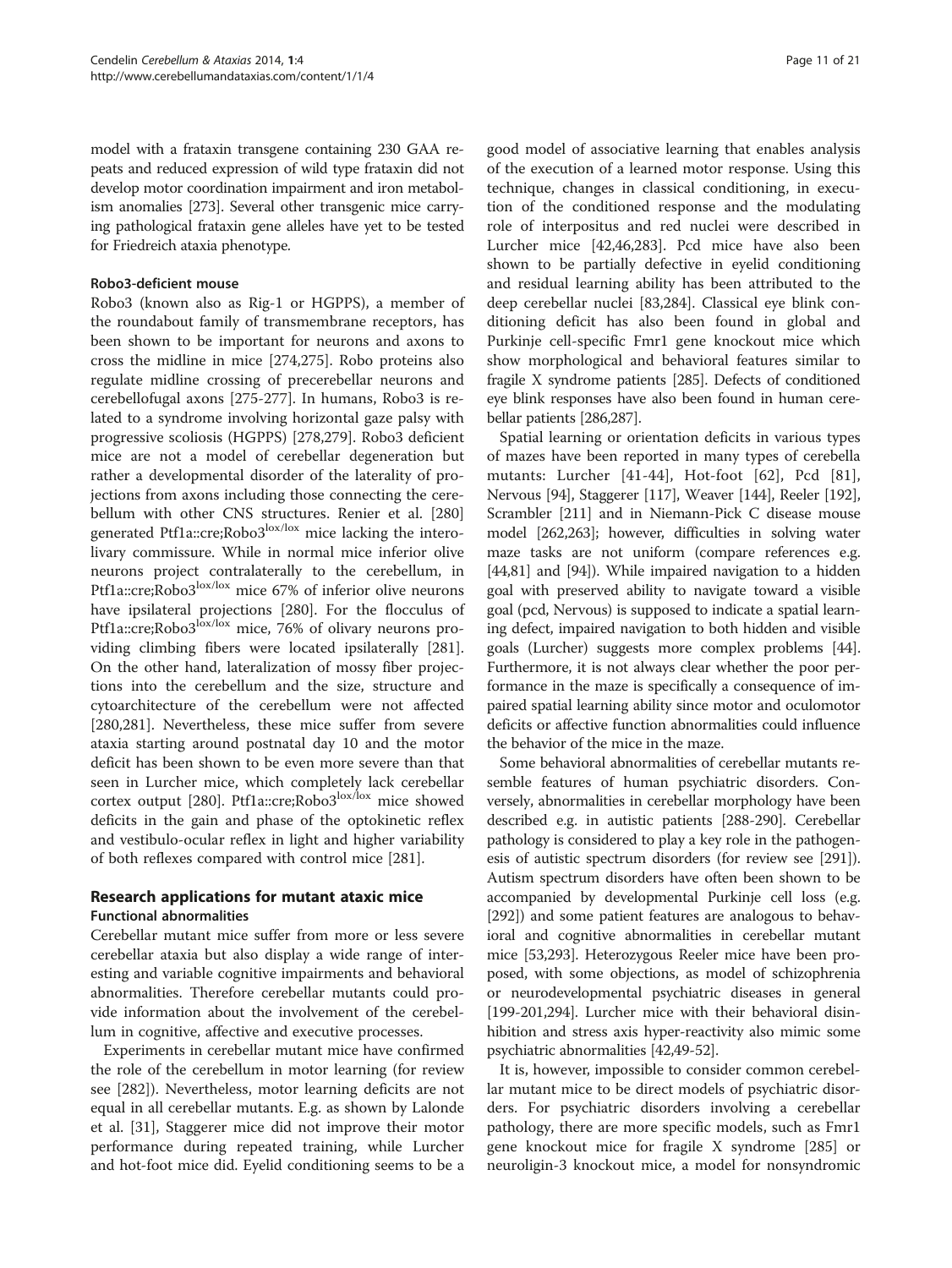model with a frataxin transgene containing 230 GAA repeats and reduced expression of wild type frataxin did not develop motor coordination impairment and iron metabolism anomalies [[273\]](#page-19-0). Several other transgenic mice carrying pathological frataxin gene alleles have yet to be tested for Friedreich ataxia phenotype.

#### Robo3-deficient mouse

Robo3 (known also as Rig-1 or HGPPS), a member of the roundabout family of transmembrane receptors, has been shown to be important for neurons and axons to cross the midline in mice [\[274,275\]](#page-19-0). Robo proteins also regulate midline crossing of precerebellar neurons and cerebellofugal axons [[275-277\]](#page-19-0). In humans, Robo3 is related to a syndrome involving horizontal gaze palsy with progressive scoliosis (HGPPS) [\[278,279\]](#page-19-0). Robo3 deficient mice are not a model of cerebellar degeneration but rather a developmental disorder of the laterality of projections from axons including those connecting the cerebellum with other CNS structures. Renier et al. [[280](#page-19-0)] generated Ptf1a::cre;Robo3<sup>lox/lox</sup> mice lacking the interolivary commissure. While in normal mice inferior olive neurons project contralaterally to the cerebellum, in Ptf1a::cre;Robo3<sup>lox/lox</sup> mice 67% of inferior olive neurons have ipsilateral projections [[280](#page-19-0)]. For the flocculus of Ptf1a::cre;Robo3<sup>lox/lox</sup> mice, 76% of olivary neurons providing climbing fibers were located ipsilaterally [\[281](#page-19-0)]. On the other hand, lateralization of mossy fiber projections into the cerebellum and the size, structure and cytoarchitecture of the cerebellum were not affected [[280,281](#page-19-0)]. Nevertheless, these mice suffer from severe ataxia starting around postnatal day 10 and the motor deficit has been shown to be even more severe than that seen in Lurcher mice, which completely lack cerebellar cortex output [[280](#page-19-0)]. Ptf1a::cre;Robo3<sup>lox/lox</sup> mice showed deficits in the gain and phase of the optokinetic reflex and vestibulo-ocular reflex in light and higher variability of both reflexes compared with control mice [[281\]](#page-19-0).

## Research applications for mutant ataxic mice Functional abnormalities

Cerebellar mutant mice suffer from more or less severe cerebellar ataxia but also display a wide range of interesting and variable cognitive impairments and behavioral abnormalities. Therefore cerebellar mutants could provide information about the involvement of the cerebellum in cognitive, affective and executive processes.

Experiments in cerebellar mutant mice have confirmed the role of the cerebellum in motor learning (for review see [\[282\]](#page-19-0)). Nevertheless, motor learning deficits are not equal in all cerebellar mutants. E.g. as shown by Lalonde et al. [[31](#page-13-0)], Staggerer mice did not improve their motor performance during repeated training, while Lurcher and hot-foot mice did. Eyelid conditioning seems to be a

good model of associative learning that enables analysis of the execution of a learned motor response. Using this technique, changes in classical conditioning, in execution of the conditioned response and the modulating role of interpositus and red nuclei were described in Lurcher mice [\[42,](#page-13-0)[46,](#page-14-0)[283\]](#page-19-0). Pcd mice have also been shown to be partially defective in eyelid conditioning and residual learning ability has been attributed to the deep cerebellar nuclei [\[83](#page-14-0)[,284\]](#page-19-0). Classical eye blink conditioning deficit has also been found in global and Purkinje cell-specific Fmr1 gene knockout mice which show morphological and behavioral features similar to fragile X syndrome patients [[285\]](#page-19-0). Defects of conditioned eye blink responses have also been found in human cerebellar patients [[286,287](#page-19-0)].

Spatial learning or orientation deficits in various types of mazes have been reported in many types of cerebella mutants: Lurcher [[41](#page-13-0)-[44\]](#page-14-0), Hot-foot [[62](#page-14-0)], Pcd [[81](#page-14-0)], Nervous [[94](#page-15-0)], Staggerer [\[117](#page-15-0)], Weaver [\[144\]](#page-16-0), Reeler [\[192](#page-17-0)], Scrambler [\[211](#page-17-0)] and in Niemann-Pick C disease mouse model [[262,263\]](#page-19-0); however, difficulties in solving water maze tasks are not uniform (compare references e.g. [[44](#page-14-0),[81](#page-14-0)] and [\[94](#page-15-0)]). While impaired navigation to a hidden goal with preserved ability to navigate toward a visible goal (pcd, Nervous) is supposed to indicate a spatial learning defect, impaired navigation to both hidden and visible goals (Lurcher) suggests more complex problems [[44](#page-14-0)]. Furthermore, it is not always clear whether the poor performance in the maze is specifically a consequence of impaired spatial learning ability since motor and oculomotor deficits or affective function abnormalities could influence the behavior of the mice in the maze.

Some behavioral abnormalities of cerebellar mutants resemble features of human psychiatric disorders. Conversely, abnormalities in cerebellar morphology have been described e.g. in autistic patients [\[288-290\]](#page-19-0). Cerebellar pathology is considered to play a key role in the pathogenesis of autistic spectrum disorders (for review see [[291](#page-19-0)]). Autism spectrum disorders have often been shown to be accompanied by developmental Purkinje cell loss (e.g. [[292](#page-19-0)]) and some patient features are analogous to behavioral and cognitive abnormalities in cerebellar mutant mice [[53](#page-14-0),[293](#page-19-0)]. Heterozygous Reeler mice have been proposed, with some objections, as model of schizophrenia or neurodevelopmental psychiatric diseases in general [[199](#page-17-0)-[201](#page-17-0)[,294\]](#page-19-0). Lurcher mice with their behavioral disinhibition and stress axis hyper-reactivity also mimic some psychiatric abnormalities [\[42,](#page-13-0)[49-52\]](#page-14-0).

It is, however, impossible to consider common cerebellar mutant mice to be direct models of psychiatric disorders. For psychiatric disorders involving a cerebellar pathology, there are more specific models, such as Fmr1 gene knockout mice for fragile X syndrome [\[285](#page-19-0)] or neuroligin-3 knockout mice, a model for nonsyndromic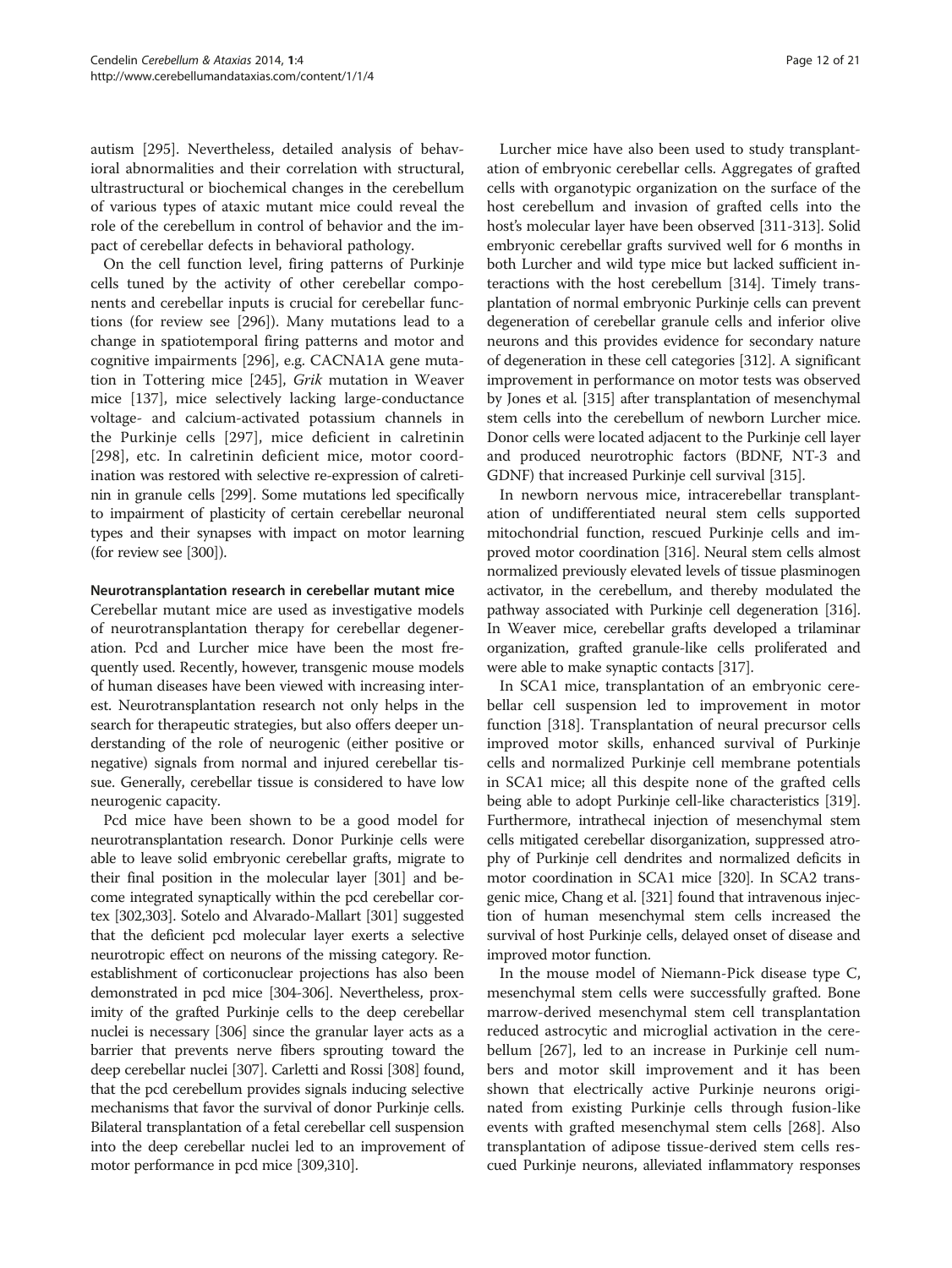autism [\[295\]](#page-19-0). Nevertheless, detailed analysis of behavioral abnormalities and their correlation with structural, ultrastructural or biochemical changes in the cerebellum of various types of ataxic mutant mice could reveal the role of the cerebellum in control of behavior and the impact of cerebellar defects in behavioral pathology.

On the cell function level, firing patterns of Purkinje cells tuned by the activity of other cerebellar components and cerebellar inputs is crucial for cerebellar functions (for review see [\[296](#page-19-0)]). Many mutations lead to a change in spatiotemporal firing patterns and motor and cognitive impairments [\[296](#page-19-0)], e.g. CACNA1A gene mutation in Tottering mice [\[245\]](#page-18-0), Grik mutation in Weaver mice [[137](#page-15-0)], mice selectively lacking large-conductance voltage- and calcium-activated potassium channels in the Purkinje cells [[297\]](#page-19-0), mice deficient in calretinin [[298](#page-19-0)], etc. In calretinin deficient mice, motor coordination was restored with selective re-expression of calretinin in granule cells [\[299](#page-19-0)]. Some mutations led specifically to impairment of plasticity of certain cerebellar neuronal types and their synapses with impact on motor learning (for review see [[300\]](#page-19-0)).

#### Neurotransplantation research in cerebellar mutant mice

Cerebellar mutant mice are used as investigative models of neurotransplantation therapy for cerebellar degeneration. Pcd and Lurcher mice have been the most frequently used. Recently, however, transgenic mouse models of human diseases have been viewed with increasing interest. Neurotransplantation research not only helps in the search for therapeutic strategies, but also offers deeper understanding of the role of neurogenic (either positive or negative) signals from normal and injured cerebellar tissue. Generally, cerebellar tissue is considered to have low neurogenic capacity.

Pcd mice have been shown to be a good model for neurotransplantation research. Donor Purkinje cells were able to leave solid embryonic cerebellar grafts, migrate to their final position in the molecular layer [[301](#page-20-0)] and become integrated synaptically within the pcd cerebellar cortex [[302,303](#page-20-0)]. Sotelo and Alvarado-Mallart [\[301](#page-20-0)] suggested that the deficient pcd molecular layer exerts a selective neurotropic effect on neurons of the missing category. Reestablishment of corticonuclear projections has also been demonstrated in pcd mice [\[304-306](#page-20-0)]. Nevertheless, proximity of the grafted Purkinje cells to the deep cerebellar nuclei is necessary [\[306\]](#page-20-0) since the granular layer acts as a barrier that prevents nerve fibers sprouting toward the deep cerebellar nuclei [\[307](#page-20-0)]. Carletti and Rossi [\[308\]](#page-20-0) found, that the pcd cerebellum provides signals inducing selective mechanisms that favor the survival of donor Purkinje cells. Bilateral transplantation of a fetal cerebellar cell suspension into the deep cerebellar nuclei led to an improvement of motor performance in pcd mice [[309,310](#page-20-0)].

Lurcher mice have also been used to study transplantation of embryonic cerebellar cells. Aggregates of grafted cells with organotypic organization on the surface of the host cerebellum and invasion of grafted cells into the host's molecular layer have been observed [\[311-313\]](#page-20-0). Solid embryonic cerebellar grafts survived well for 6 months in both Lurcher and wild type mice but lacked sufficient interactions with the host cerebellum [\[314](#page-20-0)]. Timely transplantation of normal embryonic Purkinje cells can prevent degeneration of cerebellar granule cells and inferior olive neurons and this provides evidence for secondary nature of degeneration in these cell categories [[312](#page-20-0)]. A significant improvement in performance on motor tests was observed by Jones et al. [[315](#page-20-0)] after transplantation of mesenchymal stem cells into the cerebellum of newborn Lurcher mice. Donor cells were located adjacent to the Purkinje cell layer and produced neurotrophic factors (BDNF, NT-3 and GDNF) that increased Purkinje cell survival [\[315\]](#page-20-0).

In newborn nervous mice, intracerebellar transplantation of undifferentiated neural stem cells supported mitochondrial function, rescued Purkinje cells and improved motor coordination [[316\]](#page-20-0). Neural stem cells almost normalized previously elevated levels of tissue plasminogen activator, in the cerebellum, and thereby modulated the pathway associated with Purkinje cell degeneration [\[316](#page-20-0)]. In Weaver mice, cerebellar grafts developed a trilaminar organization, grafted granule-like cells proliferated and were able to make synaptic contacts [\[317\]](#page-20-0).

In SCA1 mice, transplantation of an embryonic cerebellar cell suspension led to improvement in motor function [[318](#page-20-0)]. Transplantation of neural precursor cells improved motor skills, enhanced survival of Purkinje cells and normalized Purkinje cell membrane potentials in SCA1 mice; all this despite none of the grafted cells being able to adopt Purkinje cell-like characteristics [\[319](#page-20-0)]. Furthermore, intrathecal injection of mesenchymal stem cells mitigated cerebellar disorganization, suppressed atrophy of Purkinje cell dendrites and normalized deficits in motor coordination in SCA1 mice [\[320\]](#page-20-0). In SCA2 transgenic mice, Chang et al. [\[321](#page-20-0)] found that intravenous injection of human mesenchymal stem cells increased the survival of host Purkinje cells, delayed onset of disease and improved motor function.

In the mouse model of Niemann-Pick disease type C, mesenchymal stem cells were successfully grafted. Bone marrow-derived mesenchymal stem cell transplantation reduced astrocytic and microglial activation in the cerebellum [\[267](#page-19-0)], led to an increase in Purkinje cell numbers and motor skill improvement and it has been shown that electrically active Purkinje neurons originated from existing Purkinje cells through fusion-like events with grafted mesenchymal stem cells [\[268\]](#page-19-0). Also transplantation of adipose tissue-derived stem cells rescued Purkinje neurons, alleviated inflammatory responses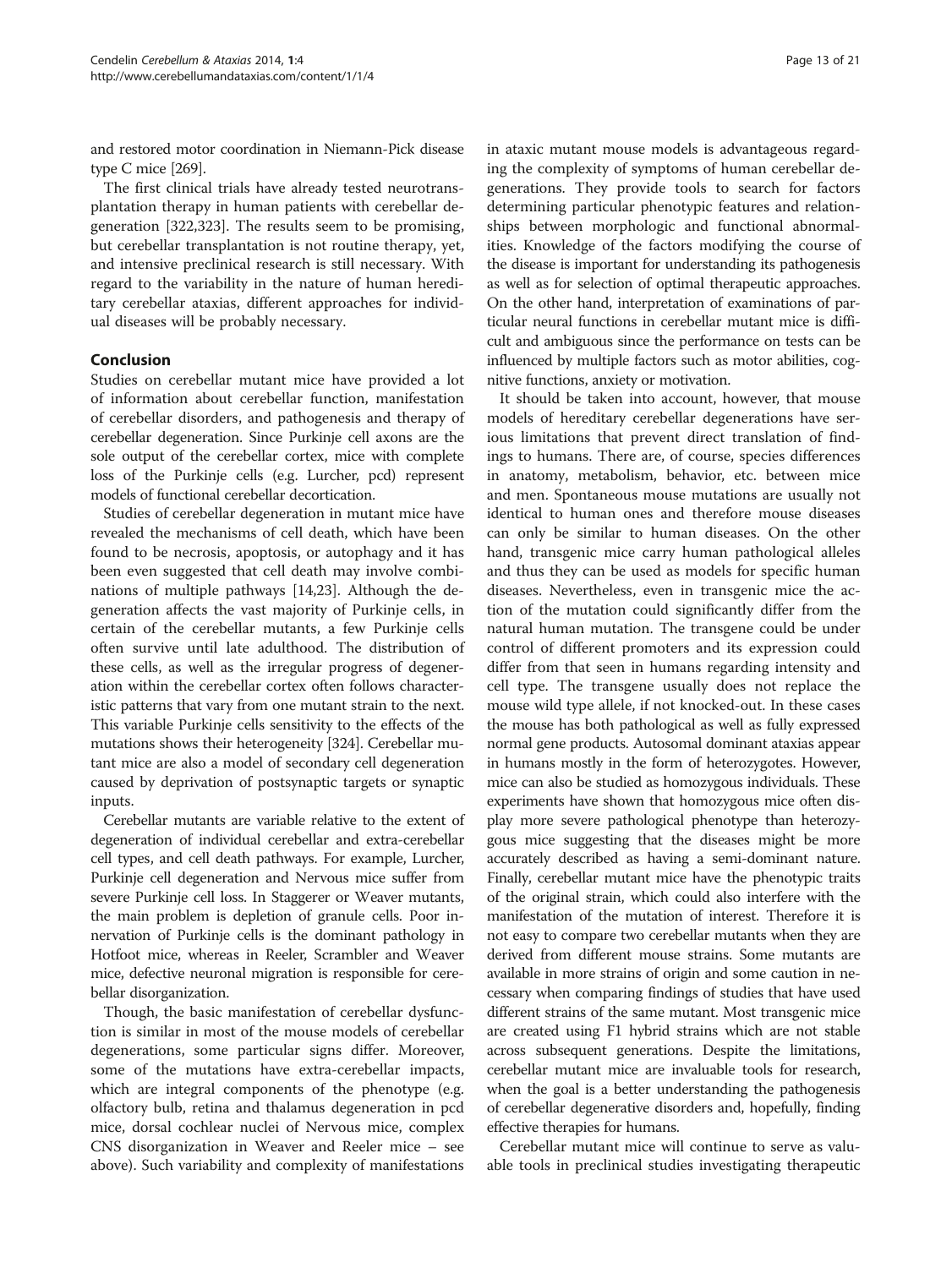and restored motor coordination in Niemann-Pick disease type C mice [[269\]](#page-19-0).

The first clinical trials have already tested neurotransplantation therapy in human patients with cerebellar degeneration [[322](#page-20-0),[323](#page-20-0)]. The results seem to be promising, but cerebellar transplantation is not routine therapy, yet, and intensive preclinical research is still necessary. With regard to the variability in the nature of human hereditary cerebellar ataxias, different approaches for individual diseases will be probably necessary.

## Conclusion

Studies on cerebellar mutant mice have provided a lot of information about cerebellar function, manifestation of cerebellar disorders, and pathogenesis and therapy of cerebellar degeneration. Since Purkinje cell axons are the sole output of the cerebellar cortex, mice with complete loss of the Purkinje cells (e.g. Lurcher, pcd) represent models of functional cerebellar decortication.

Studies of cerebellar degeneration in mutant mice have revealed the mechanisms of cell death, which have been found to be necrosis, apoptosis, or autophagy and it has been even suggested that cell death may involve combinations of multiple pathways [\[14,23\]](#page-13-0). Although the degeneration affects the vast majority of Purkinje cells, in certain of the cerebellar mutants, a few Purkinje cells often survive until late adulthood. The distribution of these cells, as well as the irregular progress of degeneration within the cerebellar cortex often follows characteristic patterns that vary from one mutant strain to the next. This variable Purkinje cells sensitivity to the effects of the mutations shows their heterogeneity [[324](#page-20-0)]. Cerebellar mutant mice are also a model of secondary cell degeneration caused by deprivation of postsynaptic targets or synaptic inputs.

Cerebellar mutants are variable relative to the extent of degeneration of individual cerebellar and extra-cerebellar cell types, and cell death pathways. For example, Lurcher, Purkinje cell degeneration and Nervous mice suffer from severe Purkinje cell loss. In Staggerer or Weaver mutants, the main problem is depletion of granule cells. Poor innervation of Purkinje cells is the dominant pathology in Hotfoot mice, whereas in Reeler, Scrambler and Weaver mice, defective neuronal migration is responsible for cerebellar disorganization.

Though, the basic manifestation of cerebellar dysfunction is similar in most of the mouse models of cerebellar degenerations, some particular signs differ. Moreover, some of the mutations have extra-cerebellar impacts, which are integral components of the phenotype (e.g. olfactory bulb, retina and thalamus degeneration in pcd mice, dorsal cochlear nuclei of Nervous mice, complex CNS disorganization in Weaver and Reeler mice – see above). Such variability and complexity of manifestations in ataxic mutant mouse models is advantageous regarding the complexity of symptoms of human cerebellar degenerations. They provide tools to search for factors determining particular phenotypic features and relationships between morphologic and functional abnormalities. Knowledge of the factors modifying the course of the disease is important for understanding its pathogenesis as well as for selection of optimal therapeutic approaches. On the other hand, interpretation of examinations of particular neural functions in cerebellar mutant mice is difficult and ambiguous since the performance on tests can be influenced by multiple factors such as motor abilities, cognitive functions, anxiety or motivation.

It should be taken into account, however, that mouse models of hereditary cerebellar degenerations have serious limitations that prevent direct translation of findings to humans. There are, of course, species differences in anatomy, metabolism, behavior, etc. between mice and men. Spontaneous mouse mutations are usually not identical to human ones and therefore mouse diseases can only be similar to human diseases. On the other hand, transgenic mice carry human pathological alleles and thus they can be used as models for specific human diseases. Nevertheless, even in transgenic mice the action of the mutation could significantly differ from the natural human mutation. The transgene could be under control of different promoters and its expression could differ from that seen in humans regarding intensity and cell type. The transgene usually does not replace the mouse wild type allele, if not knocked-out. In these cases the mouse has both pathological as well as fully expressed normal gene products. Autosomal dominant ataxias appear in humans mostly in the form of heterozygotes. However, mice can also be studied as homozygous individuals. These experiments have shown that homozygous mice often display more severe pathological phenotype than heterozygous mice suggesting that the diseases might be more accurately described as having a semi-dominant nature. Finally, cerebellar mutant mice have the phenotypic traits of the original strain, which could also interfere with the manifestation of the mutation of interest. Therefore it is not easy to compare two cerebellar mutants when they are derived from different mouse strains. Some mutants are available in more strains of origin and some caution in necessary when comparing findings of studies that have used different strains of the same mutant. Most transgenic mice are created using F1 hybrid strains which are not stable across subsequent generations. Despite the limitations, cerebellar mutant mice are invaluable tools for research, when the goal is a better understanding the pathogenesis of cerebellar degenerative disorders and, hopefully, finding effective therapies for humans.

Cerebellar mutant mice will continue to serve as valuable tools in preclinical studies investigating therapeutic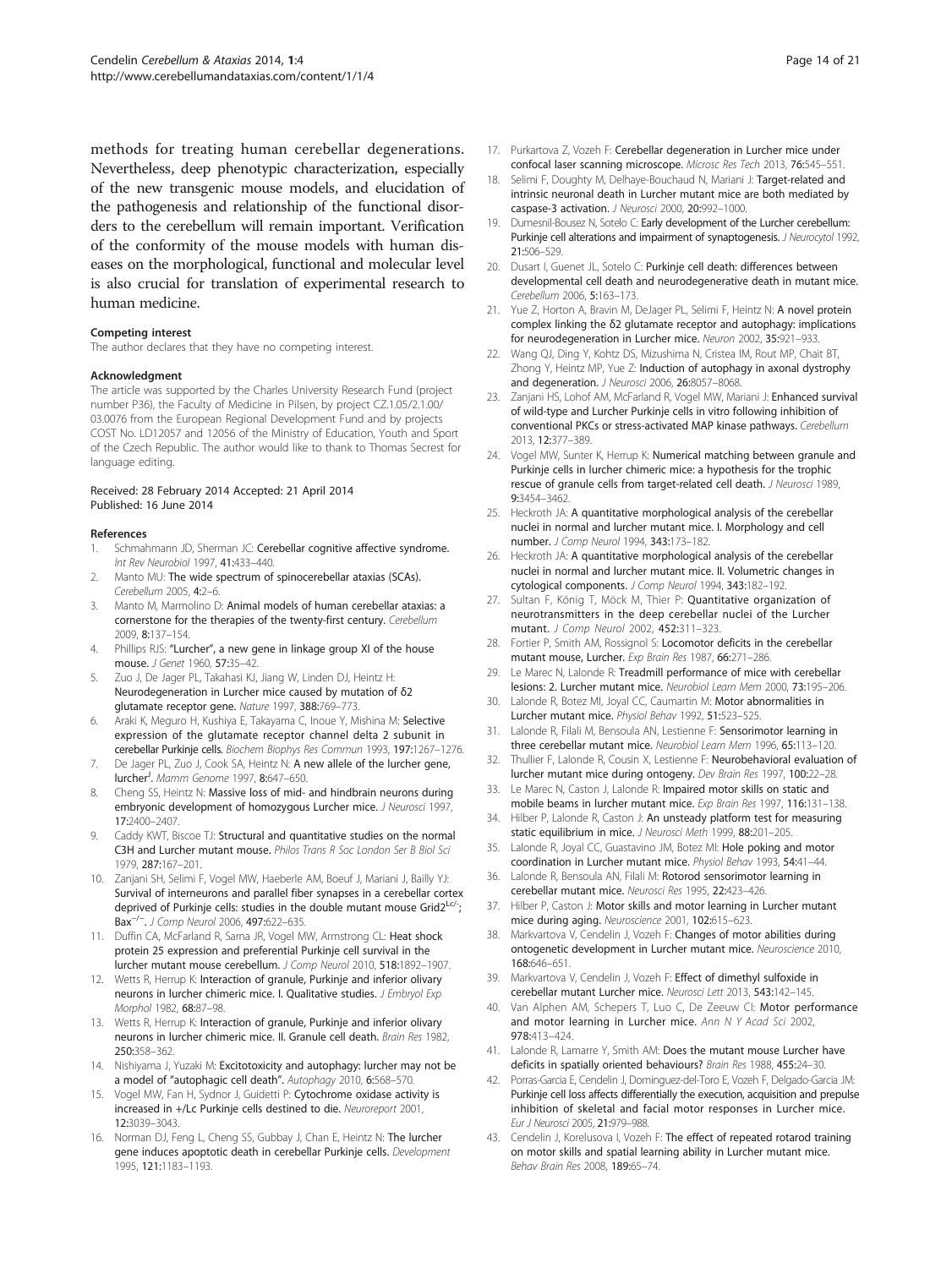<span id="page-13-0"></span>methods for treating human cerebellar degenerations. Nevertheless, deep phenotypic characterization, especially of the new transgenic mouse models, and elucidation of the pathogenesis and relationship of the functional disorders to the cerebellum will remain important. Verification of the conformity of the mouse models with human diseases on the morphological, functional and molecular level is also crucial for translation of experimental research to human medicine.

#### Competing interest

The author declares that they have no competing interest.

#### Acknowledgment

The article was supported by the Charles University Research Fund (project number P36), the Faculty of Medicine in Pilsen, by project CZ.1.05/2.1.00/ 03.0076 from the European Regional Development Fund and by projects COST No. LD12057 and 12056 of the Ministry of Education, Youth and Sport of the Czech Republic. The author would like to thank to Thomas Secrest for language editing.

#### Received: 28 February 2014 Accepted: 21 April 2014 Published: 16 June 2014

#### References

- Schmahmann JD, Sherman JC: Cerebellar cognitive affective syndrome. Int Rev Neurobiol 1997, 41:433–440.
- 2. Manto MU: The wide spectrum of spinocerebellar ataxias (SCAs). Cerebellum 2005, 4:2–6.
- 3. Manto M, Marmolino D: Animal models of human cerebellar ataxias: a cornerstone for the therapies of the twenty-first century. Cerebellum 2009, 8:137–154.
- 4. Phillips RJS: "Lurcher", a new gene in linkage group XI of the house mouse. J Genet 1960, 57:35–42.
- 5. Zuo J, De Jager PL, Takahasi KJ, Jiang W, Linden DJ, Heintz H: Neurodegeneration in Lurcher mice caused by mutation of δ2 glutamate receptor gene. Nature 1997, 388:769–773.
- Araki K, Meguro H, Kushiya E, Takayama C, Inoue Y, Mishina M: Selective expression of the glutamate receptor channel delta 2 subunit in cerebellar Purkinje cells. Biochem Biophys Res Commun 1993, 197:1267–1276.
- 7. De Jager PL, Zuo J, Cook SA, Heintz N: A new allele of the lurcher gene, lurcher<sup>J</sup>. Mamm Genome 1997, 8:647–650.
- 8. Cheng SS, Heintz N: Massive loss of mid- and hindbrain neurons during embryonic development of homozygous Lurcher mice. J Neurosci 1997, 17:2400–2407.
- Caddy KWT, Biscoe TJ: Structural and quantitative studies on the normal C3H and Lurcher mutant mouse. Philos Trans R Soc London Ser B Biol Sci 1979, 287:167–201.
- 10. Zanjani SH, Selimi F, Vogel MW, Haeberle AM, Boeuf J, Mariani J, Bailly YJ: Survival of interneurons and parallel fiber synapses in a cerebellar cortex deprived of Purkinje cells: studies in the double mutant mouse Grid2<sup>Lc/-</sup>; Bax<sup>-/-</sup>. J Comp Neurol 2006, 497:622-635.
- 11. Duffin CA, McFarland R, Sarna JR, Vogel MW, Armstrong CL: Heat shock protein 25 expression and preferential Purkinje cell survival in the lurcher mutant mouse cerebellum. J Comp Neurol 2010, 518:1892–1907.
- 12. Wetts R, Herrup K: Interaction of granule, Purkinje and inferior olivary neurons in lurcher chimeric mice. I. Qualitative studies. J Embryol Exp Morphol 1982, 68:87–98.
- 13. Wetts R, Herrup K: Interaction of granule, Purkinje and inferior olivary neurons in lurcher chimeric mice. II. Granule cell death. Brain Res 1982, 250:358–362.
- 14. Nishiyama J, Yuzaki M: Excitotoxicity and autophagy: lurcher may not be a model of "autophagic cell death". Autophagy 2010, 6:568–570.
- 15. Vogel MW, Fan H, Sydnor J, Guidetti P: Cytochrome oxidase activity is increased in +/Lc Purkinje cells destined to die. Neuroreport 2001, 12:3039–3043.
- 16. Norman DJ, Feng L, Cheng SS, Gubbay J, Chan E, Heintz N: The lurcher gene induces apoptotic death in cerebellar Purkinje cells. Development 1995, 121:1183–1193.
- 17. Purkartova Z, Vozeh F: Cerebellar degeneration in Lurcher mice under confocal laser scanning microscope. Microsc Res Tech 2013, 76:545–551.
- 18. Selimi F, Doughty M, Delhaye-Bouchaud N, Mariani J: Target-related and intrinsic neuronal death in Lurcher mutant mice are both mediated by caspase-3 activation. J Neurosci 2000, 20:992–1000.
- 19. Dumesnil-Bousez N, Sotelo C: Early development of the Lurcher cerebellum: Purkinje cell alterations and impairment of synaptogenesis. J Neurocytol 1992, 21:506–529.
- 20. Dusart I, Guenet JL, Sotelo C: Purkinje cell death: differences between developmental cell death and neurodegenerative death in mutant mice. Cerebellum 2006, 5:163–173.
- 21. Yue Z, Horton A, Bravin M, DeJager PL, Selimi F, Heintz N: A novel protein complex linking the δ2 glutamate receptor and autophagy: implications for neurodegeneration in Lurcher mice. Neuron 2002, 35:921–933.
- 22. Wang QJ, Ding Y, Kohtz DS, Mizushima N, Cristea IM, Rout MP, Chait BT, Zhong Y, Heintz MP, Yue Z: Induction of autophagy in axonal dystrophy and degeneration. J Neurosci 2006, 26:8057-8068.
- 23. Zanjani HS, Lohof AM, McFarland R, Vogel MW, Mariani J: Enhanced survival of wild-type and Lurcher Purkinje cells in vitro following inhibition of conventional PKCs or stress-activated MAP kinase pathways. Cerebellum 2013, 12:377–389.
- 24. Vogel MW, Sunter K, Herrup K: Numerical matching between granule and Purkinje cells in lurcher chimeric mice: a hypothesis for the trophic rescue of granule cells from target-related cell death. J Neurosci 1989, 9:3454–3462.
- 25. Heckroth JA: A quantitative morphological analysis of the cerebellar nuclei in normal and lurcher mutant mice. I. Morphology and cell number. J Comp Neurol 1994, 343:173–182.
- 26. Heckroth JA: A quantitative morphological analysis of the cerebellar nuclei in normal and lurcher mutant mice. II. Volumetric changes in cytological components. J Comp Neurol 1994, 343:182-192.
- 27. Sultan F, König T, Möck M, Thier P: Quantitative organization of neurotransmitters in the deep cerebellar nuclei of the Lurcher mutant. J Comp Neurol 2002, 452:311–323.
- 28. Fortier P, Smith AM, Rossignol S: Locomotor deficits in the cerebellar mutant mouse, Lurcher. Exp Brain Res 1987, 66:271–286.
- 29. Le Marec N, Lalonde R: Treadmill performance of mice with cerebellar lesions: 2. Lurcher mutant mice. Neurobiol Learn Mem 2000, 73:195–206.
- 30. Lalonde R, Botez MI, Joyal CC, Caumartin M: Motor abnormalities in Lurcher mutant mice. Physiol Behav 1992, 51:523–525.
- 31. Lalonde R, Filali M, Bensoula AN, Lestienne F: Sensorimotor learning in three cerebellar mutant mice. Neurobiol Learn Mem 1996, 65:113–120.
- 32. Thullier F, Lalonde R, Cousin X, Lestienne F: Neurobehavioral evaluation of lurcher mutant mice during ontogeny. Dev Brain Res 1997, 100:22–28.
- 33. Le Marec N, Caston J, Lalonde R: Impaired motor skills on static and mobile beams in lurcher mutant mice. Exp Brain Res 1997, 116:131–138.
- 34. Hilber P, Lalonde R, Caston J: An unsteady platform test for measuring static equilibrium in mice. J Neurosci Meth 1999, 88:201-205.
- 35. Lalonde R, Joyal CC, Guastavino JM, Botez MI: Hole poking and motor coordination in Lurcher mutant mice. Physiol Behav 1993, 54:41–44.
- 36. Lalonde R, Bensoula AN, Filali M: Rotorod sensorimotor learning in cerebellar mutant mice. Neurosci Res 1995, 22:423–426.
- 37. Hilber P, Caston J: Motor skills and motor learning in Lurcher mutant mice during aging. Neuroscience 2001, 102:615–623.
- 38. Markvartova V, Cendelin J, Vozeh F: Changes of motor abilities during ontogenetic development in Lurcher mutant mice. Neuroscience 2010, 168:646–651.
- 39. Markvartova V, Cendelin J, Vozeh F: Effect of dimethyl sulfoxide in cerebellar mutant Lurcher mice. Neurosci Lett 2013, 543:142–145.
- 40. Van Alphen AM, Schepers T, Luo C, De Zeeuw CI: Motor performance and motor learning in Lurcher mice. Ann N Y Acad Sci 2002, 978:413–424.
- 41. Lalonde R, Lamarre Y, Smith AM: Does the mutant mouse Lurcher have deficits in spatially oriented behaviours? Brain Res 1988, 455:24–30.
- 42. Porras-Garcia E, Cendelin J, Dominguez-del-Toro E, Vozeh F, Delgado-Garcia JM: Purkinje cell loss affects differentially the execution, acquisition and prepulse inhibition of skeletal and facial motor responses in Lurcher mice. Eur J Neurosci 2005, 21:979–988.
- 43. Cendelin J, Korelusova I, Vozeh F: The effect of repeated rotarod training on motor skills and spatial learning ability in Lurcher mutant mice. Behav Brain Res 2008, 189:65–74.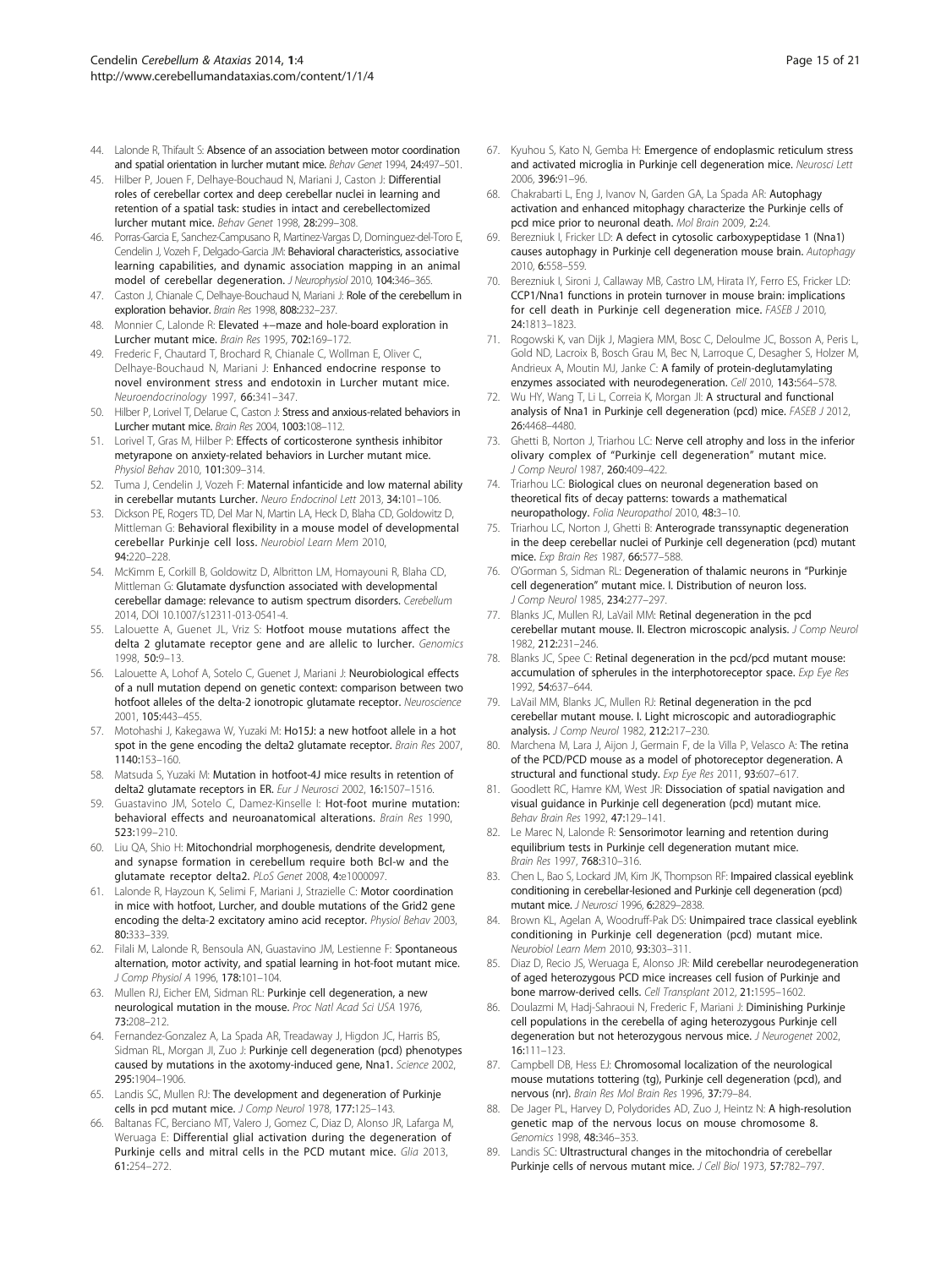- <span id="page-14-0"></span>44. Lalonde R, Thifault S: Absence of an association between motor coordination and spatial orientation in lurcher mutant mice. Behav Genet 1994, 24:497–501.
- 45. Hilber P, Jouen F, Delhaye-Bouchaud N, Mariani J, Caston J: Differential roles of cerebellar cortex and deep cerebellar nuclei in learning and retention of a spatial task: studies in intact and cerebellectomized lurcher mutant mice. Behav Genet 1998, 28:299–308.
- 46. Porras-Garcia E, Sanchez-Campusano R, Martinez-Vargas D, Dominguez-del-Toro E, Cendelin J, Vozeh F, Delgado-Garcia JM: Behavioral characteristics, associative learning capabilities, and dynamic association mapping in an animal model of cerebellar degeneration. J Neurophysiol 2010, 104:346–365.
- 47. Caston J, Chianale C, Delhaye-Bouchaud N, Mariani J: Role of the cerebellum in exploration behavior. Brain Res 1998, 808:232–237.
- 48. Monnier C, Lalonde R: Elevated +−maze and hole-board exploration in Lurcher mutant mice. Brain Res 1995, 702:169–172.
- 49. Frederic F, Chautard T, Brochard R, Chianale C, Wollman E, Oliver C, Delhaye-Bouchaud N, Mariani J: Enhanced endocrine response to novel environment stress and endotoxin in Lurcher mutant mice. Neuroendocrinology 1997, 66:341–347.
- 50. Hilber P, Lorivel T, Delarue C, Caston J: Stress and anxious-related behaviors in Lurcher mutant mice. Brain Res 2004, 1003:108–112.
- 51. Lorivel T, Gras M, Hilber P: Effects of corticosterone synthesis inhibitor metyrapone on anxiety-related behaviors in Lurcher mutant mice. Physiol Behav 2010, 101:309–314.
- 52. Tuma J, Cendelin J, Vozeh F: Maternal infanticide and low maternal ability in cerebellar mutants Lurcher. Neuro Endocrinol Lett 2013, 34:101–106.
- 53. Dickson PE, Rogers TD, Del Mar N, Martin LA, Heck D, Blaha CD, Goldowitz D, Mittleman G: Behavioral flexibility in a mouse model of developmental cerebellar Purkinje cell loss. Neurobiol Learn Mem 2010, 94:220–228.
- 54. McKimm E, Corkill B, Goldowitz D, Albritton LM, Homayouni R, Blaha CD, Mittleman G: Glutamate dysfunction associated with developmental cerebellar damage: relevance to autism spectrum disorders. Cerebellum 2014, DOI 10.1007/s12311-013-0541-4.
- 55. Lalouette A, Guenet JL, Vriz S: Hotfoot mouse mutations affect the delta 2 glutamate receptor gene and are allelic to lurcher. Genomics 1998, 50:9–13.
- 56. Lalouette A, Lohof A, Sotelo C, Guenet J, Mariani J: Neurobiological effects of a null mutation depend on genetic context: comparison between two hotfoot alleles of the delta-2 ionotropic glutamate receptor. Neuroscience 2001, 105:443–455.
- 57. Motohashi J, Kakegawa W, Yuzaki M: Ho15J: a new hotfoot allele in a hot spot in the gene encoding the delta2 glutamate receptor. Brain Res 2007, 1140:153–160.
- 58. Matsuda S, Yuzaki M: Mutation in hotfoot-4J mice results in retention of delta2 glutamate receptors in ER. Eur J Neurosci 2002, 16:1507-1516.
- 59. Guastavino JM, Sotelo C, Damez-Kinselle I: Hot-foot murine mutation: behavioral effects and neuroanatomical alterations. Brain Res 1990, 523:199–210.
- 60. Liu QA, Shio H: Mitochondrial morphogenesis, dendrite development, and synapse formation in cerebellum require both Bcl-w and the glutamate receptor delta2. PLoS Genet 2008, 4:e1000097.
- 61. Lalonde R, Hayzoun K, Selimi F, Mariani J, Strazielle C: Motor coordination in mice with hotfoot, Lurcher, and double mutations of the Grid2 gene encoding the delta-2 excitatory amino acid receptor. Physiol Behav 2003, 80:333–339.
- 62. Filali M, Lalonde R, Bensoula AN, Guastavino JM, Lestienne F: Spontaneous alternation, motor activity, and spatial learning in hot-foot mutant mice. J Comp Physiol A 1996, 178:101–104.
- 63. Mullen RJ, Eicher EM, Sidman RL: Purkinje cell degeneration, a new neurological mutation in the mouse. Proc Natl Acad Sci USA 1976, 73:208–212.
- 64. Fernandez-Gonzalez A, La Spada AR, Treadaway J, Higdon JC, Harris BS, Sidman RL, Morgan Jl, Zuo J: Purkinje cell degeneration (pcd) phenotypes caused by mutations in the axotomy-induced gene, Nna1. Science 2002, 295:1904–1906.
- 65. Landis SC, Mullen RJ: The development and degeneration of Purkinje cells in pcd mutant mice. J Comp Neurol 1978, 177:125-143.
- 66. Baltanas FC, Berciano MT, Valero J, Gomez C, Diaz D, Alonso JR, Lafarga M, Weruaga E: Differential glial activation during the degeneration of Purkinje cells and mitral cells in the PCD mutant mice. Glia 2013, 61:254–272.
- 67. Kyuhou S, Kato N, Gemba H: Emergence of endoplasmic reticulum stress and activated microglia in Purkinje cell degeneration mice. Neurosci Lett 2006, 396:91–96.
- 68. Chakrabarti L, Eng J, Ivanov N, Garden GA, La Spada AR: Autophagy activation and enhanced mitophagy characterize the Purkinje cells of pcd mice prior to neuronal death. Mol Brain 2009, 2:24.
- 69. Berezniuk I, Fricker LD: A defect in cytosolic carboxypeptidase 1 (Nna1) causes autophagy in Purkinje cell degeneration mouse brain. Autophagy 2010, 6:558–559.
- 70. Berezniuk I, Sironi J, Callaway MB, Castro LM, Hirata IY, Ferro ES, Fricker LD: CCP1/Nna1 functions in protein turnover in mouse brain: implications for cell death in Purkinje cell degeneration mice. FASEB J 2010, 24:1813–1823.
- 71. Rogowski K, van Dijk J, Magiera MM, Bosc C, Deloulme JC, Bosson A, Peris L, Gold ND, Lacroix B, Bosch Grau M, Bec N, Larroque C, Desagher S, Holzer M, Andrieux A, Moutin MJ, Janke C: A family of protein-deglutamylating enzymes associated with neurodegeneration. Cell 2010, 143:564–578.
- 72. Wu HY, Wang T, Li L, Correia K, Morgan Jl: A structural and functional analysis of Nna1 in Purkinje cell degeneration (pcd) mice. FASEB J 2012, 26:4468–4480.
- 73. Ghetti B, Norton J, Triarhou LC: Nerve cell atrophy and loss in the inferior olivary complex of "Purkinje cell degeneration" mutant mice. J Comp Neurol 1987, 260:409–422.
- 74. Triarhou LC: Biological clues on neuronal degeneration based on theoretical fits of decay patterns: towards a mathematical neuropathology. Folia Neuropathol 2010, 48:3–10.
- 75. Triarhou LC, Norton J, Ghetti B: Anterograde transsynaptic degeneration in the deep cerebellar nuclei of Purkinje cell degeneration (pcd) mutant mice. Exp Brain Res 1987, 66:577–588.
- 76. O'Gorman S, Sidman RL: Degeneration of thalamic neurons in "Purkinje cell degeneration" mutant mice. I. Distribution of neuron loss. J Comp Neurol 1985, 234:277-297.
- 77. Blanks JC, Mullen RJ, LaVail MM: Retinal degeneration in the pcd cerebellar mutant mouse. II. Electron microscopic analysis. J Comp Neurol 1982, 212:231–246.
- 78. Blanks JC, Spee C: Retinal degeneration in the pcd/pcd mutant mouse: accumulation of spherules in the interphotoreceptor space. Exp Eye Res 1992, 54:637–644.
- 79. LaVail MM, Blanks JC, Mullen RJ: Retinal degeneration in the pcd cerebellar mutant mouse. I. Light microscopic and autoradiographic analysis. J Comp Neurol 1982, 212:217–230.
- 80. Marchena M, Lara J, Aijon J, Germain F, de la Villa P, Velasco A: The retina of the PCD/PCD mouse as a model of photoreceptor degeneration. A structural and functional study. Exp Eye Res 2011, 93:607–617.
- 81. Goodlett RC, Hamre KM, West JR: Dissociation of spatial navigation and visual guidance in Purkinje cell degeneration (pcd) mutant mice. Behav Brain Res 1992, 47:129–141.
- 82. Le Marec N, Lalonde R: Sensorimotor learning and retention during equilibrium tests in Purkinje cell degeneration mutant mice. Brain Res 1997, 768:310-316.
- 83. Chen L, Bao S, Lockard JM, Kim JK, Thompson RF: Impaired classical eyeblink conditioning in cerebellar-lesioned and Purkinje cell degeneration (pcd) mutant mice. J Neurosci 1996, 6:2829–2838.
- 84. Brown KL, Agelan A, Woodruff-Pak DS: Unimpaired trace classical eyeblink conditioning in Purkinje cell degeneration (pcd) mutant mice. Neurobiol Learn Mem 2010, 93:303–311.
- 85. Diaz D, Recio JS, Weruaga E, Alonso JR: Mild cerebellar neurodegeneration of aged heterozygous PCD mice increases cell fusion of Purkinje and bone marrow-derived cells. Cell Transplant 2012, 21:1595–1602.
- 86. Doulazmi M, Hadi-Sahraoui N, Frederic F, Mariani J; Diminishing Purkinie cell populations in the cerebella of aging heterozygous Purkinje cell degeneration but not heterozygous nervous mice. J Neurogenet 2002, 16:111–123.
- 87. Campbell DB, Hess EJ: Chromosomal localization of the neurological mouse mutations tottering (tg), Purkinje cell degeneration (pcd), and nervous (nr). Brain Res Mol Brain Res 1996, 37:79–84.
- 88. De Jager PL, Harvey D, Polydorides AD, Zuo J, Heintz N: A high-resolution genetic map of the nervous locus on mouse chromosome 8. Genomics 1998, 48:346–353.
- 89. Landis SC: Ultrastructural changes in the mitochondria of cerebellar Purkinje cells of nervous mutant mice. J Cell Biol 1973, 57:782-797.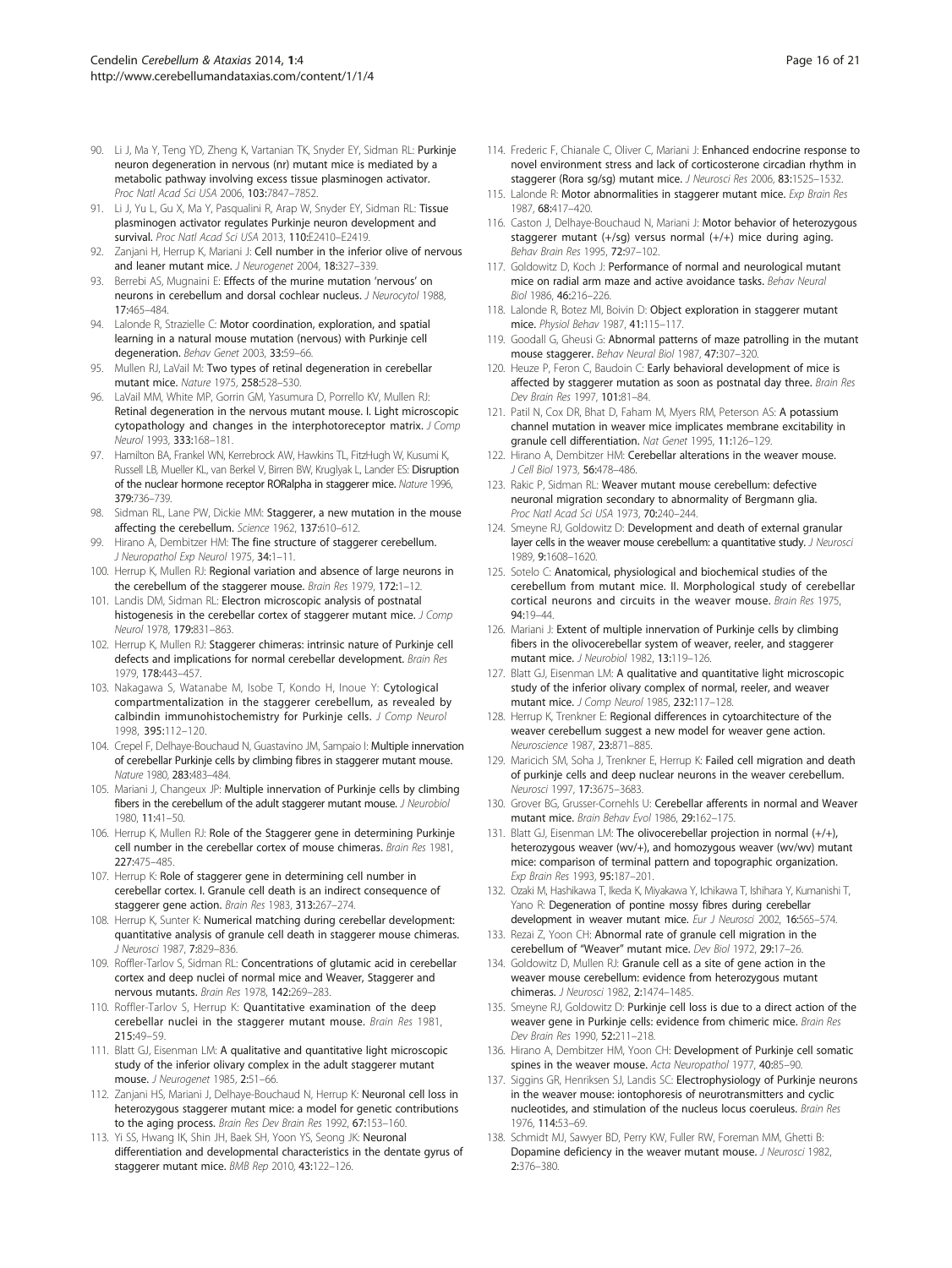- <span id="page-15-0"></span>90. Li J, Ma Y, Teng YD, Zheng K, Vartanian TK, Snyder EY, Sidman RL: Purkinje neuron degeneration in nervous (nr) mutant mice is mediated by a metabolic pathway involving excess tissue plasminogen activator. Proc Natl Acad Sci USA 2006, 103:7847–7852.
- 91. Li J, Yu L, Gu X, Ma Y, Pasqualini R, Arap W, Snyder EY, Sidman RL: Tissue plasminogen activator regulates Purkinje neuron development and survival. Proc Natl Acad Sci USA 2013, 110:E2410–E2419.
- 92. Zanjani H, Herrup K, Mariani J: Cell number in the inferior olive of nervous and leaner mutant mice. J Neurogenet 2004, 18:327–339.
- 93. Berrebi AS, Mugnaini E: Effects of the murine mutation 'nervous' on neurons in cerebellum and dorsal cochlear nucleus. J Neurocytol 1988, 17:465–484.
- 94. Lalonde R, Strazielle C: Motor coordination, exploration, and spatial learning in a natural mouse mutation (nervous) with Purkinje cell degeneration. Behav Genet 2003, 33:59–66.
- 95. Mullen RJ, LaVail M: Two types of retinal degeneration in cerebellar mutant mice. Nature 1975, 258:528–530.
- 96. LaVail MM, White MP, Gorrin GM, Yasumura D, Porrello KV, Mullen RJ: Retinal degeneration in the nervous mutant mouse. I. Light microscopic cytopathology and changes in the interphotoreceptor matrix. J Comp Neurol 1993, 333:168–181.
- 97. Hamilton BA, Frankel WN, Kerrebrock AW, Hawkins TL, FitzHugh W, Kusumi K, Russell LB, Mueller KL, van Berkel V, Birren BW, Kruglyak L, Lander ES: Disruption of the nuclear hormone receptor RORalpha in staggerer mice. Nature 1996, 379:736–739.
- 98. Sidman RL, Lane PW, Dickie MM: Staggerer, a new mutation in the mouse affecting the cerebellum. Science 1962, 137:610–612.
- 99. Hirano A, Dembitzer HM: The fine structure of staggerer cerebellum. J Neuropathol Exp Neurol 1975, 34:1–11.
- 100. Herrup K, Mullen RJ: Regional variation and absence of large neurons in the cerebellum of the staggerer mouse. Brain Res 1979, 172:1-12.
- 101. Landis DM, Sidman RL: Electron microscopic analysis of postnatal histogenesis in the cerebellar cortex of staggerer mutant mice. J Comp Neurol 1978, 179:831–863.
- 102. Herrup K, Mullen RJ: Staggerer chimeras: intrinsic nature of Purkinje cell defects and implications for normal cerebellar development. Brain Res 1979, 178:443–457.
- 103. Nakagawa S, Watanabe M, Isobe T, Kondo H, Inoue Y: Cytological compartmentalization in the staggerer cerebellum, as revealed by calbindin immunohistochemistry for Purkinje cells. J Comp Neurol 1998, 395:112–120.
- 104. Crepel F, Delhaye-Bouchaud N, Guastavino JM, Sampaio I: Multiple innervation of cerebellar Purkinje cells by climbing fibres in staggerer mutant mouse. Nature 1980, 283:483–484.
- 105. Mariani J, Changeux JP: Multiple innervation of Purkinje cells by climbing fibers in the cerebellum of the adult staggerer mutant mouse. J Neurobiol 1980, 11:41–50.
- 106. Herrup K, Mullen RJ: Role of the Staggerer gene in determining Purkinje cell number in the cerebellar cortex of mouse chimeras. Brain Res 1981, 227:475–485.
- 107. Herrup K: Role of staggerer gene in determining cell number in cerebellar cortex. I. Granule cell death is an indirect consequence of staggerer gene action. Brain Res 1983, 313:267–274.
- 108. Herrup K, Sunter K: Numerical matching during cerebellar development: quantitative analysis of granule cell death in staggerer mouse chimeras. J Neurosci 1987, 7:829–836.
- 109. Roffler-Tarlov S, Sidman RL: Concentrations of glutamic acid in cerebellar cortex and deep nuclei of normal mice and Weaver, Staggerer and nervous mutants. Brain Res 1978, 142:269–283.
- 110. Roffler-Tarlov S, Herrup K: Quantitative examination of the deep cerebellar nuclei in the staggerer mutant mouse. Brain Res 1981, 215:49–59.
- 111. Blatt GJ, Eisenman LM: A qualitative and quantitative light microscopic study of the inferior olivary complex in the adult staggerer mutant mouse. J Neurogenet 1985, 2:51–66.
- 112. Zanjani HS, Mariani J, Delhaye-Bouchaud N, Herrup K: Neuronal cell loss in heterozygous staggerer mutant mice: a model for genetic contributions to the aging process. Brain Res Dev Brain Res 1992, 67:153-160.
- 113. Yi SS, Hwang IK, Shin JH, Baek SH, Yoon YS, Seong JK: Neuronal differentiation and developmental characteristics in the dentate gyrus of staggerer mutant mice. BMB Rep 2010, 43:122-126.
- 114. Frederic F, Chianale C, Oliver C, Mariani J: Enhanced endocrine response to novel environment stress and lack of corticosterone circadian rhythm in staggerer (Rora sg/sg) mutant mice. J Neurosci Res 2006, 83:1525–1532.
- 115. Lalonde R: Motor abnormalities in staggerer mutant mice. Exp Brain Res 1987, 68:417–420.
- 116. Caston J, Delhaye-Bouchaud N, Mariani J: Motor behavior of heterozygous staggerer mutant (+/sg) versus normal (+/+) mice during aging. Behav Brain Res 1995, 72:97–102.
- 117. Goldowitz D, Koch J: Performance of normal and neurological mutant mice on radial arm maze and active avoidance tasks. Behav Neural Biol 1986, 46:216–226.
- 118. Lalonde R, Botez MI, Boivin D: Object exploration in staggerer mutant mice. Physiol Behav 1987, 41:115–117.
- 119. Goodall G, Gheusi G: Abnormal patterns of maze patrolling in the mutant mouse staggerer. Behav Neural Biol 1987, 47:307–320.
- 120. Heuze P, Feron C, Baudoin C: Early behavioral development of mice is affected by staggerer mutation as soon as postnatal day three. Brain Res Dev Brain Res 1997, 101:81–84.
- 121. Patil N, Cox DR, Bhat D, Faham M, Myers RM, Peterson AS: A potassium channel mutation in weaver mice implicates membrane excitability in granule cell differentiation. Nat Genet 1995, 11:126–129.
- 122. Hirano A, Dembitzer HM: Cerebellar alterations in the weaver mouse. J Cell Biol 1973, 56:478–486.
- 123. Rakic P, Sidman RL: Weaver mutant mouse cerebellum: defective neuronal migration secondary to abnormality of Bergmann glia. Proc Natl Acad Sci USA 1973, 70:240–244.
- 124. Smeyne RJ, Goldowitz D: Development and death of external granular layer cells in the weaver mouse cerebellum: a quantitative study. J Neurosci 1989, 9:1608–1620.
- 125. Sotelo C: Anatomical, physiological and biochemical studies of the cerebellum from mutant mice. II. Morphological study of cerebellar cortical neurons and circuits in the weaver mouse. Brain Res 1975, 94:19–44.
- 126. Mariani J: Extent of multiple innervation of Purkinje cells by climbing fibers in the olivocerebellar system of weaver, reeler, and staggerer mutant mice. J Neurobiol 1982, 13:119–126.
- 127. Blatt GJ, Eisenman LM: A qualitative and quantitative light microscopic study of the inferior olivary complex of normal, reeler, and weaver mutant mice. J Comp Neurol 1985, 232:117–128.
- 128. Herrup K, Trenkner E: Regional differences in cytoarchitecture of the weaver cerebellum suggest a new model for weaver gene action. Neuroscience 1987, 23:871–885.
- 129. Maricich SM, Soha J, Trenkner E, Herrup K: Failed cell migration and death of purkinje cells and deep nuclear neurons in the weaver cerebellum. Neurosci 1997, 17:3675–3683.
- 130. Grover BG, Grusser-Cornehls U: Cerebellar afferents in normal and Weaver mutant mice. Brain Behav Evol 1986, 29:162–175.
- 131. Blatt GJ, Eisenman LM: The olivocerebellar projection in normal (+/+), heterozygous weaver (wv/+), and homozygous weaver (wv/wv) mutant mice: comparison of terminal pattern and topographic organization. Exp Brain Res 1993, 95:187–201.
- 132. Ozaki M, Hashikawa T, Ikeda K, Miyakawa Y, Ichikawa T, Ishihara Y, Kumanishi T, Yano R: Degeneration of pontine mossy fibres during cerebellar development in weaver mutant mice. Eur J Neurosci 2002, 16:565-574.
- 133. Rezai Z, Yoon CH: Abnormal rate of granule cell migration in the cerebellum of "Weaver" mutant mice. Dev Biol 1972, 29:17–26.
- 134. Goldowitz D, Mullen RJ: Granule cell as a site of gene action in the weaver mouse cerebellum: evidence from heterozygous mutant chimeras. J Neurosci 1982, 2:1474–1485.
- 135. Smeyne RJ, Goldowitz D: Purkinje cell loss is due to a direct action of the weaver gene in Purkinje cells: evidence from chimeric mice. Brain Res Dev Brain Res 1990, 52:211–218.
- 136. Hirano A, Dembitzer HM, Yoon CH: Development of Purkinje cell somatic spines in the weaver mouse. Acta Neuropathol 1977, 40:85-90.
- 137. Siggins GR, Henriksen SJ, Landis SC: Electrophysiology of Purkinje neurons in the weaver mouse: iontophoresis of neurotransmitters and cyclic nucleotides, and stimulation of the nucleus locus coeruleus. Brain Res 1976, 114:53–69.
- 138. Schmidt MJ, Sawyer BD, Perry KW, Fuller RW, Foreman MM, Ghetti B: Dopamine deficiency in the weaver mutant mouse. J Neurosci 1982, 2:376–380.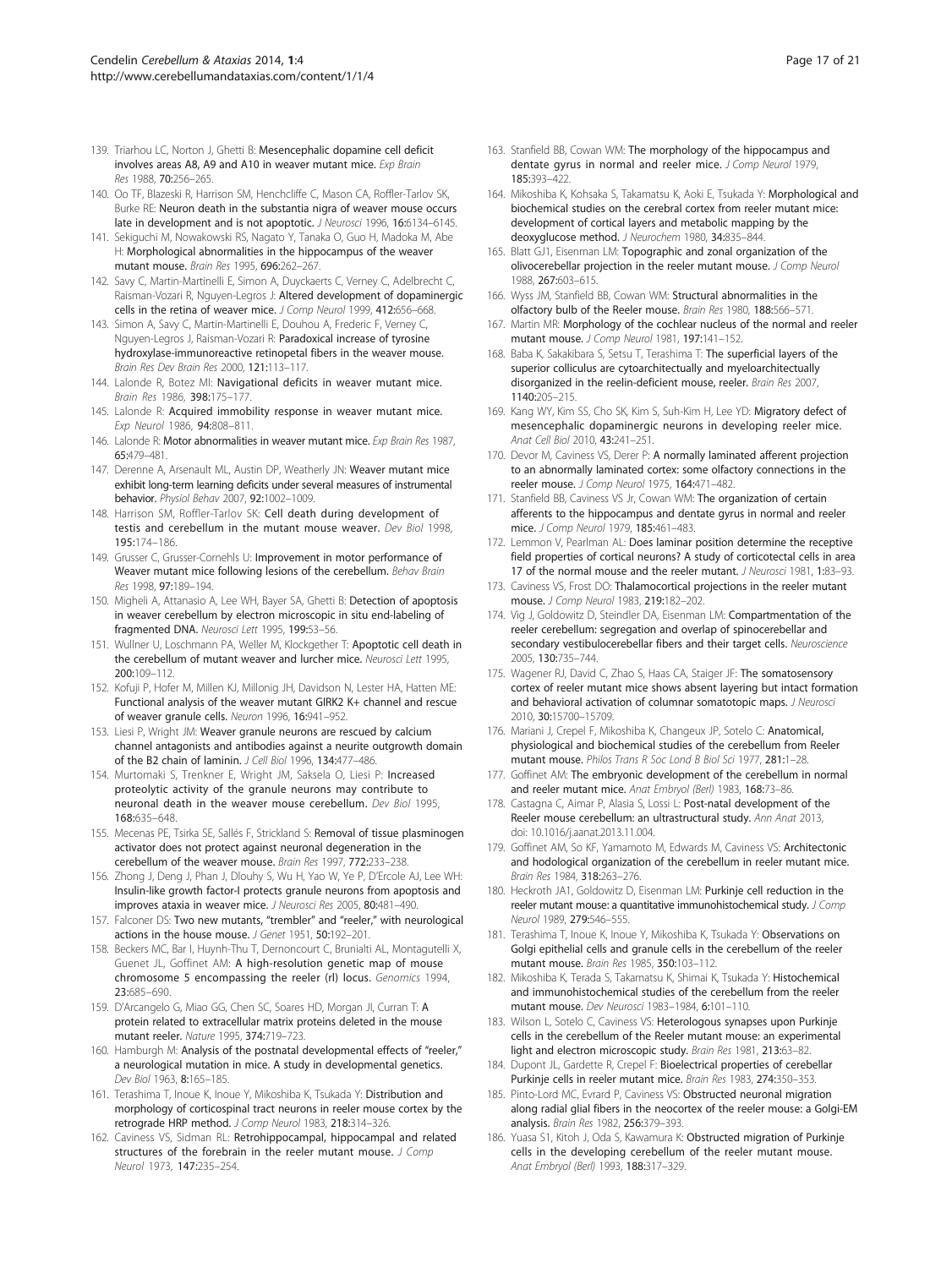- <span id="page-16-0"></span>139. Triarhou LC, Norton J, Ghetti B: Mesencephalic dopamine cell deficit involves areas A8, A9 and A10 in weaver mutant mice. Exp Brain Res 1988, 70:256–265.
- 140. Oo TF, Blazeski R, Harrison SM, Henchcliffe C, Mason CA, Roffler-Tarlov SK, Burke RE: Neuron death in the substantia nigra of weaver mouse occurs late in development and is not apoptotic. J Neurosci 1996, 16:6134-6145.
- 141. Sekiguchi M, Nowakowski RS, Nagato Y, Tanaka O, Guo H, Madoka M, Abe H: Morphological abnormalities in the hippocampus of the weaver mutant mouse. Brain Res 1995, 696:262–267.
- 142. Savy C, Martin-Martinelli E, Simon A, Duyckaerts C, Verney C, Adelbrecht C, Raisman-Vozari R, Nguyen-Legros J: Altered development of dopaminergic cells in the retina of weaver mice. J Comp Neurol 1999, 412:656-668.
- 143. Simon A, Savy C, Martin-Martinelli E, Douhou A, Frederic F, Verney C, Nguyen-Legros J, Raisman-Vozari R: Paradoxical increase of tyrosine hydroxylase-immunoreactive retinopetal fibers in the weaver mouse. Brain Res Dev Brain Res 2000, 121:113–117.
- 144. Lalonde R, Botez MI: Navigational deficits in weaver mutant mice. Brain Res 1986, 398:175–177.
- 145. Lalonde R: Acquired immobility response in weaver mutant mice. Exp Neurol 1986, 94:808–811.
- 146. Lalonde R: Motor abnormalities in weaver mutant mice. Exp Brain Res 1987, 65:479–481.
- 147. Derenne A, Arsenault ML, Austin DP, Weatherly JN: Weaver mutant mice exhibit long-term learning deficits under several measures of instrumental behavior. Physiol Behav 2007, 92:1002–1009.
- 148. Harrison SM, Roffler-Tarlov SK: Cell death during development of testis and cerebellum in the mutant mouse weaver. Dev Biol 1998, 195:174–186.
- 149. Grusser C, Grusser-Cornehls U: Improvement in motor performance of Weaver mutant mice following lesions of the cerebellum. Behav Brain Res 1998, 97:189–194.
- 150. Migheli A, Attanasio A, Lee WH, Bayer SA, Ghetti B: Detection of apoptosis in weaver cerebellum by electron microscopic in situ end-labeling of fragmented DNA. Neurosci Lett 1995, 199:53–56.
- 151. Wullner U, Loschmann PA, Weller M, Klockgether T: Apoptotic cell death in the cerebellum of mutant weaver and lurcher mice. Neurosci Lett 1995, 200:109–112.
- 152. Kofuji P, Hofer M, Millen KJ, Millonig JH, Davidson N, Lester HA, Hatten ME: Functional analysis of the weaver mutant GIRK2 K+ channel and rescue of weaver granule cells. Neuron 1996, 16:941–952.
- 153. Liesi P, Wright JM: Weaver granule neurons are rescued by calcium channel antagonists and antibodies against a neurite outgrowth domain of the B2 chain of laminin. J Cell Biol 1996, 134:477–486.
- 154. Murtomaki S, Trenkner E, Wright JM, Saksela O, Liesi P: Increased proteolytic activity of the granule neurons may contribute to neuronal death in the weaver mouse cerebellum. Dev Biol 1995, 168:635–648.
- 155. Mecenas PE, Tsirka SE, Sallés F, Strickland S: Removal of tissue plasminogen activator does not protect against neuronal degeneration in the cerebellum of the weaver mouse. Brain Res 1997, 772:233–238.
- 156. Zhong J, Deng J, Phan J, Dlouhy S, Wu H, Yao W, Ye P, D'Ercole AJ, Lee WH: Insulin-like growth factor-I protects granule neurons from apoptosis and improves ataxia in weaver mice. J Neurosci Res 2005, 80:481–490.
- 157. Falconer DS: Two new mutants, "trembler" and "reeler," with neurological actions in the house mouse. J Genet 1951, 50:192–201.
- 158. Beckers MC, Bar I, Huynh-Thu T, Dernoncourt C, Brunialti AL, Montagutelli X, Guenet JL, Goffinet AM: A high-resolution genetic map of mouse chromosome 5 encompassing the reeler (rl) locus. Genomics 1994, 23:685–690.
- 159. D'Arcangelo G, Miao GG, Chen SC, Soares HD, Morgan JI, Curran T: A protein related to extracellular matrix proteins deleted in the mouse mutant reeler. Nature 1995, 374:719–723.
- 160. Hamburgh M: Analysis of the postnatal developmental effects of "reeler," a neurological mutation in mice. A study in developmental genetics. Dev Biol 1963, 8:165–185.
- 161. Terashima T, Inoue K, Inoue Y, Mikoshiba K, Tsukada Y: Distribution and morphology of corticospinal tract neurons in reeler mouse cortex by the retrograde HRP method. J Comp Neurol 1983, 218:314–326.
- 162. Caviness VS, Sidman RL: Retrohippocampal, hippocampal and related structures of the forebrain in the reeler mutant mouse. J Comp Neurol 1973, 147:235–254.
- 163. Stanfield BB, Cowan WM: The morphology of the hippocampus and dentate gyrus in normal and reeler mice. J Comp Neurol 1979, 185:393–422.
- 164. Mikoshiba K, Kohsaka S, Takamatsu K, Aoki E, Tsukada Y: Morphological and biochemical studies on the cerebral cortex from reeler mutant mice: development of cortical layers and metabolic mapping by the deoxyglucose method. J Neurochem 1980, 34:835–844.
- 165. Blatt GJ1, Eisenman LM: Topographic and zonal organization of the olivocerebellar projection in the reeler mutant mouse. J Comp Neurol 1988, 267:603–615.
- 166. Wyss JM, Stanfield BB, Cowan WM: Structural abnormalities in the olfactory bulb of the Reeler mouse. Brain Res 1980, 188:566–571.
- 167. Martin MR: Morphology of the cochlear nucleus of the normal and reeler mutant mouse. J Comp Neurol 1981, 197:141–152.
- 168. Baba K, Sakakibara S, Setsu T, Terashima T: The superficial layers of the superior colliculus are cytoarchitectually and myeloarchitectually disorganized in the reelin-deficient mouse, reeler. Brain Res 2007, 1140:205–215.
- 169. Kang WY, Kim SS, Cho SK, Kim S, Suh-Kim H, Lee YD: Migratory defect of mesencephalic dopaminergic neurons in developing reeler mice. Anat Cell Biol 2010, 43:241–251.
- 170. Devor M, Caviness VS, Derer P: A normally laminated afferent projection to an abnormally laminated cortex: some olfactory connections in the reeler mouse. J Comp Neurol 1975, 164:471–482.
- 171. Stanfield BB, Caviness VS Jr, Cowan WM: The organization of certain afferents to the hippocampus and dentate gyrus in normal and reeler mice. J Comp Neurol 1979, 185:461–483.
- 172. Lemmon V, Pearlman AL: Does laminar position determine the receptive field properties of cortical neurons? A study of corticotectal cells in area 17 of the normal mouse and the reeler mutant. J Neurosci 1981, 1:83-93.
- 173. Caviness VS, Frost DO: Thalamocortical projections in the reeler mutant mouse. J Comp Neurol 1983, 219:182–202.
- 174. Vig J, Goldowitz D, Steindler DA, Eisenman LM: Compartmentation of the reeler cerebellum: segregation and overlap of spinocerebellar and secondary vestibulocerebellar fibers and their target cells. Neuroscience 2005, 130:735–744.
- 175. Wagener RJ, David C, Zhao S, Haas CA, Staiger JF: The somatosensory cortex of reeler mutant mice shows absent layering but intact formation and behavioral activation of columnar somatotopic maps. J Neurosci 2010, 30:15700–15709.
- 176. Mariani J, Crepel F, Mikoshiba K, Changeux JP, Sotelo C: Anatomical, physiological and biochemical studies of the cerebellum from Reeler mutant mouse. Philos Trans R Soc Lond B Biol Sci 1977, 281:1-28.
- 177. Goffinet AM: The embryonic development of the cerebellum in normal and reeler mutant mice. Anat Embryol (Berl) 1983, 168:73–86.
- 178. Castagna C, Aimar P, Alasia S, Lossi L: Post-natal development of the Reeler mouse cerebellum: an ultrastructural study. Ann Anat 2013, doi: 10.1016/j.aanat.2013.11.004.
- 179. Goffinet AM, So KF, Yamamoto M, Edwards M, Caviness VS: Architectonic and hodological organization of the cerebellum in reeler mutant mice. Brain Res 1984, 318:263–276.
- 180. Heckroth JA1, Goldowitz D, Eisenman LM: Purkinje cell reduction in the reeler mutant mouse: a quantitative immunohistochemical study. J Comp Neurol 1989, 279:546-555
- 181. Terashima T, Inoue K, Inoue Y, Mikoshiba K, Tsukada Y: Observations on Golgi epithelial cells and granule cells in the cerebellum of the reeler mutant mouse. Brain Res 1985, 350:103–112.
- 182. Mikoshiba K, Terada S, Takamatsu K, Shimai K, Tsukada Y: Histochemical and immunohistochemical studies of the cerebellum from the reeler mutant mouse. Dev Neurosci 1983–1984, 6:101–110.
- 183. Wilson L, Sotelo C, Caviness VS: Heterologous synapses upon Purkinje cells in the cerebellum of the Reeler mutant mouse: an experimental light and electron microscopic study. Brain Res 1981, 213:63–82.
- 184. Dupont JL, Gardette R, Crepel F: Bioelectrical properties of cerebellar Purkinje cells in reeler mutant mice. Brain Res 1983, 274:350–353.
- 185. Pinto-Lord MC, Evrard P, Caviness VS: Obstructed neuronal migration along radial glial fibers in the neocortex of the reeler mouse: a Golgi-EM analysis. Brain Res 1982, 256:379-393.
- 186. Yuasa S1, Kitoh J, Oda S, Kawamura K: Obstructed migration of Purkinje cells in the developing cerebellum of the reeler mutant mouse. Anat Embryol (Berl) 1993, 188:317–329.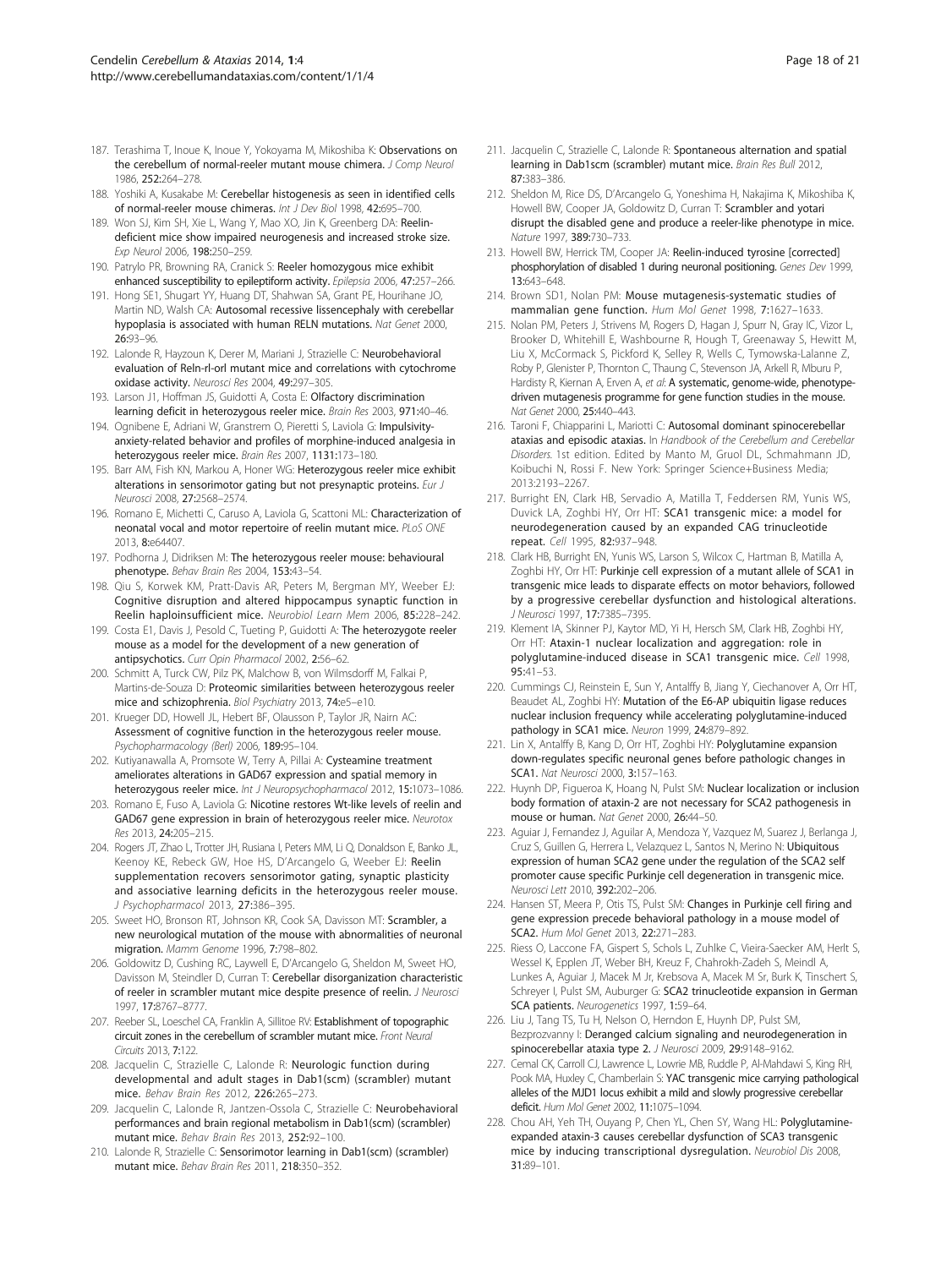- <span id="page-17-0"></span>187. Terashima T, Inoue K, Inoue Y, Yokoyama M, Mikoshiba K: Observations on the cerebellum of normal-reeler mutant mouse chimera. J Comp Neurol 1986, 252:264–278.
- 188. Yoshiki A, Kusakabe M: Cerebellar histogenesis as seen in identified cells of normal-reeler mouse chimeras. Int J Dev Biol 1998, 42:695–700.
- 189. Won SJ, Kim SH, Xie L, Wang Y, Mao XO, Jin K, Greenberg DA: Reelindeficient mice show impaired neurogenesis and increased stroke size. Exp Neurol 2006, 198:250–259.
- 190. Patrylo PR, Browning RA, Cranick S: Reeler homozygous mice exhibit enhanced susceptibility to epileptiform activity. Epilepsia 2006, 47:257-266.
- 191. Hong SE1, Shugart YY, Huang DT, Shahwan SA, Grant PE, Hourihane JO, Martin ND, Walsh CA: Autosomal recessive lissencephaly with cerebellar hypoplasia is associated with human RELN mutations. Nat Genet 2000, 26:93–96.
- 192. Lalonde R, Hayzoun K, Derer M, Mariani J, Strazielle C: Neurobehavioral evaluation of Reln-rl-orl mutant mice and correlations with cytochrome oxidase activity. Neurosci Res 2004, 49:297–305.
- 193. Larson J1, Hoffman JS, Guidotti A, Costa E: Olfactory discrimination learning deficit in heterozygous reeler mice. Brain Res 2003, 971:40–46.
- 194. Ognibene E, Adriani W, Granstrem O, Pieretti S, Laviola G: Impulsivityanxiety-related behavior and profiles of morphine-induced analgesia in heterozygous reeler mice. Brain Res 2007, 1131:173–180.
- 195. Barr AM, Fish KN, Markou A, Honer WG: Heterozygous reeler mice exhibit alterations in sensorimotor gating but not presynaptic proteins. Eur J Neurosci 2008, 27:2568–2574.
- 196. Romano E, Michetti C, Caruso A, Laviola G, Scattoni ML: Characterization of neonatal vocal and motor repertoire of reelin mutant mice. PLoS ONE 2013, 8:e64407.
- 197. Podhorna J, Didriksen M: The heterozygous reeler mouse: behavioural phenotype. Behav Brain Res 2004, 153:43–54.
- 198. Qiu S, Korwek KM, Pratt-Davis AR, Peters M, Bergman MY, Weeber EJ: Cognitive disruption and altered hippocampus synaptic function in Reelin haploinsufficient mice. Neurobiol Learn Mem 2006, 85:228–242.
- 199. Costa E1, Davis J, Pesold C, Tueting P, Guidotti A: The heterozygote reeler mouse as a model for the development of a new generation of antipsychotics. Curr Opin Pharmacol 2002, 2:56–62.
- 200. Schmitt A, Turck CW, Pilz PK, Malchow B, von Wilmsdorff M, Falkai P, Martins-de-Souza D: Proteomic similarities between heterozygous reeler mice and schizophrenia. Biol Psychiatry 2013, 74:e5–e10.
- 201. Krueger DD, Howell JL, Hebert BF, Olausson P, Taylor JR, Nairn AC: Assessment of cognitive function in the heterozygous reeler mouse. Psychopharmacology (Berl) 2006, 189:95–104.
- 202. Kutiyanawalla A, Promsote W, Terry A, Pillai A: Cysteamine treatment ameliorates alterations in GAD67 expression and spatial memory in heterozygous reeler mice. Int J Neuropsychopharmacol 2012, 15:1073-1086.
- 203. Romano E, Fuso A, Laviola G: Nicotine restores Wt-like levels of reelin and GAD67 gene expression in brain of heterozygous reeler mice. Neurotox Res 2013, 24:205–215.
- 204. Rogers JT, Zhao L, Trotter JH, Rusiana I, Peters MM, Li Q, Donaldson E, Banko JL, Keenoy KE, Rebeck GW, Hoe HS, D'Arcangelo G, Weeber EJ: Reelin supplementation recovers sensorimotor gating, synaptic plasticity and associative learning deficits in the heterozygous reeler mouse. J Psychopharmacol 2013, 27:386–395.
- 205. Sweet HO, Bronson RT, Johnson KR, Cook SA, Davisson MT: Scrambler, a new neurological mutation of the mouse with abnormalities of neuronal migration. Mamm Genome 1996, 7:798–802.
- 206. Goldowitz D, Cushing RC, Laywell E, D'Arcangelo G, Sheldon M, Sweet HO, Davisson M, Steindler D, Curran T: Cerebellar disorganization characteristic of reeler in scrambler mutant mice despite presence of reelin. J Neurosci 1997, 17:8767–8777.
- 207. Reeber SL, Loeschel CA, Franklin A, Sillitoe RV: Establishment of topographic circuit zones in the cerebellum of scrambler mutant mice. Front Neural Circuits 2013, 7:122.
- 208. Jacquelin C, Strazielle C, Lalonde R: Neurologic function during developmental and adult stages in Dab1(scm) (scrambler) mutant mice. Behav Brain Res 2012, 226:265–273.
- 209. Jacquelin C, Lalonde R, Jantzen-Ossola C, Strazielle C: Neurobehavioral performances and brain regional metabolism in Dab1(scm) (scrambler) mutant mice. Behav Brain Res 2013, 252:92–100.
- 210. Lalonde R, Strazielle C: Sensorimotor learning in Dab1(scm) (scrambler) mutant mice. Behav Brain Res 2011, 218:350–352.
- 211. Jacquelin C, Strazielle C, Lalonde R: Spontaneous alternation and spatial learning in Dab1scm (scrambler) mutant mice. Brain Res Bull 2012, 87:383–386.
- 212. Sheldon M, Rice DS, D'Arcangelo G, Yoneshima H, Nakajima K, Mikoshiba K, Howell BW, Cooper JA, Goldowitz D, Curran T: Scrambler and yotari disrupt the disabled gene and produce a reeler-like phenotype in mice. Nature 1997, 389:730–733.
- 213. Howell BW, Herrick TM, Cooper JA: Reelin-induced tyrosine [corrected] phosphorylation of disabled 1 during neuronal positioning. Genes Dev 1999, 13:643–648.
- 214. Brown SD1, Nolan PM: Mouse mutagenesis-systematic studies of mammalian gene function. Hum Mol Genet 1998, 7:1627-1633.
- 215. Nolan PM, Peters J, Strivens M, Rogers D, Hagan J, Spurr N, Gray IC, Vizor L, Brooker D, Whitehill E, Washbourne R, Hough T, Greenaway S, Hewitt M, Liu X, McCormack S, Pickford K, Selley R, Wells C, Tymowska-Lalanne Z, Roby P, Glenister P, Thornton C, Thaung C, Stevenson JA, Arkell R, Mburu P, Hardisty R, Kiernan A, Erven A, et al: A systematic, genome-wide, phenotypedriven mutagenesis programme for gene function studies in the mouse. Nat Genet 2000, 25:440–443.
- 216. Taroni F, Chiapparini L, Mariotti C: Autosomal dominant spinocerebellar ataxias and episodic ataxias. In Handbook of the Cerebellum and Cerebellar Disorders. 1st edition. Edited by Manto M, Gruol DL, Schmahmann JD, Koibuchi N, Rossi F. New York: Springer Science+Business Media; 2013:2193–2267.
- 217. Burright EN, Clark HB, Servadio A, Matilla T, Feddersen RM, Yunis WS, Duvick LA, Zoghbi HY, Orr HT: SCA1 transgenic mice: a model for neurodegeneration caused by an expanded CAG trinucleotide repeat. Cell 1995, 82:937–948.
- 218. Clark HB, Burright EN, Yunis WS, Larson S, Wilcox C, Hartman B, Matilla A, Zoghbi HY, Orr HT: Purkinje cell expression of a mutant allele of SCA1 in transgenic mice leads to disparate effects on motor behaviors, followed by a progressive cerebellar dysfunction and histological alterations. J Neurosci 1997, 17:7385–7395.
- 219. Klement IA, Skinner PJ, Kaytor MD, Yi H, Hersch SM, Clark HB, Zoghbi HY, Orr HT: Ataxin-1 nuclear localization and aggregation: role in polyglutamine-induced disease in SCA1 transgenic mice. Cell 1998, 95:41–53.
- 220. Cummings CJ, Reinstein E, Sun Y, Antalffy B, Jiang Y, Ciechanover A, Orr HT, Beaudet AL, Zoghbi HY: Mutation of the E6-AP ubiquitin ligase reduces nuclear inclusion frequency while accelerating polyglutamine-induced pathology in SCA1 mice. Neuron 1999, 24:879–892.
- 221. Lin X, Antalffy B, Kang D, Orr HT, Zoghbi HY: Polyglutamine expansion down-regulates specific neuronal genes before pathologic changes in SCA1. Nat Neurosci 2000, 3:157–163.
- 222. Huynh DP, Figueroa K, Hoang N, Pulst SM: Nuclear localization or inclusion body formation of ataxin-2 are not necessary for SCA2 pathogenesis in mouse or human. Nat Genet 2000, 26:44–50.
- 223. Aguiar J, Fernandez J, Aguilar A, Mendoza Y, Vazquez M, Suarez J, Berlanga J, Cruz S, Guillen G, Herrera L, Velazquez L, Santos N, Merino N: Ubiquitous expression of human SCA2 gene under the regulation of the SCA2 self promoter cause specific Purkinje cell degeneration in transgenic mice. Neurosci Lett 2010, 392:202–206.
- 224. Hansen ST, Meera P, Otis TS, Pulst SM: Changes in Purkinje cell firing and gene expression precede behavioral pathology in a mouse model of SCA2. Hum Mol Genet 2013, 22:271–283.
- 225. Riess O, Laccone FA, Gispert S, Schols L, Zuhlke C, Vieira-Saecker AM, Herlt S, Wessel K, Epplen JT, Weber BH, Kreuz F, Chahrokh-Zadeh S, Meindl A, Lunkes A, Aguiar J, Macek M Jr, Krebsova A, Macek M Sr, Burk K, Tinschert S, Schreyer I, Pulst SM, Auburger G: SCA2 trinucleotide expansion in German SCA patients. Neurogenetics 1997, 1:59-64.
- 226. Liu J, Tang TS, Tu H, Nelson O, Herndon E, Huynh DP, Pulst SM, Bezprozvanny I: Deranged calcium signaling and neurodegeneration in spinocerebellar ataxia type 2. J Neurosci 2009, 29:9148–9162.
- 227. Cemal CK, Carroll CJ, Lawrence L, Lowrie MB, Ruddle P, Al-Mahdawi S, King RH, Pook MA, Huxley C, Chamberlain S: YAC transgenic mice carrying pathological alleles of the MJD1 locus exhibit a mild and slowly progressive cerebellar deficit. Hum Mol Genet 2002, 11:1075–1094.
- 228. Chou AH, Yeh TH, Ouyang P, Chen YL, Chen SY, Wang HL: Polyglutamineexpanded ataxin-3 causes cerebellar dysfunction of SCA3 transgenic mice by inducing transcriptional dysregulation. Neurobiol Dis 2008, 31:89–101.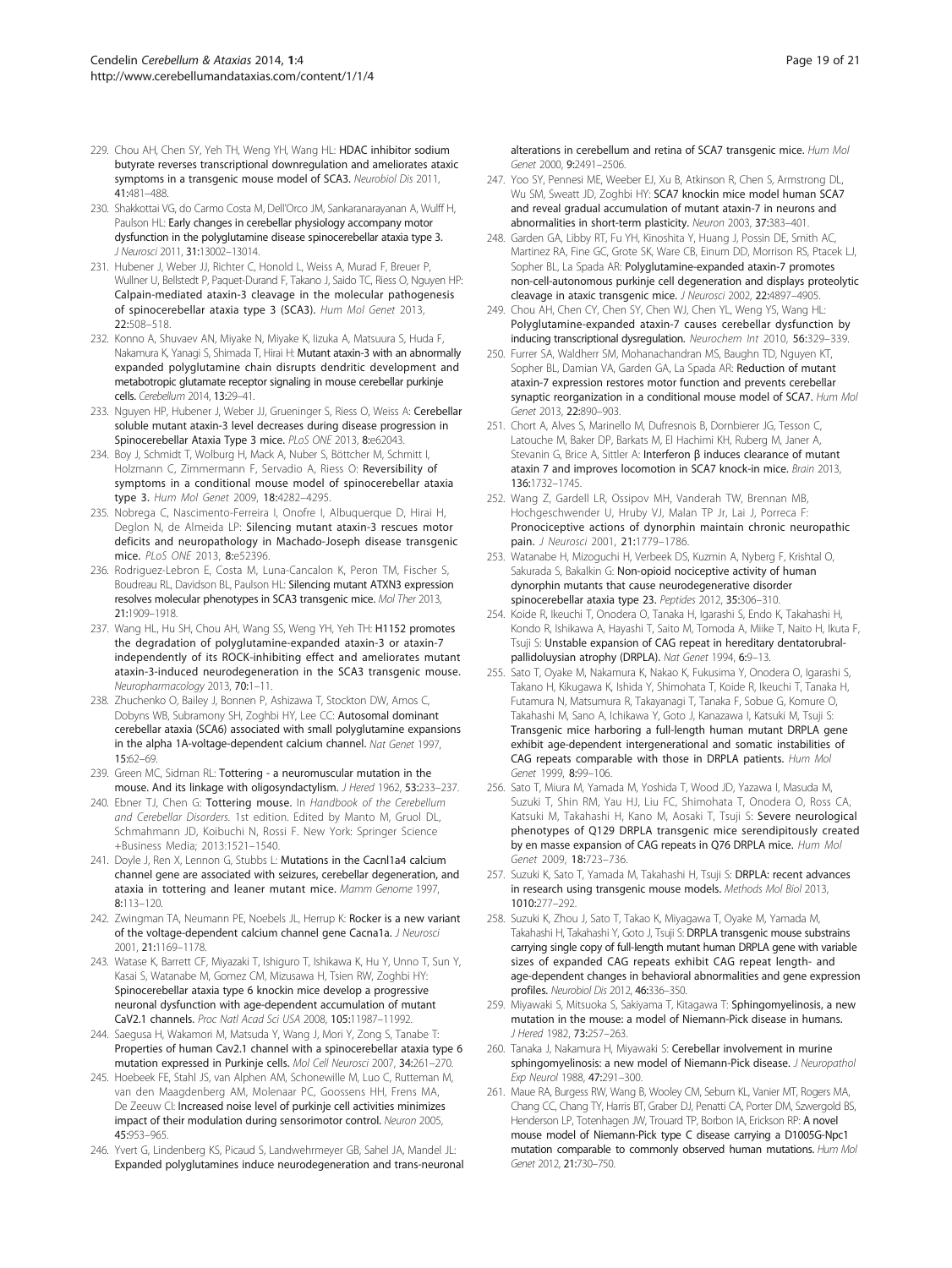- <span id="page-18-0"></span>229. Chou AH, Chen SY, Yeh TH, Weng YH, Wang HL: HDAC inhibitor sodium butyrate reverses transcriptional downregulation and ameliorates ataxic symptoms in a transgenic mouse model of SCA3. Neurobiol Dis 2011, 41:481–488.
- 230. Shakkottai VG, do Carmo Costa M, Dell'Orco JM, Sankaranarayanan A, Wulff H, Paulson HL: Early changes in cerebellar physiology accompany motor dysfunction in the polyglutamine disease spinocerebellar ataxia type 3. J Neurosci 2011, 31:13002–13014.
- 231. Hubener J, Weber JJ, Richter C, Honold L, Weiss A, Murad F, Breuer P, Wullner U, Bellstedt P, Paquet-Durand F, Takano J, Saido TC, Riess O, Nguyen HP: Calpain-mediated ataxin-3 cleavage in the molecular pathogenesis of spinocerebellar ataxia type 3 (SCA3). Hum Mol Genet 2013, 22:508–518.
- 232. Konno A, Shuvaev AN, Miyake N, Miyake K, Iizuka A, Matsuura S, Huda F, Nakamura K, Yanagi S, Shimada T, Hirai H: Mutant ataxin-3 with an abnormally expanded polyglutamine chain disrupts dendritic development and metabotropic glutamate receptor signaling in mouse cerebellar purkinje cells. Cerebellum 2014, 13:29–41.
- 233. Nguyen HP, Hubener J, Weber JJ, Grueninger S, Riess O, Weiss A: Cerebellar soluble mutant ataxin-3 level decreases during disease progression in Spinocerebellar Ataxia Type 3 mice. PLoS ONE 2013, 8:e62043.
- 234. Boy J, Schmidt T, Wolburg H, Mack A, Nuber S, Böttcher M, Schmitt I, Holzmann C, Zimmermann F, Servadio A, Riess O: Reversibility of symptoms in a conditional mouse model of spinocerebellar ataxia type 3. Hum Mol Genet 2009, 18:4282–4295.
- 235. Nobrega C, Nascimento-Ferreira I, Onofre I, Albuquerque D, Hirai H, Deglon N, de Almeida LP: Silencing mutant ataxin-3 rescues motor deficits and neuropathology in Machado-Joseph disease transgenic mice. PLoS ONE 2013, 8:e52396.
- 236. Rodriguez-Lebron E, Costa M, Luna-Cancalon K, Peron TM, Fischer S, Boudreau RL, Davidson BL, Paulson HL: Silencing mutant ATXN3 expression resolves molecular phenotypes in SCA3 transgenic mice. Mol Ther 2013, 21:1909–1918.
- 237. Wang HL, Hu SH, Chou AH, Wang SS, Weng YH, Yeh TH: H1152 promotes the degradation of polyglutamine-expanded ataxin-3 or ataxin-7 independently of its ROCK-inhibiting effect and ameliorates mutant ataxin-3-induced neurodegeneration in the SCA3 transgenic mouse. Neuropharmacology 2013, 70:1–11.
- 238. Zhuchenko O, Bailey J, Bonnen P, Ashizawa T, Stockton DW, Amos C, Dobyns WB, Subramony SH, Zoghbi HY, Lee CC: Autosomal dominant cerebellar ataxia (SCA6) associated with small polyglutamine expansions in the alpha 1A-voltage-dependent calcium channel. Nat Genet 1997, 15:62–69.
- 239. Green MC, Sidman RL: Tottering a neuromuscular mutation in the mouse. And its linkage with oligosyndactylism. J Hered 1962, 53:233–237.
- 240. Ebner TJ, Chen G: Tottering mouse. In Handbook of the Cerebellum and Cerebellar Disorders. 1st edition. Edited by Manto M, Gruol DL, Schmahmann JD, Koibuchi N, Rossi F. New York: Springer Science +Business Media; 2013:1521–1540.
- 241. Doyle J, Ren X, Lennon G, Stubbs L: Mutations in the Cacnl1a4 calcium channel gene are associated with seizures, cerebellar degeneration, and ataxia in tottering and leaner mutant mice. Mamm Genome 1997, 8:113–120.
- 242. Zwingman TA, Neumann PE, Noebels JL, Herrup K: Rocker is a new variant of the voltage-dependent calcium channel gene Cacna1a. J Neurosci 2001, 21:1169–1178.
- 243. Watase K, Barrett CF, Miyazaki T, Ishiguro T, Ishikawa K, Hu Y, Unno T, Sun Y, Kasai S, Watanabe M, Gomez CM, Mizusawa H, Tsien RW, Zoghbi HY: Spinocerebellar ataxia type 6 knockin mice develop a progressive neuronal dysfunction with age-dependent accumulation of mutant CaV2.1 channels. Proc Natl Acad Sci USA 2008, 105:11987–11992.
- 244. Saegusa H, Wakamori M, Matsuda Y, Wang J, Mori Y, Zong S, Tanabe T: Properties of human Cav2.1 channel with a spinocerebellar ataxia type 6 mutation expressed in Purkinje cells. Mol Cell Neurosci 2007, 34:261–270.
- 245. Hoebeek FE, Stahl JS, van Alphen AM, Schonewille M, Luo C, Rutteman M, van den Maagdenberg AM, Molenaar PC, Goossens HH, Frens MA, De Zeeuw CI: Increased noise level of purkinje cell activities minimizes impact of their modulation during sensorimotor control. Neuron 2005, 45:953–965.
- 246. Yvert G, Lindenberg KS, Picaud S, Landwehrmeyer GB, Sahel JA, Mandel JL: Expanded polyglutamines induce neurodegeneration and trans-neuronal

alterations in cerebellum and retina of SCA7 transgenic mice. Hum Mol Genet 2000, 9:2491–2506.

- 247. Yoo SY, Pennesi ME, Weeber EJ, Xu B, Atkinson R, Chen S, Armstrong DL, Wu SM, Sweatt JD, Zoghbi HY: SCA7 knockin mice model human SCA7 and reveal gradual accumulation of mutant ataxin-7 in neurons and abnormalities in short-term plasticity. Neuron 2003, 37:383–401.
- 248. Garden GA, Libby RT, Fu YH, Kinoshita Y, Huang J, Possin DE, Smith AC, Martinez RA, Fine GC, Grote SK, Ware CB, Einum DD, Morrison RS, Ptacek LJ, Sopher BL, La Spada AR: Polyglutamine-expanded ataxin-7 promotes non-cell-autonomous purkinje cell degeneration and displays proteolytic cleavage in ataxic transgenic mice. J Neurosci 2002, 22:4897–4905.
- 249. Chou AH, Chen CY, Chen SY, Chen WJ, Chen YL, Weng YS, Wang HL: Polyglutamine-expanded ataxin-7 causes cerebellar dysfunction by inducing transcriptional dysregulation. Neurochem Int 2010, 56:329–339.
- 250. Furrer SA, Waldherr SM, Mohanachandran MS, Baughn TD, Nguyen KT, Sopher BL, Damian VA, Garden GA, La Spada AR: Reduction of mutant ataxin-7 expression restores motor function and prevents cerebellar synaptic reorganization in a conditional mouse model of SCA7. Hum Mol Genet 2013, 22:890–903.
- 251. Chort A, Alves S, Marinello M, Dufresnois B, Dornbierer JG, Tesson C, Latouche M, Baker DP, Barkats M, El Hachimi KH, Ruberg M, Janer A, Stevanin G, Brice A, Sittler A: Interferon β induces clearance of mutant ataxin 7 and improves locomotion in SCA7 knock-in mice. Brain 2013, 136:1732–1745.
- 252. Wang Z, Gardell LR, Ossipov MH, Vanderah TW, Brennan MB, Hochgeschwender U, Hruby VJ, Malan TP Jr, Lai J, Porreca F: Pronociceptive actions of dynorphin maintain chronic neuropathic pain. J Neurosci 2001, 21:1779–1786.
- 253. Watanabe H, Mizoguchi H, Verbeek DS, Kuzmin A, Nyberg F, Krishtal O, Sakurada S, Bakalkin G: Non-opioid nociceptive activity of human dynorphin mutants that cause neurodegenerative disorder spinocerebellar ataxia type 23. Peptides 2012, 35:306–310.
- 254. Koide R, Ikeuchi T, Onodera O, Tanaka H, Igarashi S, Endo K, Takahashi H, Kondo R, Ishikawa A, Hayashi T, Saito M, Tomoda A, Miike T, Naito H, Ikuta F, Tsuji S: Unstable expansion of CAG repeat in hereditary dentatorubralpallidoluysian atrophy (DRPLA). Nat Genet 1994, 6:9-13.
- 255. Sato T, Oyake M, Nakamura K, Nakao K, Fukusima Y, Onodera O, Igarashi S, Takano H, Kikugawa K, Ishida Y, Shimohata T, Koide R, Ikeuchi T, Tanaka H, Futamura N, Matsumura R, Takayanagi T, Tanaka F, Sobue G, Komure O, Takahashi M, Sano A, Ichikawa Y, Goto J, Kanazawa I, Katsuki M, Tsuji S: Transgenic mice harboring a full-length human mutant DRPLA gene exhibit age-dependent intergenerational and somatic instabilities of CAG repeats comparable with those in DRPLA patients. Hum Mol Genet 1999, 8:99–106.
- 256. Sato T, Miura M, Yamada M, Yoshida T, Wood JD, Yazawa I, Masuda M, Suzuki T, Shin RM, Yau HJ, Liu FC, Shimohata T, Onodera O, Ross CA, Katsuki M, Takahashi H, Kano M, Aosaki T, Tsuji S: Severe neurological phenotypes of Q129 DRPLA transgenic mice serendipitously created by en masse expansion of CAG repeats in Q76 DRPLA mice. Hum Mol Genet 2009, 18:723–736.
- 257. Suzuki K, Sato T, Yamada M, Takahashi H, Tsuji S: DRPLA: recent advances in research using transgenic mouse models. Methods Mol Biol 2013, 1010:277–292.
- 258. Suzuki K, Zhou J, Sato T, Takao K, Miyagawa T, Oyake M, Yamada M, Takahashi H, Takahashi Y, Goto J, Tsuji S: DRPLA transgenic mouse substrains carrying single copy of full-length mutant human DRPLA gene with variable sizes of expanded CAG repeats exhibit CAG repeat length- and age-dependent changes in behavioral abnormalities and gene expression profiles. Neurobiol Dis 2012, 46:336–350.
- 259. Miyawaki S, Mitsuoka S, Sakiyama T, Kitagawa T: Sphingomyelinosis, a new mutation in the mouse: a model of Niemann-Pick disease in humans. J Hered 1982, 73:257–263.
- 260. Tanaka J, Nakamura H, Miyawaki S: Cerebellar involvement in murine sphingomyelinosis: a new model of Niemann-Pick disease. J Neuropathol Exp Neurol 1988, 47:291–300.
- 261. Maue RA, Burgess RW, Wang B, Wooley CM, Seburn KL, Vanier MT, Rogers MA, Chang CC, Chang TY, Harris BT, Graber DJ, Penatti CA, Porter DM, Szwergold BS, Henderson LP, Totenhagen JW, Trouard TP, Borbon IA, Erickson RP: A novel mouse model of Niemann-Pick type C disease carrying a D1005G-Npc1 mutation comparable to commonly observed human mutations. Hum Mol Genet 2012, 21:730–750.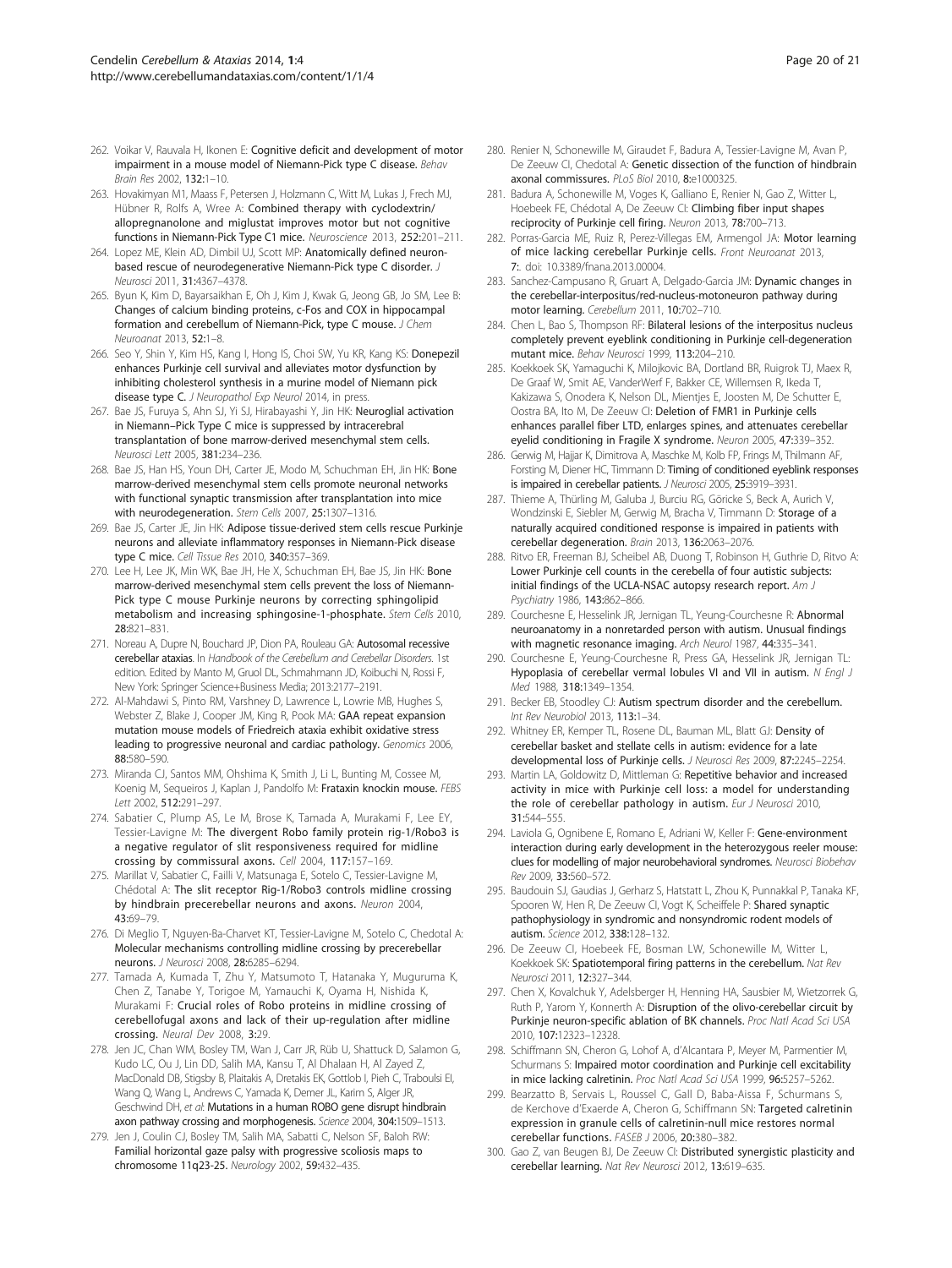- <span id="page-19-0"></span>262. Voikar V, Rauvala H, Ikonen E: Cognitive deficit and development of motor impairment in a mouse model of Niemann-Pick type C disease. Behav Brain Res 2002, 132:1–10.
- 263. Hovakimyan M1, Maass F, Petersen J, Holzmann C, Witt M, Lukas J, Frech MJ, Hübner R, Rolfs A, Wree A: Combined therapy with cyclodextrin/ allopregnanolone and miglustat improves motor but not cognitive functions in Niemann-Pick Type C1 mice. Neuroscience 2013, 252:201–211.
- 264. Lopez ME, Klein AD, Dimbil UJ, Scott MP: Anatomically defined neuronbased rescue of neurodegenerative Niemann-Pick type C disorder. J Neurosci 2011, 31:4367–4378.
- 265. Byun K, Kim D, Bayarsaikhan E, Oh J, Kim J, Kwak G, Jeong GB, Jo SM, Lee B: Changes of calcium binding proteins, c-Fos and COX in hippocampal formation and cerebellum of Niemann-Pick, type C mouse. J Chem Neuroanat 2013, 52:1–8.
- 266. Seo Y, Shin Y, Kim HS, Kang I, Hong IS, Choi SW, Yu KR, Kang KS: Donepezil enhances Purkinje cell survival and alleviates motor dysfunction by inhibiting cholesterol synthesis in a murine model of Niemann pick disease type C. J Neuropathol Exp Neurol 2014, in press.
- 267. Bae JS, Furuya S, Ahn SJ, Yi SJ, Hirabayashi Y, Jin HK: Neuroglial activation in Niemann–Pick Type C mice is suppressed by intracerebral transplantation of bone marrow-derived mesenchymal stem cells. Neurosci Lett 2005, 381:234–236.
- 268. Bae JS, Han HS, Youn DH, Carter JE, Modo M, Schuchman EH, Jin HK: Bone marrow-derived mesenchymal stem cells promote neuronal networks with functional synaptic transmission after transplantation into mice with neurodegeneration. Stem Cells 2007, 25:1307–1316.
- 269. Bae JS, Carter JE, Jin HK: Adipose tissue-derived stem cells rescue Purkinje neurons and alleviate inflammatory responses in Niemann-Pick disease type C mice. Cell Tissue Res 2010, 340:357–369.
- 270. Lee H, Lee JK, Min WK, Bae JH, He X, Schuchman EH, Bae JS, Jin HK: Bone marrow-derived mesenchymal stem cells prevent the loss of Niemann-Pick type C mouse Purkinje neurons by correcting sphingolipid metabolism and increasing sphingosine-1-phosphate. Stem Cells 2010, 28:821–831.
- 271. Noreau A, Dupre N, Bouchard JP, Dion PA, Rouleau GA: Autosomal recessive cerebellar ataxias. In Handbook of the Cerebellum and Cerebellar Disorders. 1st edition. Edited by Manto M, Gruol DL, Schmahmann JD, Koibuchi N, Rossi F, New York: Springer Science+Business Media; 2013:2177–2191.
- 272. Al-Mahdawi S, Pinto RM, Varshney D, Lawrence L, Lowrie MB, Hughes S, Webster Z, Blake J, Cooper JM, King R, Pook MA: GAA repeat expansion mutation mouse models of Friedreich ataxia exhibit oxidative stress leading to progressive neuronal and cardiac pathology. Genomics 2006, 88:580–590.
- 273. Miranda CJ, Santos MM, Ohshima K, Smith J, Li L, Bunting M, Cossee M, Koenig M, Sequeiros J, Kaplan J, Pandolfo M: Frataxin knockin mouse. FEBS Lett 2002, 512:291–297.
- 274. Sabatier C, Plump AS, Le M, Brose K, Tamada A, Murakami F, Lee EY, Tessier-Lavigne M: The divergent Robo family protein rig-1/Robo3 is a negative regulator of slit responsiveness required for midline crossing by commissural axons. Cell 2004, 117:157–169.
- 275. Marillat V, Sabatier C, Failli V, Matsunaga E, Sotelo C, Tessier-Lavigne M, Chédotal A: The slit receptor Rig-1/Robo3 controls midline crossing by hindbrain precerebellar neurons and axons. Neuron 2004, 43:69–79.
- 276. Di Meglio T, Nguyen-Ba-Charvet KT, Tessier-Lavigne M, Sotelo C, Chedotal A: Molecular mechanisms controlling midline crossing by precerebellar neurons. J Neurosci 2008, 28:6285–6294.
- 277. Tamada A, Kumada T, Zhu Y, Matsumoto T, Hatanaka Y, Muguruma K, Chen Z, Tanabe Y, Torigoe M, Yamauchi K, Oyama H, Nishida K, Murakami F: Crucial roles of Robo proteins in midline crossing of cerebellofugal axons and lack of their up-regulation after midline crossing. Neural Dev 2008, 3:29.
- 278. Jen JC, Chan WM, Bosley TM, Wan J, Carr JR, Rüb U, Shattuck D, Salamon G, Kudo LC, Ou J, Lin DD, Salih MA, Kansu T, Al Dhalaan H, Al Zayed Z, MacDonald DB, Stigsby B, Plaitakis A, Dretakis EK, Gottlob I, Pieh C, Traboulsi EI, Wang Q, Wang L, Andrews C, Yamada K, Demer JL, Karim S, Alger JR, Geschwind DH, et al: Mutations in a human ROBO gene disrupt hindbrain axon pathway crossing and morphogenesis. Science 2004, 304:1509-1513.
- 279. Jen J, Coulin CJ, Bosley TM, Salih MA, Sabatti C, Nelson SF, Baloh RW: Familial horizontal gaze palsy with progressive scoliosis maps to chromosome 11q23-25. Neurology 2002, 59:432–435.
- 280. Renier N, Schonewille M, Giraudet F, Badura A, Tessier-Lavigne M, Avan P, De Zeeuw CI, Chedotal A: Genetic dissection of the function of hindbrain axonal commissures. PLoS Biol 2010, 8:e1000325.
- 281. Badura A, Schonewille M, Voges K, Galliano E, Renier N, Gao Z, Witter L, Hoebeek FE, Chédotal A, De Zeeuw CI: Climbing fiber input shapes reciprocity of Purkinje cell firing. Neuron 2013, 78:700–713.
- 282. Porras-Garcia ME, Ruiz R, Perez-Villegas EM, Armengol JA: Motor learning of mice lacking cerebellar Purkinje cells. Front Neuroanat 2013, 7:. doi: 10.3389/fnana.2013.00004.
- 283. Sanchez-Campusano R, Gruart A, Delgado-Garcia JM: Dynamic changes in the cerebellar-interpositus/red-nucleus-motoneuron pathway during motor learning. Cerebellum 2011, 10:702–710.
- 284. Chen L, Bao S, Thompson RF: Bilateral lesions of the interpositus nucleus completely prevent eyeblink conditioning in Purkinje cell-degeneration mutant mice. Behav Neurosci 1999, 113:204–210.
- 285. Koekkoek SK, Yamaguchi K, Milojkovic BA, Dortland BR, Ruigrok TJ, Maex R, De Graaf W, Smit AE, VanderWerf F, Bakker CE, Willemsen R, Ikeda T, Kakizawa S, Onodera K, Nelson DL, Mientjes E, Joosten M, De Schutter E, Oostra BA, Ito M, De Zeeuw CI: Deletion of FMR1 in Purkinje cells enhances parallel fiber LTD, enlarges spines, and attenuates cerebellar eyelid conditioning in Fragile X syndrome. Neuron 2005, 47:339–352.
- 286. Gerwig M, Hajjar K, Dimitrova A, Maschke M, Kolb FP, Frings M, Thilmann AF, Forsting M, Diener HC, Timmann D: Timing of conditioned eyeblink responses is impaired in cerebellar patients. J Neurosci 2005, 25:3919-3931.
- 287. Thieme A, Thürling M, Galuba J, Burciu RG, Göricke S, Beck A, Aurich V, Wondzinski E, Siebler M, Gerwig M, Bracha V, Timmann D: Storage of a naturally acquired conditioned response is impaired in patients with cerebellar degeneration. Brain 2013, 136:2063–2076.
- 288. Ritvo ER, Freeman BJ, Scheibel AB, Duong T, Robinson H, Guthrie D, Ritvo A: Lower Purkinje cell counts in the cerebella of four autistic subjects: initial findings of the UCLA-NSAC autopsy research report. Am J Psychiatry 1986, 143:862–866.
- 289. Courchesne E, Hesselink JR, Jernigan TL, Yeung-Courchesne R: Abnormal neuroanatomy in a nonretarded person with autism. Unusual findings with magnetic resonance imaging. Arch Neurol 1987, 44:335–341.
- 290. Courchesne E, Yeung-Courchesne R, Press GA, Hesselink JR, Jernigan TL: Hypoplasia of cerebellar vermal lobules VI and VII in autism.  $N$  Engl J Med 1988, 318:1349–1354.
- 291. Becker EB, Stoodley CJ: Autism spectrum disorder and the cerebellum. Int Rev Neurobiol 2013, 113:1–34.
- 292. Whitney ER, Kemper TL, Rosene DL, Bauman ML, Blatt GJ: Density of cerebellar basket and stellate cells in autism: evidence for a late developmental loss of Purkinje cells. J Neurosci Res 2009, 87:2245–2254.
- 293. Martin LA, Goldowitz D, Mittleman G: Repetitive behavior and increased activity in mice with Purkinje cell loss: a model for understanding the role of cerebellar pathology in autism. Eur J Neurosci 2010, 31:544–555.
- 294. Laviola G, Ognibene E, Romano E, Adriani W, Keller F: Gene-environment interaction during early development in the heterozygous reeler mouse: clues for modelling of major neurobehavioral syndromes. Neurosci Biobehav Rev 2009, 33:560–572.
- 295. Baudouin SJ, Gaudias J, Gerharz S, Hatstatt L, Zhou K, Punnakkal P, Tanaka KF, Spooren W, Hen R, De Zeeuw CI, Vogt K, Scheiffele P: Shared synaptic pathophysiology in syndromic and nonsyndromic rodent models of autism. Science 2012, 338:128–132.
- 296. De Zeeuw CI, Hoebeek FE, Bosman LW, Schonewille M, Witter L, Koekkoek SK: Spatiotemporal firing patterns in the cerebellum. Nat Rev Neurosci 2011, 12:327–344.
- 297. Chen X, Kovalchuk Y, Adelsberger H, Henning HA, Sausbier M, Wietzorrek G, Ruth P, Yarom Y, Konnerth A: Disruption of the olivo-cerebellar circuit by Purkinje neuron-specific ablation of BK channels. Proc Natl Acad Sci USA 2010, 107:12323–12328.
- 298. Schiffmann SN, Cheron G, Lohof A, d'Alcantara P, Meyer M, Parmentier M, Schurmans S: Impaired motor coordination and Purkinje cell excitability in mice lacking calretinin. Proc Natl Acad Sci USA 1999, 96:5257-5262.
- 299. Bearzatto B, Servais L, Roussel C, Gall D, Baba-Aissa F, Schurmans S, de Kerchove d'Exaerde A, Cheron G, Schiffmann SN: Targeted calretinin expression in granule cells of calretinin-null mice restores normal cerebellar functions. FASEB J 2006, 20:380–382.
- 300. Gao Z, van Beugen BJ, De Zeeuw CI: Distributed synergistic plasticity and cerebellar learning. Nat Rev Neurosci 2012, 13:619–635.